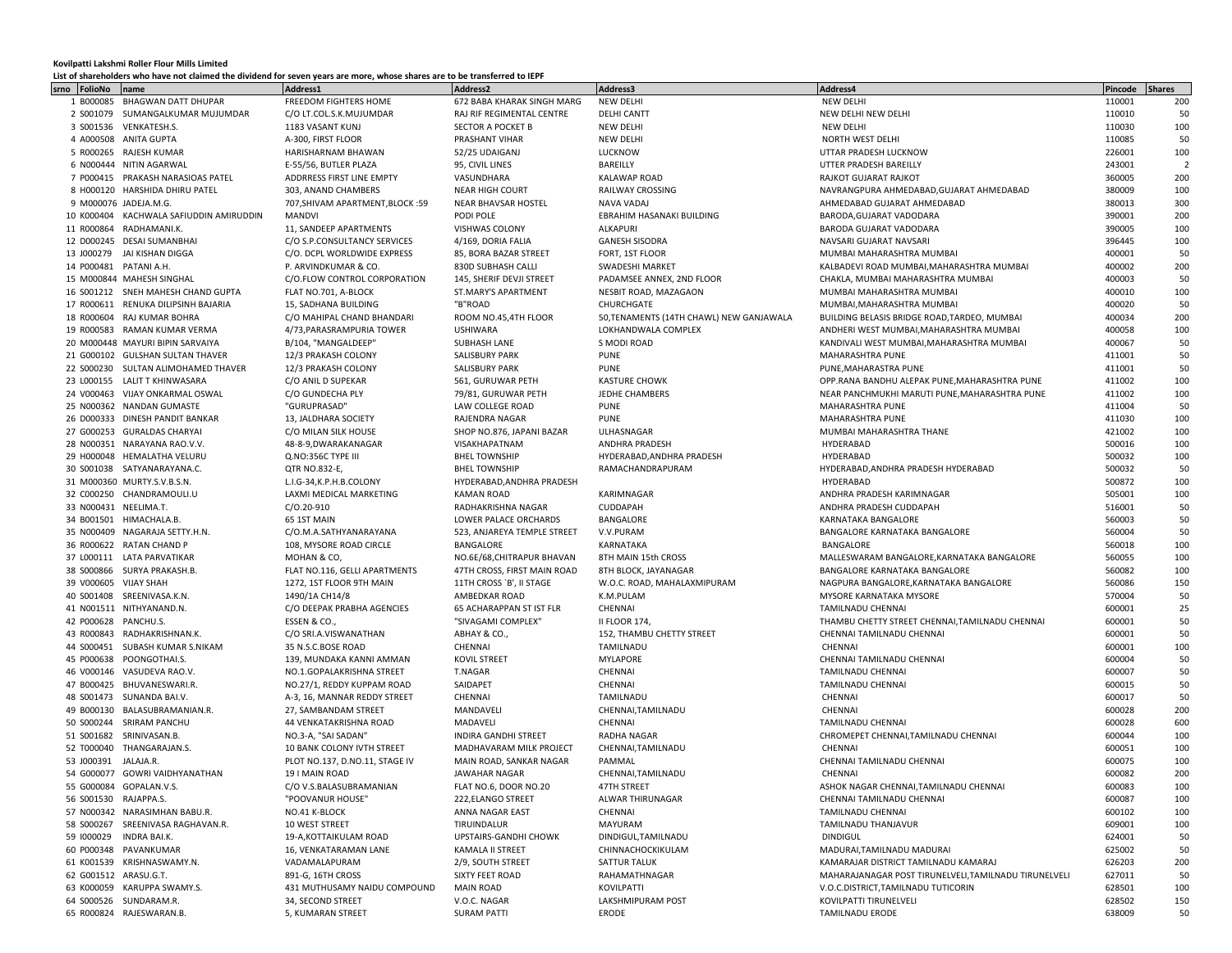## **Kovilpatti Lakshmi Roller Flour Mills Limited**

## **List of shareholders who have not claimed the dividend for seven years are more, whose shares are to be transferred to IEPF**

|                        |                                         | List of shareholders who have not claimed the dividend for seven years are more. Whose shares are to be transferred to IEPF |                             |                                          |                                                      |         |                |
|------------------------|-----------------------------------------|-----------------------------------------------------------------------------------------------------------------------------|-----------------------------|------------------------------------------|------------------------------------------------------|---------|----------------|
| srno<br>FolioNo        | name                                    | Address1                                                                                                                    | Address2                    | Address3                                 | Address4                                             | Pincode | <b>Shares</b>  |
| 1 B000085              | BHAGWAN DATT DHUPAR                     | FREEDOM FIGHTERS HOME                                                                                                       | 672 BABA KHARAK SINGH MARG  | NEW DELHI                                | <b>NEW DELHI</b>                                     | 110001  | 200            |
|                        | 2 S001079 SUMANGALKUMAR MUJUMDAR        | C/O LT.COL.S.K.MUJUMDAR                                                                                                     | RAJ RIF REGIMENTAL CENTRE   | <b>DELHI CANTT</b>                       | NEW DELHI NEW DELHI                                  | 110010  | 50             |
|                        | 3 S001536 VENKATESH.S.                  | 1183 VASANT KUNJ                                                                                                            | SECTOR A POCKET B           | <b>NEW DELHI</b>                         | <b>NEW DELHI</b>                                     | 110030  | 100            |
|                        | 4 A000508 ANITA GUPTA                   | A-300, FIRST FLOOR                                                                                                          | PRASHANT VIHAR              | <b>NEW DELHI</b>                         | NORTH WEST DELHI                                     | 110085  | 50             |
|                        | 5 R000265 RAJESH KUMAR                  | HARISHARNAM BHAWAN                                                                                                          | 52/25 UDAIGANJ              | LUCKNOW                                  | UTTAR PRADESH LUCKNOW                                | 226001  | 100            |
|                        | 6 N000444 NITIN AGARWAL                 | E-55/56, BUTLER PLAZA                                                                                                       | 95, CIVIL LINES             | BAREILLY                                 | UTTER PRADESH BAREILLY                               | 243001  | $\overline{2}$ |
|                        |                                         |                                                                                                                             | VASUNDHARA                  |                                          | <b>RAJKOT GUJARAT RAJKOT</b>                         | 360005  | 200            |
|                        | 7 P000415 PRAKASH NARASIOAS PATEL       | ADDRRESS FIRST LINE EMPTY                                                                                                   |                             | <b>KALAWAP ROAD</b>                      |                                                      |         |                |
|                        | 8 H000120 HARSHIDA DHIRU PATEL          | 303. ANAND CHAMBERS                                                                                                         | <b>NEAR HIGH COURT</b>      | RAILWAY CROSSING                         | NAVRANGPURA AHMEDABAD, GUJARAT AHMEDABAD             | 380009  | 100            |
|                        | 9 M000076 JADEJA.M.G.                   | 707, SHIVAM APARTMENT, BLOCK: 59                                                                                            | NEAR BHAVSAR HOSTEL         | NAVA VADAJ                               | AHMEDABAD GUJARAT AHMEDABAD                          | 380013  | 300            |
|                        | 10 K000404 KACHWALA SAFIUDDIN AMIRUDDIN | MANDVI                                                                                                                      | PODI POLE                   | EBRAHIM HASANAKI BUILDING                | BARODA, GUJARAT VADODARA                             | 390001  | 200            |
|                        | 11 R000864 RADHAMANI.K.                 | 11, SANDEEP APARTMENTS                                                                                                      | VISHWAS COLONY              | ALKAPURI                                 | BARODA GUJARAT VADODARA                              | 390005  | 100            |
|                        | 12 D000245 DESAI SUMANBHAI              | C/O S.P.CONSULTANCY SERVICES                                                                                                | 4/169, DORIA FALIA          | <b>GANESH SISODRA</b>                    | NAVSARI GUJARAT NAVSARI                              | 396445  | 100            |
|                        | 13 J000279 JAI KISHAN DIGGA             | C/O. DCPL WORLDWIDE EXPRESS                                                                                                 | 85, BORA BAZAR STREET       | FORT, 1ST FLOOR                          | MUMBAI MAHARASHTRA MUMBAI                            | 400001  | 50             |
| 14 P000481 PATANI A.H. |                                         | P. ARVINDKUMAR & CO.                                                                                                        | 830D SUBHASH CALLI          | SWADESHI MARKET                          | KALBADEVI ROAD MUMBAI, MAHARASHTRA MUMBAI            | 400002  | 200            |
|                        | 15 M000844 MAHESH SINGHAL               | C/O.FLOW CONTROL CORPORATION                                                                                                | 145, SHERIF DEVJI STREET    | PADAMSEE ANNEX, 2ND FLOOR                | CHAKLA, MUMBAI MAHARASHTRA MUMBAI                    | 400003  | 50             |
|                        | 16 S001212 SNEH MAHESH CHAND GUPTA      |                                                                                                                             |                             |                                          |                                                      |         |                |
|                        |                                         | FLAT NO.701, A-BLOCK                                                                                                        | ST.MARY'S APARTMENT         | NESBIT ROAD, MAZAGAON                    | MUMBAI MAHARASHTRA MUMBAI                            | 400010  | 100            |
|                        | 17 R000611 RENUKA DILIPSINH BAJARIA     | 15, SADHANA BUILDING                                                                                                        | "B"ROAD                     | CHURCHGATE                               | MUMBAI, MAHARASHTRA MUMBAI                           | 400020  | 50             |
|                        | 18 R000604 RAJ KUMAR BOHRA              | C/O MAHIPAL CHAND BHANDARI                                                                                                  | ROOM NO.45,4TH FLOOR        | 50, TENAMENTS (14TH CHAWL) NEW GANJAWALA | BUILDING BELASIS BRIDGE ROAD, TARDEO, MUMBAI         | 400034  | 200            |
|                        | 19 R000583 RAMAN KUMAR VERMA            | 4/73, PARASRAMPURIA TOWER                                                                                                   | <b>USHIWARA</b>             | LOKHANDWALA COMPLEX                      | ANDHERI WEST MUMBAI, MAHARASHTRA MUMBAI              | 400058  | 100            |
|                        | 20 M000448 MAYURI BIPIN SARVAIYA        | B/104, "MANGALDEEP"                                                                                                         | SUBHASH LANE                | S MODI ROAD                              | KANDIVALI WEST MUMBAI, MAHARASHTRA MUMBAI            | 400067  | 50             |
|                        | 21 G000102 GULSHAN SULTAN THAVER        | 12/3 PRAKASH COLONY                                                                                                         | <b>SALISBURY PARK</b>       | <b>PUNE</b>                              | MAHARASHTRA PUNE                                     | 411001  | 50             |
|                        | 22 S000230 SULTAN ALIMOHAMED THAVER     | 12/3 PRAKASH COLONY                                                                                                         | <b>SALISBURY PARK</b>       | PUNE                                     | PUNE, MAHARASTRA PUNE                                | 411001  | 50             |
|                        | 23 L000155 LALIT T KHINWASARA           | C/O ANIL D SUPEKAR                                                                                                          | 561. GURUWAR PETH           | <b>KASTURE CHOWK</b>                     | OPP.RANA BANDHU ALEPAK PUNE, MAHARASHTRA PUNE        | 411002  | 100            |
|                        | 24 V000463 VIJAY ONKARMAL OSWAL         | C/O GUNDECHA PLY                                                                                                            | 79/81, GURUWAR PETH         | <b>JEDHE CHAMBERS</b>                    | NEAR PANCHMUKHI MARUTI PUNE, MAHARASHTRA PUNE        | 411002  | 100            |
|                        |                                         |                                                                                                                             |                             |                                          |                                                      |         |                |
|                        | 25 N000362 NANDAN GUMASTE               | "GURUPRASAD"                                                                                                                | LAW COLLEGE ROAD            | PUNE                                     | <b>MAHARASHTRA PUNE</b>                              | 411004  | 50             |
|                        | 26 D000333 DINESH PANDIT BANKAR         | 13, JALDHARA SOCIETY                                                                                                        | RAJENDRA NAGAR              | PUNE                                     | MAHARASHTRA PUNE                                     | 411030  | 100            |
|                        | 27 G000253 GURALDAS CHARYAI             | C/O MILAN SILK HOUSE                                                                                                        | SHOP NO.876, JAPANI BAZAR   | ULHASNAGAR                               | MUMBAI MAHARASHTRA THANE                             | 421002  | 100            |
|                        | 28 N000351 NARAYANA RAO.V.V.            | 48-8-9, DWARAKANAGAR                                                                                                        | VISAKHAPATNAM               | ANDHRA PRADESH                           | HYDERABAD                                            | 500016  | 100            |
|                        | 29 H000048 HEMALATHA VELURU             | Q.NO:356C TYPE III                                                                                                          | <b>BHEL TOWNSHIP</b>        | HYDERABAD, ANDHRA PRADESH                | HYDERABAD                                            | 500032  | 100            |
|                        | 30 S001038 SATYANARAYANA.C.             | QTR NO.832-E,                                                                                                               | <b>BHEL TOWNSHIP</b>        | RAMACHANDRAPURAM                         | HYDERABAD, ANDHRA PRADESH HYDERABAD                  | 500032  | 50             |
|                        | 31 M000360 MURTY.S.V.B.S.N.             | L.I.G-34, K.P.H.B.COLONY                                                                                                    | HYDERABAD.ANDHRA PRADESH    |                                          | HYDERABAD                                            | 500872  | 100            |
|                        | 32 C000250 CHANDRAMOULI.U               | LAXMI MEDICAL MARKETING                                                                                                     | <b>KAMAN ROAD</b>           | KARIMNAGAR                               | ANDHRA PRADESH KARIMNAGAR                            | 505001  | 100            |
| 33 N000431 NEELIMA.T.  |                                         | $C/O.20-910$                                                                                                                | RADHAKRISHNA NAGAR          | CUDDAPAH                                 | ANDHRA PRADESH CUDDAPAH                              | 516001  | 50             |
|                        | 34 B001501 HIMACHALA.B.                 | 65 1ST MAIN                                                                                                                 | LOWER PALACE ORCHARDS       | BANGALORE                                | KARNATAKA BANGALORE                                  | 560003  | 50             |
|                        | 35 N000409 NAGARAJA SETTY.H.N.          |                                                                                                                             |                             | V.V.PURAM                                |                                                      | 560004  | 50             |
|                        |                                         | C/O.M.A.SATHYANARAYANA                                                                                                      | 523, ANJAREYA TEMPLE STREET |                                          | BANGALORE KARNATAKA BANGALORE                        |         |                |
|                        | 36 R000622 RATAN CHAND P                | 108, MYSORE ROAD CIRCLE                                                                                                     | BANGALORE                   | KARNATAKA                                | BANGALORE                                            | 560018  | 100            |
|                        | 37 L000111 LATA PARVATIKAR              | MOHAN & CO,                                                                                                                 | NO.6E/68, CHITRAPUR BHAVAN  | 8TH MAIN 15th CROSS                      | MALLESWARAM BANGALORE, KARNATAKA BANGALORE           | 560055  | 100            |
|                        | 38 S000866 SURYA PRAKASH.B.             | FLAT NO.116, GELLI APARTMENTS                                                                                               | 47TH CROSS, FIRST MAIN ROAD | 8TH BLOCK, JAYANAGAR                     | BANGALORE KARNATAKA BANGALORE                        | 560082  | 100            |
| 39 V000605 VIJAY SHAH  |                                         | 1272, 1ST FLOOR 9TH MAIN                                                                                                    | 11TH CROSS `B', II STAGE    | W.O.C. ROAD, MAHALAXMIPURAM              | NAGPURA BANGALORE, KARNATAKA BANGALORE               | 560086  | 150            |
|                        | 40 S001408 SREENIVASA.K.N.              | 1490/1A CH14/8                                                                                                              | AMBEDKAR ROAD               | K.M.PULAM                                | MYSORE KARNATAKA MYSORE                              | 570004  | 50             |
|                        | 41 N001511 NITHYANAND.N.                | C/O DEEPAK PRABHA AGENCIES                                                                                                  | 65 ACHARAPPAN ST IST FLR    | CHENNAI                                  | TAMILNADU CHENNAI                                    | 600001  | 25             |
| 42 P000628 PANCHU.S.   |                                         | ESSEN & CO.,                                                                                                                | "SIVAGAMI COMPLEX"          | <b>II FLOOR 174,</b>                     | THAMBU CHETTY STREET CHENNAI, TAMILNADU CHENNAI      | 600001  | 50             |
|                        | 43 R000843 RADHAKRISHNAN.K.             | C/O SRI.A.VISWANATHAN                                                                                                       | ABHAY & CO.                 | 152, THAMBU CHETTY STREET                | CHENNAI TAMILNADU CHENNAI                            | 600001  | 50             |
|                        | 44 S000451 SUBASH KUMAR S.NIKAM         | 35 N.S.C.BOSE ROAD                                                                                                          | CHENNAI                     | TAMILNADU                                | CHENNAI                                              | 600001  | 100            |
|                        |                                         |                                                                                                                             |                             |                                          |                                                      |         |                |
|                        | 45 P000638 POONGOTHAI.S.                | 139, MUNDAKA KANNI AMMAN                                                                                                    | <b>KOVIL STREET</b>         | <b>MYLAPORE</b>                          | CHENNAI TAMILNADU CHENNAI                            | 600004  | 50             |
|                        | 46 V000146 VASUDEVA RAO.V.              | NO.1.GOPALAKRISHNA STREET                                                                                                   | T.NAGAR                     | CHENNAI                                  | TAMILNADU CHENNAI                                    | 600007  | 50             |
|                        | 47 B000425 BHUVANESWARI.R.              | NO.27/1, REDDY KUPPAM ROAD                                                                                                  | SAIDAPET                    | CHENNAI                                  | TAMILNADU CHENNAI                                    | 600015  | 50             |
|                        | 48 S001473 SUNANDA BAI.V.               | A-3, 16, MANNAR REDDY STREET                                                                                                | CHENNAI                     | TAMILNADU                                | CHENNAI                                              | 600017  | 50             |
|                        | 49 B000130 BALASUBRAMANIAN.R.           | 27, SAMBANDAM STREET                                                                                                        | MANDAVELI                   | CHENNAI, TAMILNADU                       | CHENNAI                                              | 600028  | 200            |
|                        | 50 S000244 SRIRAM PANCHU                | 44 VENKATAKRISHNA ROAD                                                                                                      | MADAVELI                    | CHENNAI                                  | TAMILNADU CHENNAI                                    | 600028  | 600            |
|                        | 51 S001682 SRINIVASAN.B.                | NO.3-A, "SAI SADAN'                                                                                                         | <b>INDIRA GANDHI STREET</b> | RADHA NAGAR                              | CHROMEPET CHENNAI, TAMILNADU CHENNAI                 | 600044  | 100            |
|                        | 52 T000040 THANGARAJAN.S.               | 10 BANK COLONY IVTH STREET                                                                                                  | MADHAVARAM MILK PROJECT     | CHENNAI, TAMILNADU                       | CHENNAI                                              | 600051  | 100            |
| 53 J000391 JALAJA.R.   |                                         | PLOT NO.137, D.NO.11, STAGE IV                                                                                              | MAIN ROAD, SANKAR NAGAR     | PAMMAL                                   | CHENNAI TAMILNADU CHENNAI                            | 600075  | 100            |
|                        | 54 G000077 GOWRI VAIDHYANATHAN          | 19 I MAIN ROAD                                                                                                              | JAWAHAR NAGAR               | CHENNAI, TAMILNADU                       | CHENNAL                                              | 600082  | 200            |
|                        | 55 G000084 GOPALAN.V.S.                 |                                                                                                                             | FLAT NO.6, DOOR NO.20       |                                          |                                                      |         |                |
|                        |                                         | C/O V.S.BALASUBRAMANIAN                                                                                                     |                             | 47TH STREET                              | ASHOK NAGAR CHENNAI, TAMILNADU CHENNAI               | 600083  | 100            |
| 56 S001530 RAJAPPA.S.  |                                         | "POOVANUR HOUSE"                                                                                                            | 222, ELANGO STREET          | ALWAR THIRUNAGAR                         | CHENNAI TAMILNADU CHENNAI                            | 600087  | 100            |
|                        | 57 N000342 NARASIMHAN BABU.R.           | NO.41 K-BLOCK                                                                                                               | ANNA NAGAR EAST             | CHENNAI                                  | TAMILNADU CHENNAI                                    | 600102  | 100            |
|                        | 58 S000267 SREENIVASA RAGHAVAN.R.       | 10 WEST STREET                                                                                                              | TIRUINDALUR                 | MAYURAM                                  | TAMILNADU THANJAVUR                                  | 609001  | 100            |
|                        | 59 1000029 INDRA BAI.K.                 | 19-A, KOTTAIKULAM ROAD                                                                                                      | UPSTAIRS-GANDHI CHOWK       | DINDIGUL, TAMILNADU                      | <b>DINDIGUL</b>                                      | 624001  | 50             |
|                        | 60 P000348 PAVANKUMAR                   | 16, VENKATARAMAN LANE                                                                                                       | KAMALA II STREET            | CHINNACHOCKIKULAM                        | MADURAI, TAMILNADU MADURAI                           | 625002  | 50             |
|                        | 61 K001539 KRISHNASWAMY.N.              | VADAMALAPURAM                                                                                                               | 2/9, SOUTH STREET           | SATTUR TALUK                             | KAMARAJAR DISTRICT TAMILNADU KAMARAJ                 | 626203  | 200            |
| 62 G001512 ARASU.G.T.  |                                         | 891-G, 16TH CROSS                                                                                                           | SIXTY FEET ROAD             | RAHAMATHNAGAR                            | MAHARAJANAGAR POST TIRUNELVELI.TAMILNADU TIRUNELVELI | 627011  | 50             |
|                        | 63 K000059 KARUPPA SWAMY.S.             | 431 MUTHUSAMY NAIDU COMPOUND                                                                                                | <b>MAIN ROAD</b>            | KOVILPATTI                               | V.O.C.DISTRICT, TAMILNADU TUTICORIN                  | 628501  | 100            |
|                        | 64 S000526 SUNDARAM.R.                  | 34, SECOND STREET                                                                                                           | V.O.C. NAGAR                | LAKSHMIPURAM POST                        | KOVILPATTI TIRUNELVELI                               | 628502  | 150            |
|                        |                                         |                                                                                                                             |                             |                                          |                                                      |         |                |
|                        | 65 R000824 RAJESWARAN.B.                | 5, KUMARAN STREET                                                                                                           | <b>SURAM PATTI</b>          | ERODE                                    | TAMILNADU ERODE                                      | 638009  | 50             |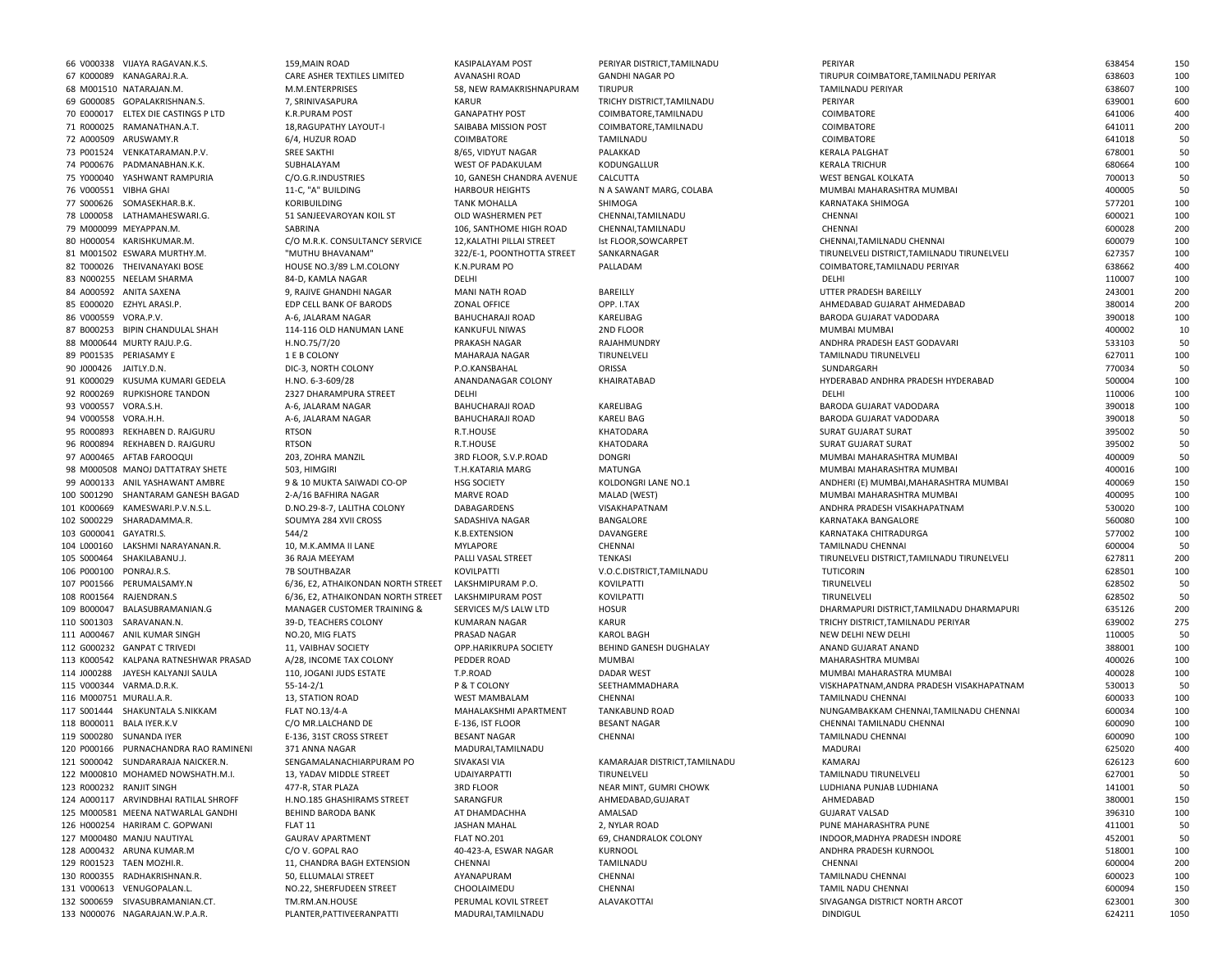|                         | 66 V000338 VIJAYA RAGAVAN.K.S.        | 159, MAIN ROAD                     | <b>KASIPALAYAM POST</b>    | PERIYAR DISTRICT, TAMILNADU   | PERIYAR                                     | 638454 | 150  |
|-------------------------|---------------------------------------|------------------------------------|----------------------------|-------------------------------|---------------------------------------------|--------|------|
|                         | 67 K000089 KANAGARAJ.R.A              | CARE ASHER TEXTILES LIMITED        | AVANASHI ROAD              | <b>GANDHI NAGAR PO</b>        | TIRUPUR COIMBATORE, TAMILNADU PERIYAR       | 638603 | 100  |
|                         | 68 M001510 NATARAJAN.M.               | M.M.ENTERPRISES                    | 58, NEW RAMAKRISHNAPURAM   | <b>TIRUPUR</b>                | TAMILNADU PERIYAR                           | 638607 | 100  |
|                         |                                       |                                    |                            |                               |                                             |        |      |
|                         | 69 G000085 GOPALAKRISHNAN.S.          | 7, SRINIVASAPURA                   | <b>KARUR</b>               | TRICHY DISTRICT.TAMILNADU     | PERIYAR                                     | 639001 | 600  |
|                         | 70 E000017 ELTEX DIE CASTINGS P LTD   | <b>K.R.PURAM POST</b>              | <b>GANAPATHY POST</b>      | COIMBATORE, TAMILNADU         | COIMBATORE                                  | 641006 | 400  |
|                         | 71 R000025 RAMANATHAN.A.T.            | 18, RAGUPATHY LAYOUT-I             | SAIBABA MISSION POST       | COIMBATORE, TAMILNADU         | COIMBATORE                                  | 641011 | 200  |
|                         | 72 A000509 ARUSWAMY.R                 | 6/4, HUZUR ROAD                    | COIMBATORE                 | TAMILNADU                     | COIMBATORE                                  | 641018 | 50   |
|                         |                                       |                                    |                            |                               |                                             |        |      |
|                         | 73 P001524 VENKATARAMAN.P.V.          | <b>SREE SAKTHI</b>                 | 8/65, VIDYUT NAGAR         | PALAKKAD                      | <b>KERALA PALGHAT</b>                       | 678001 | 50   |
|                         | 74 P000676 PADMANABHAN.K.K.           | SUBHALAYAM                         | <b>WEST OF PADAKULAM</b>   | KODUNGALLUR                   | <b>KERALA TRICHUR</b>                       | 680664 | 100  |
|                         | 75 Y000040 YASHWANT RAMPURIA          | C/O.G.R.INDUSTRIES                 | 10, GANESH CHANDRA AVENUE  | CALCUTTA                      | WEST BENGAL KOLKATA                         | 700013 | 50   |
| 76 V000551 VIBHA GHAI   |                                       | 11-C, "A" BUILDING                 | <b>HARBOUR HEIGHTS</b>     | N A SAWANT MARG, COLABA       | MUMBAI MAHARASHTRA MUMBAI                   | 400005 | 50   |
|                         |                                       |                                    |                            |                               |                                             |        |      |
|                         | 77 S000626 SOMASEKHAR.B.K.            | KORIBUILDING                       | <b>TANK MOHALLA</b>        | SHIMOGA                       | KARNATAKA SHIMOGA                           | 577201 | 100  |
|                         | 78 L000058 LATHAMAHESWARI.G.          | 51 SANJEEVAROYAN KOIL ST           | OLD WASHERMEN PET          | CHENNAI, TAMILNADU            | CHENNAI                                     | 600021 | 100  |
|                         | 79 M000099 MEYAPPAN.M.                | SABRINA                            | 106, SANTHOME HIGH ROAD    | CHENNAI, TAMILNADU            | CHENNAI                                     | 600028 | 200  |
|                         | 80 H000054 KARISHKUMAR.M.             | C/O M.R.K. CONSULTANCY SERVICE     | 12, KALATHI PILLAI STREET  | Ist FLOOR, SOWCARPET          | CHENNAI, TAMILNADU CHENNAI                  | 600079 | 100  |
|                         |                                       |                                    |                            |                               |                                             |        |      |
|                         | 81 M001502 ESWARA MURTHY.M.           | "MUTHU BHAVANAM"                   | 322/E-1, POONTHOTTA STREET | SANKARNAGAR                   | TIRUNELVELI DISTRICT, TAMILNADU TIRUNELVELI | 627357 | 100  |
|                         | 82 T000026 THEIVANAYAKI BOSE          | HOUSE NO.3/89 L.M.COLONY           | K.N.PURAM PO               | PALLADAM                      | COIMBATORE, TAMILNADU PERIYAR               | 638662 | 400  |
|                         | 83 N000255 NEELAM SHARMA              | 84-D, KAMLA NAGAR                  | DELHI                      |                               | DELHI                                       | 110007 | 100  |
|                         | 84 A000592 ANITA SAXENA               | 9, RAJIVE GHANDHI NAGAR            | MANI NATH ROAD             | BAREILLY                      | UTTER PRADESH BAREILLY                      | 243001 | 200  |
|                         |                                       |                                    |                            |                               |                                             |        |      |
|                         | 85 E000020 EZHYL ARASI.P.             | EDP CELL BANK OF BARODS            | ZONAL OFFICE               | OPP. I.TAX                    | AHMEDABAD GUJARAT AHMEDABAD                 | 380014 | 200  |
| 86 V000559 VORA.P.V.    |                                       | A-6, JALARAM NAGAR                 | BAHUCHARAJI ROAD           | KARELIBAG                     | BARODA GUJARAT VADODARA                     | 390018 | 100  |
|                         | 87 B000253 BIPIN CHANDULAL SHAH       | 114-116 OLD HANUMAN LANE           | KANKUFUL NIWAS             | 2ND FLOOR                     | MUMBAI MUMBAI                               | 400002 | 10   |
|                         | 88 M000644 MURTY RAJU.P.G.            | H.NO.75/7/20                       | PRAKASH NAGAR              | RAJAHMUNDRY                   | ANDHRA PRADESH EAST GODAVARI                | 533103 | 50   |
|                         |                                       |                                    |                            |                               |                                             |        |      |
|                         | 89 P001535 PERIASAMY E                | 1 E B COLONY                       | MAHARAJA NAGAR             | TIRUNELVELI                   | TAMILNADU TIRUNELVELI                       | 627011 | 100  |
| 90 J000426 JAITLY.D.N.  |                                       | DIC-3, NORTH COLONY                | P.O.KANSBAHAL              | ORISSA                        | SUNDARGARH                                  | 770034 | 50   |
|                         | 91 K000029 KUSUMA KUMARI GEDELA       | H.NO. 6-3-609/28                   | ANANDANAGAR COLONY         | KHAIRATABAD                   | HYDERABAD ANDHRA PRADESH HYDERABAD          | 500004 | 100  |
|                         | 92 R000269 RUPKISHORE TANDON          | 2327 DHARAMPURA STREET             | DELHI                      |                               | DELHI                                       | 110006 | 100  |
|                         |                                       |                                    | BAHUCHARAJI ROAD           | KARELIBAG                     |                                             | 390018 | 100  |
| 93 V000557 VORA.S.H.    |                                       | A-6, JALARAM NAGAR                 |                            |                               | BARODA GUJARAT VADODARA                     |        |      |
| 94 V000558 VORA.H.H.    |                                       | A-6, JALARAM NAGAR                 | BAHUCHARAJI ROAD           | <b>KARELI BAG</b>             | BARODA GUJARAT VADODARA                     | 390018 | 50   |
|                         | 95 R000893 REKHABEN D. RAJGURU        | <b>RTSON</b>                       | R.T.HOUSE                  | KHATODARA                     | <b>SURAT GUJARAT SURAT</b>                  | 395002 | 50   |
|                         | 96 R000894 REKHABEN D. RAJGURU        | <b>RTSON</b>                       | R.T.HOUSE                  | KHATODARA                     | <b>SURAT GUJARAT SURAT</b>                  | 395002 | 50   |
|                         | 97 A000465 AFTAB FAROOQUI             |                                    | 3RD FLOOR, S.V.P.ROAD      | <b>DONGRI</b>                 | MUMBAI MAHARASHTRA MUMBAI                   | 400009 | 50   |
|                         |                                       | 203, ZOHRA MANZIL                  |                            |                               |                                             |        |      |
|                         | 98 M000508 MANOJ DATTATRAY SHETE      | 503, HIMGIRI                       | T.H.KATARIA MARG           | MATUNGA                       | MUMBAI MAHARASHTRA MUMBAI                   | 400016 | 100  |
|                         | 99 A000133 ANIL YASHAWANT AMBRE       | 9 & 10 MUKTA SAIWADI CO-OP         | <b>HSG SOCIETY</b>         | KOLDONGRI LANE NO.1           | ANDHERI (E) MUMBAI, MAHARASHTRA MUMBAI      | 400069 | 150  |
|                         | 100 S001290 SHANTARAM GANESH BAGAD    | 2-A/16 BAFHIRA NAGAR               | <b>MARVE ROAD</b>          | MALAD (WEST)                  | MUMBAI MAHARASHTRA MUMBAI                   | 400095 | 100  |
|                         | 101 K000669 KAMESWARI.P.V.N.S.L.      | D.NO.29-8-7, LALITHA COLONY        | DABAGARDENS                | VISAKHAPATNAM                 | ANDHRA PRADESH VISAKHAPATNAM                | 530020 | 100  |
|                         |                                       |                                    |                            |                               |                                             |        |      |
|                         | 102 S000229 SHARADAMMA.R.             | SOUMYA 284 XVII CROSS              | SADASHIVA NAGAR            | BANGALORE                     | KARNATAKA BANGALORE                         | 560080 | 100  |
| 103 G000041 GAYATRI.S.  |                                       | 544/2                              | K.B.EXTENSION              | DAVANGERE                     | KARNATAKA CHITRADURGA                       | 577002 | 100  |
|                         | 104 L000160 LAKSHMI NARAYANAN.R.      | 10, M.K.AMMA II LANE               | <b>MYLAPORE</b>            | CHENNAI                       | TAMILNADU CHENNAI                           | 600004 | 50   |
|                         | 105 S000464 SHAKILABANU.J.            | 36 RAJA MEEYAM                     | PALLI VASAL STREET         | <b>TENKASI</b>                | TIRUNELVELI DISTRICT, TAMILNADU TIRUNELVELI | 627811 | 200  |
|                         |                                       |                                    |                            |                               |                                             |        |      |
| 106 P000100 PONRAJ.R.S. |                                       | 7B SOUTHBAZAR                      | KOVILPATTI                 | V.O.C.DISTRICT, TAMILNADU     | TUTICORIN                                   | 628501 | 100  |
|                         | 107 P001566 PERUMALSAMY.N             | 6/36, E2, ATHAIKONDAN NORTH STREET | LAKSHMIPURAM P.O.          | KOVILPATTI                    | TIRUNELVELI                                 | 628502 | 50   |
|                         | 108 R001564 RAJENDRAN.S               | 6/36, E2, ATHAIKONDAN NORTH STREET | LAKSHMIPURAM POST          | <b>KOVILPATTI</b>             | TIRUNELVELI                                 | 628502 | 50   |
|                         | 109 B000047 BALASUBRAMANIAN.G         | MANAGER CUSTOMER TRAINING &        | SERVICES M/S LALW LTD      | <b>HOSUR</b>                  | DHARMAPURI DISTRICT, TAMILNADU DHARMAPURI   | 635126 | 200  |
|                         |                                       |                                    |                            |                               |                                             |        |      |
|                         | 110 S001303 SARAVANAN.N.              | 39-D, TEACHERS COLONY              | <b>KUMARAN NAGAR</b>       | KARUR                         | TRICHY DISTRICT, TAMILNADU PERIYAR          | 639002 | 275  |
|                         | 111 A000467 ANIL KUMAR SINGH          | NO.20, MIG FLATS                   | PRASAD NAGAR               | <b>KAROL BAGH</b>             | NEW DELHI NEW DELHI                         | 110005 | 50   |
|                         | 112 G000232 GANPAT C TRIVEDI          | 11, VAIBHAV SOCIETY                | OPP.HARIKRUPA SOCIETY      | BEHIND GANESH DUGHALAY        | ANAND GUJARAT ANAND                         | 388001 | 100  |
|                         | 113 K000542 KALPANA RATNESHWAR PRASAD | A/28, INCOME TAX COLONY            | PEDDER ROAD                | <b>MUMBAI</b>                 | MAHARASHTRA MUMBAI                          | 400026 | 100  |
|                         |                                       |                                    |                            |                               |                                             |        |      |
|                         | 114 J000288 JAYESH KALYANJI SAULA     | 110, JOGANI JUDS ESTATE            | T.P.ROAD                   | DADAR WEST                    | MUMBAI MAHARASTRA MUMBAI                    | 400028 | 100  |
|                         | 115 V000344 VARMA.D.R.K.              | $55 - 14 - 2/1$                    | P & T COLONY               | SEETHAMMADHARA                | VISKHAPATNAM, ANDRA PRADESH VISAKHAPATNAM   | 530013 | 50   |
| 116 M000751 MURALI.A.R. |                                       | 13, STATION ROAD                   | <b>WEST MAMBALAM</b>       | CHENNAI                       | TAMILNADU CHENNAI                           | 600033 | 100  |
|                         | 117 S001444 SHAKUNTALA S.NIKKAM       | <b>FLAT NO.13/4-A</b>              | MAHALAKSHMI APARTMENT      | <b>TANKABUND ROAD</b>         | NUNGAMBAKKAM CHENNAI, TAMILNADU CHENNAI     | 600034 | 100  |
|                         |                                       |                                    |                            |                               |                                             |        |      |
|                         | 118 B000011 BALA IYER.K.V             | C/O MR.LALCHAND DE                 | E-136, IST FLOOR           | <b>BESANT NAGAR</b>           | CHENNAI TAMILNADU CHENNAI                   | 600090 | 100  |
|                         | 119 S000280 SUNANDA IYER              | E-136, 31ST CROSS STREET           | <b>BESANT NAGAR</b>        | CHENNAI                       | TAMILNADU CHENNAI                           | 600090 | 100  |
|                         | 120 P000166 PURNACHANDRA RAO RAMINENI | 371 ANNA NAGAR                     | MADURAI, TAMILNADU         |                               | MADURAI                                     | 625020 | 400  |
|                         | 121 S000042 SUNDARARAJA NAICKER.N.    | SENGAMALANACHIARPURAM PO           | SIVAKASI VIA               | KAMARAJAR DISTRICT, TAMILNADU | KAMARAJ                                     | 626123 | 600  |
|                         | 122 M000810 MOHAMED NOWSHATH.M.I.     |                                    |                            |                               |                                             | 627001 |      |
|                         |                                       | 13, YADAV MIDDLE STREET            | <b>UDAIYARPATTI</b>        | TIRUNELVELI                   | TAMILNADU TIRUNELVELI                       |        | 50   |
|                         | 123 R000232 RANJIT SINGH              | 477-R, STAR PLAZA                  | 3RD FLOOR                  | NEAR MINT, GUMRI CHOWK        | LUDHIANA PUNJAB LUDHIANA                    | 141001 | 50   |
|                         | 124 A000117 ARVINDBHAI RATILAL SHROFF | H.NO.185 GHASHIRAMS STREET         | SARANGFUR                  | AHMEDABAD, GUJARAT            | AHMEDABAD                                   | 380001 | 150  |
|                         | 125 M000581 MEENA NATWARLAL GANDHI    | BEHIND BARODA BANK                 | AT DHAMDACHHA              | AMALSAD                       | <b>GUJARAT VALSAD</b>                       | 396310 | 100  |
|                         |                                       |                                    |                            |                               |                                             |        |      |
|                         | 126 H000254 HARIRAM C. GOPWANI        | FLAT 11                            | <b>JASHAN MAHAL</b>        | 2, NYLAR ROAD                 | PUNE MAHARASHTRA PUNE                       | 411001 | 50   |
|                         | 127 M000480 MANJU NAUTIYAL            | <b>GAURAV APARTMENT</b>            | <b>FLAT NO.201</b>         | 69, CHANDRALOK COLONY         | INDOOR, MADHYA PRADESH INDORE               | 452001 | 50   |
|                         | 128 A000432 ARUNA KUMAR.M             | C/O V. GOPAL RAO                   | 40-423-A, ESWAR NAGAR      | <b>KURNOOL</b>                | ANDHRA PRADESH KURNOOL                      | 518001 | 100  |
|                         | 129 R001523 TAEN MOZHI.R.             | 11, CHANDRA BAGH EXTENSION         | CHENNAI                    | TAMILNADU                     | CHENNAI                                     | 600004 | 200  |
|                         | 130 R000355 RADHAKRISHNAN.R.          |                                    | AYANAPURAM                 | CHENNAI                       | TAMILNADU CHENNAI                           | 600023 | 100  |
|                         |                                       | 50, ELLUMALAI STREET               |                            |                               |                                             |        |      |
|                         | 131 V000613 VENUGOPALAN.L.            | NO.22, SHERFUDEEN STREET           | CHOOLAIMEDU                | CHENNAI                       | TAMIL NADU CHENNAI                          | 600094 | 150  |
|                         | 132 S000659 SIVASUBRAMANIAN.CT.       | TM.RM.AN.HOUSE                     | PERUMAL KOVIL STREET       | ALAVAKOTTAI                   | SIVAGANGA DISTRICT NORTH ARCOT              | 623001 | 300  |
|                         | 133 N000076 NAGARAJAN.W.P.A.R.        | PLANTER.PATTIVEERANPATTI           | MADURAI.TAMILNADU          |                               | <b>DINDIGUL</b>                             | 624211 | 1050 |
|                         |                                       |                                    |                            |                               |                                             |        |      |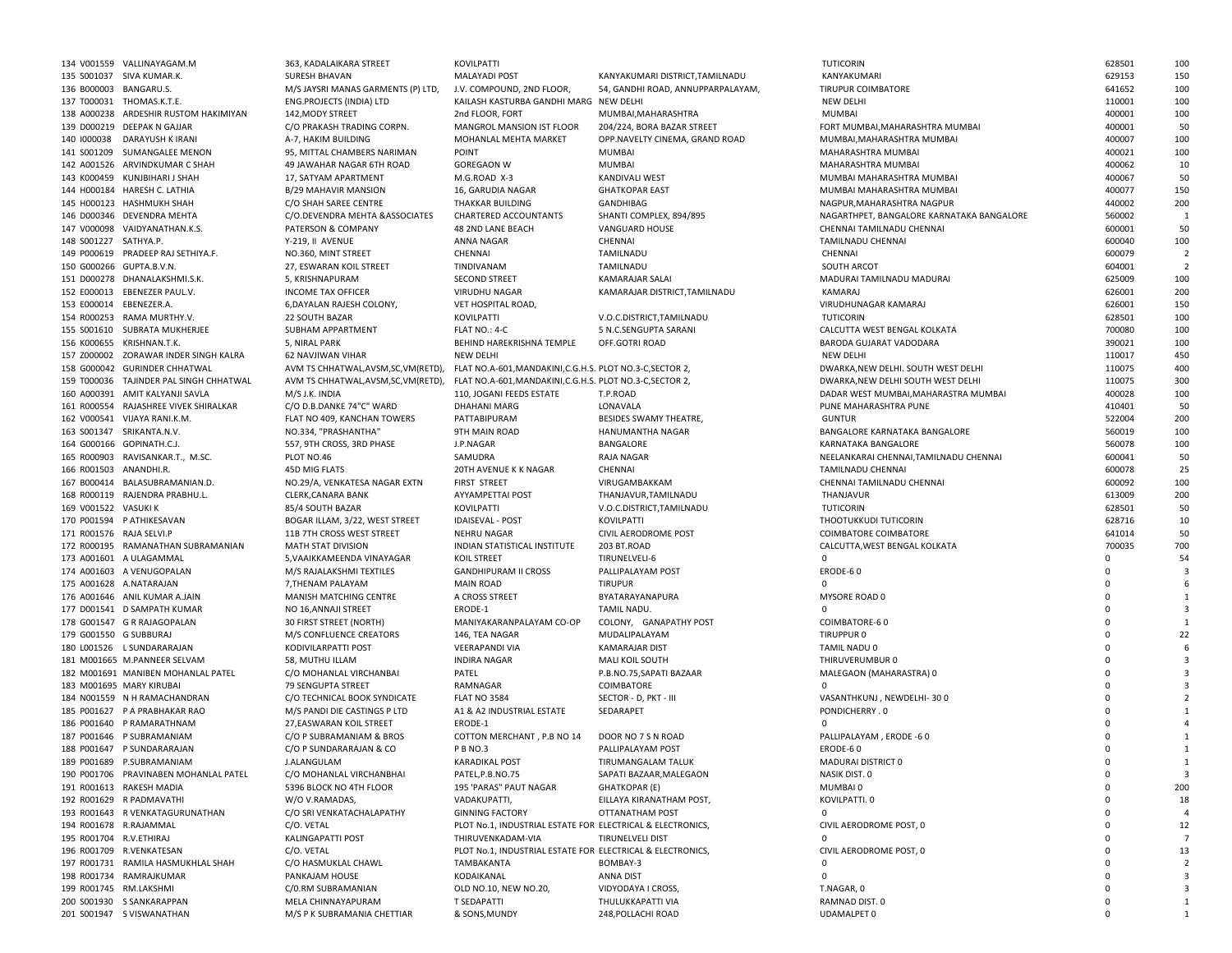|                          | 134 V001559 VALLINAYAGAM.M              | 363, KADALAIKARA STREET               | KOVILPATTI                                                 |                                   | TUTICORIN                                 | 628501      | 100            |
|--------------------------|-----------------------------------------|---------------------------------------|------------------------------------------------------------|-----------------------------------|-------------------------------------------|-------------|----------------|
|                          | 135 S001037 SIVA KUMAR.K.               | <b>SURESH BHAVAN</b>                  | <b>MALAYADI POST</b>                                       | KANYAKUMARI DISTRICT.TAMILNADU    | KANYAKUMARI                               | 629153      | 150            |
| 136 B000003 BANGARU.S.   |                                         | M/S JAYSRI MANAS GARMENTS (P) LTD,    | J.V. COMPOUND, 2ND FLOOR,                                  | 54, GANDHI ROAD, ANNUPPARPALAYAM, | TIRUPUR COIMBATORE                        | 641652      | 100            |
|                          | 137 T000031 THOMAS.K.T.E.               | ENG.PROJECTS (INDIA) LTD              | KAILASH KASTURBA GANDHI MARG NEW DELHI                     |                                   | <b>NEW DELHI</b>                          | 110001      | 100            |
|                          | 138 A000238 ARDESHIR RUSTOM HAKIMIYAN   | 142, MODY STREET                      | 2nd FLOOR, FORT                                            | MUMBAI, MAHARASHTRA               | <b>MUMBAI</b>                             | 400001      | 100            |
|                          |                                         |                                       |                                                            |                                   |                                           |             |                |
|                          | 139 D000219 DEEPAK N GAJJAR             | C/O PRAKASH TRADING CORPN.            | MANGROL MANSION IST FLOOR                                  | 204/224, BORA BAZAR STREET        | FORT MUMBAI, MAHARASHTRA MUMBAI           | 400001      | 50             |
| 140 1000038              | DARAYUSH K IRANI                        | A-7. HAKIM BUILDING                   | MOHANLAL MEHTA MARKET                                      | OPP.NAVELTY CINEMA, GRAND ROAD    | MUMBAI, MAHARASHTRA MUMBAI                | 400007      | 100            |
|                          | 141 S001209 SUMANGALEE MENON            | 95, MITTAL CHAMBERS NARIMAN           | POINT                                                      | MUMBAI                            | MAHARASHTRA MUMBAI                        | 400021      | 100            |
|                          | 142 A001526 ARVINDKUMAR C SHAH          | 49 JAWAHAR NAGAR 6TH ROAD             | <b>GOREGAON W</b>                                          | MUMBAI                            | MAHARASHTRA MUMBAI                        | 400062      | 10             |
|                          | 143 K000459 KUNJBIHARI J SHAH           | 17, SATYAM APARTMENT                  | M.G.ROAD X-3                                               | KANDIVALI WEST                    | MUMBAI MAHARASHTRA MUMBAI                 | 400067      | 50             |
|                          | 144 H000184 HARESH C. LATHIA            | <b>B/29 MAHAVIR MANSION</b>           | 16, GARUDIA NAGAR                                          | <b>GHATKOPAR EAST</b>             | MUMBAI MAHARASHTRA MUMBAI                 | 400077      | 150            |
|                          | 145 H000123 HASHMUKH SHAH               |                                       | THAKKAR BUILDING                                           |                                   |                                           | 440002      | 200            |
|                          |                                         | C/O SHAH SAREE CENTRE                 |                                                            | GANDHIBAG                         | NAGPUR, MAHARASHTRA NAGPUR                |             |                |
|                          | 146 D000346 DEVENDRA MEHTA              | C/O.DEVENDRA MEHTA & ASSOCIATES       | CHARTERED ACCOUNTANTS                                      | SHANTI COMPLEX, 894/895           | NAGARTHPET, BANGALORE KARNATAKA BANGALORE | 560002      | 1              |
|                          | 147 V000098 VAIDYANATHAN.K.S.           | PATERSON & COMPANY                    | 48 2ND LANE BEACH                                          | VANGUARD HOUSE                    | CHENNAI TAMILNADU CHENNAI                 | 600001      | 50             |
| 148 S001227 SATHYA.P.    |                                         | Y-219, II AVENUE                      | ANNA NAGAR                                                 | CHENNAI                           | TAMILNADU CHENNAI                         | 600040      | 100            |
|                          | 149 P000619 PRADEEP RAJ SETHIYA.F.      | NO.360, MINT STREET                   | CHENNAI                                                    | TAMILNADU                         | CHENNAI                                   | 600079      | $\overline{2}$ |
| 150 G000266 GUPTA.B.V.N. |                                         | 27, ESWARAN KOIL STREET               | TINDIVANAM                                                 | TAMILNADU                         | SOUTH ARCOT                               | 604001      | $\overline{2}$ |
|                          | 151 D000278 DHANALAKSHMI.S.K.           | 5, KRISHNAPURAM                       | <b>SECOND STREET</b>                                       | KAMARAJAR SALAI                   | MADURAI TAMILNADU MADURAI                 | 625009      | 100            |
|                          |                                         |                                       |                                                            |                                   |                                           |             |                |
|                          | 152 E000013 EBENEZER PAUL.V.            | <b>INCOME TAX OFFICER</b>             | VIRUDHU NAGAR                                              | KAMARAJAR DISTRICT, TAMILNADU     | KAMARAJ                                   | 626001      | 200            |
| 153 E000014 EBENEZER.A.  |                                         | 6, DAYALAN RAJESH COLONY,             | VET HOSPITAL ROAD,                                         |                                   | VIRUDHUNAGAR KAMARAJ                      | 626001      | 150            |
|                          | 154 R000253 RAMA MURTHY.V.              | 22 SOUTH BAZAR                        | KOVILPATTI                                                 | V.O.C.DISTRICT, TAMILNADU         | TUTICORIN                                 | 628501      | 100            |
|                          | 155 S001610 SUBRATA MUKHERJEE           | SUBHAM APPARTMENT                     | FLAT NO.: 4-C                                              | 5 N.C.SENGUPTA SARANI             | CALCUTTA WEST BENGAL KOLKATA              | 700080      | 100            |
|                          | 156 K000655 KRISHNAN.T.K.               | 5, NIRAL PARK                         | BEHIND HAREKRISHNA TEMPLE                                  | OFF.GOTRI ROAD                    | BARODA GUJARAT VADODARA                   | 390021      | 100            |
|                          | 157 Z000002 ZORAWAR INDER SINGH KALRA   | 62 NAVJIWAN VIHAR                     | <b>NEW DELHI</b>                                           |                                   | NEW DELHI                                 | 110017      | 450            |
|                          | 158 G000042 GURINDER CHHATWAL           | AVM TS CHHATWAL, AVSM, SC, VM (RETD), |                                                            |                                   |                                           | 110075      | 400            |
|                          |                                         |                                       | FLAT NO.A-601, MANDAKINI, C.G.H.S. PLOT NO.3-C, SECTOR 2,  |                                   | DWARKA, NEW DELHI. SOUTH WEST DELHI       |             |                |
|                          | 159 T000036 TAJINDER PAL SINGH CHHATWAL | AVM TS CHHATWAL, AVSM, SC, VM (RETD), | FLAT NO.A-601, MANDAKINI, C.G.H.S. PLOT NO.3-C, SECTOR 2,  |                                   | DWARKA, NEW DELHI SOUTH WEST DELHI        | 110075      | 300            |
|                          | 160 A000391 AMIT KALYANJI SAVLA         | M/S J.K. INDIA                        | 110. JOGANI FEEDS ESTATE                                   | T.P.ROAD                          | DADAR WEST MUMBAI, MAHARASTRA MUMBAI      | 400028      | 100            |
|                          | 161 R000554 RAJASHREE VIVEK SHIRALKAR   | C/O D.B.DANKE 74"C" WARD              | <b>DHAHANI MARG</b>                                        | LONAVALA                          | PUNE MAHARASHTRA PUNE                     | 410401      | 50             |
|                          | 162 V000541 VIJAYA RANI.K.M.            | FLAT NO 409. KANCHAN TOWERS           | PATTABIPURAM                                               | BESIDES SWAMY THEATRE,            | <b>GUNTUR</b>                             | 522004      | 200            |
|                          | 163 S001347 SRIKANTA.N.V.               | NO.334, "PRASHANTHA"                  | 9TH MAIN ROAD                                              | HANUMANTHA NAGAR                  | BANGALORE KARNATAKA BANGALORE             | 560019      | 100            |
|                          | 164 G000166 GOPINATH.C.J.               | 557, 9TH CROSS, 3RD PHASE             | J.P.NAGAR                                                  | BANGALORE                         | KARNATAKA BANGALORE                       | 560078      | 100            |
|                          |                                         |                                       |                                                            |                                   |                                           |             |                |
|                          | 165 R000903 RAVISANKAR.T., M.SC.        | PLOT NO.46                            | SAMUDRA                                                    | RAJA NAGAR                        | NEELANKARAI CHENNAI, TAMILNADU CHENNAI    | 600041      | 50             |
| 166 R001503 ANANDHI.R.   |                                         | 45D MIG FLATS                         | 20TH AVENUE K K NAGAR                                      | CHENNAI                           | <b>TAMILNADU CHENNAI</b>                  | 600078      | 25             |
|                          | 167 B000414 BALASUBRAMANIAN.D.          | NO.29/A, VENKATESA NAGAR EXTN         | <b>FIRST STREET</b>                                        | VIRUGAMBAKKAM                     | CHENNAI TAMILNADU CHENNAI                 | 600092      | 100            |
|                          | 168 R000119 RAJENDRA PRABHU.L.          | CLERK, CANARA BANK                    | AYYAMPETTAI POST                                           | THANJAVUR, TAMILNADU              | THANJAVUR                                 | 613009      | 200            |
| 169 V001522 VASUKI K     |                                         | 85/4 SOUTH BAZAR                      | KOVILPATTI                                                 | V.O.C.DISTRICT,TAMILNADU          | TUTICORIN                                 | 628501      | 50             |
|                          | 170 P001594 P ATHIKESAVAN               | BOGAR ILLAM, 3/22, WEST STREET        | <b>IDAISEVAL - POST</b>                                    | KOVILPATTI                        | THOOTUKKUDI TUTICORIN                     | 628716      | 10             |
| 171 R001576 RAJA SELVI.P |                                         | 11B 7TH CROSS WEST STREET             | NEHRU NAGAR                                                | CIVIL AERODROME POST              | <b>COIMBATORE COIMBATORE</b>              | 641014      | 50             |
|                          |                                         |                                       |                                                            |                                   |                                           |             |                |
|                          | 172 R000195 RAMANATHAN SUBRAMANIAN      | <b>MATH STAT DIVISION</b>             | INDIAN STATISTICAL INSTITUTE                               | 203 BT.ROAD                       | CALCUTTA, WEST BENGAL KOLKATA             | 700035      | 700            |
|                          | 173 A001601 A ULAGAMMAL                 | 5, VAAIKKAMEENDA VINAYAGAR            | KOIL STREET                                                | TIRUNELVELI-6                     | $\Omega$                                  | $\Omega$    | 54             |
|                          | 174 A001603 A VENUGOPALAN               | M/S RAJALAKSHMI TEXTILES              | <b>GANDHIPURAM II CROSS</b>                                | PALLIPALAYAM POST                 | ERODE-60                                  | $\Omega$    |                |
|                          | 175 A001628 A.NATARAJAN                 | 7, THENAM PALAYAM                     | <b>MAIN ROAD</b>                                           | <b>TIRUPUR</b>                    |                                           | $\Omega$    |                |
|                          | 176 A001646 ANIL KUMAR A.JAIN           | MANISH MATCHING CENTRE                | A CROSS STREET                                             | BYATARAYANAPURA                   | MYSORE ROAD 0                             | $\Omega$    |                |
|                          | 177 D001541 D SAMPATH KUMAR             | NO 16, ANNAJI STREET                  | ERODE-1                                                    | TAMIL NADU.                       |                                           | $\Omega$    |                |
|                          | 178 G001547 G R RAJAGOPALAN             | 30 FIRST STREET (NORTH)               | MANIYAKARANPALAYAM CO-OP                                   | COLONY, GANAPATHY POST            | COIMBATORE-60                             | $\Omega$    |                |
|                          |                                         |                                       |                                                            |                                   |                                           |             |                |
| 179 G001550 G SUBBURAJ   |                                         | M/S CONFLUENCE CREATORS               | 146, TEA NAGAR                                             | MUDALIPALAYAM                     | TIRUPPUR 0                                | $\Omega$    | 22             |
|                          | 180 L001526 L SUNDARARAJAN              | KODIVILARPATTI POST                   | VEERAPANDI VIA                                             | <b>KAMARAJAR DIST</b>             | TAMIL NADU 0                              | $\Omega$    |                |
|                          | 181 M001665 M.PANNEER SELVAM            | 58, MUTHU ILLAM                       | <b>INDIRA NAGAR</b>                                        | <b>MALI KOIL SOUTH</b>            | THIRUVERUMBUR 0                           | $\Omega$    |                |
|                          | 182 M001691 MANIBEN MOHANLAL PATEL      | C/O MOHANLAL VIRCHANBAI               | PATEL                                                      | P.B.NO.75, SAPATI BAZAAR          | MALEGAON (MAHARASTRA) 0                   | $\Omega$    |                |
|                          | 183 M001695 MARY KIRUBAI                | 79 SENGUPTA STREET                    | RAMNAGAR                                                   | COIMBATORE                        |                                           | $\Omega$    |                |
|                          | 184 N001559 N H RAMACHANDRAN            | C/O TECHNICAL BOOK SYNDICATE          | <b>FLAT NO 3584</b>                                        | SECTOR - D, PKT - III             | VASANTHKUNJ, NEWDELHI-300                 | $\Omega$    |                |
|                          | 185 P001627 P A PRABHAKAR RAO           | M/S PANDI DIE CASTINGS P LTD          | A1 & A2 INDUSTRIAL ESTATE                                  | SEDARAPET                         | PONDICHERRY . 0                           |             |                |
|                          |                                         |                                       |                                                            |                                   |                                           |             |                |
|                          | 186 P001640 P RAMARATHNAM               | 27, EASWARAN KOIL STREET              | ERODE-1                                                    |                                   |                                           | $\Omega$    |                |
|                          | 187 P001646 P SUBRAMANIAM               | C/O P SUBRAMANIAM & BROS              | COTTON MERCHANT, P.B NO 14                                 | DOOR NO 7 S N ROAD                | PALLIPALAYAM, ERODE -60                   | $\Omega$    |                |
|                          | 188 P001647 P SUNDARARAJAN              | C/O P SUNDARARAJAN & CO               | P B NO.3                                                   | PALLIPALAYAM POST                 | ERODE-60                                  | $\Omega$    |                |
|                          | 189 P001689 P.SUBRAMANIAM               | J.ALANGULAM                           | <b>KARADIKAL POST</b>                                      | TIRUMANGALAM TALUK                | MADURAI DISTRICT 0                        | $\mathbf 0$ | 1              |
|                          | 190 P001706 PRAVINABEN MOHANLAL PATEL   | C/O MOHANLAL VIRCHANBHAI              | PATEL, P.B.NO.75                                           | SAPATI BAZAAR, MALEGAON           | NASIK DIST. 0                             | $\Omega$    | -3             |
|                          | 191 R001613 RAKESH MADIA                | 5396 BLOCK NO 4TH FLOOR               | 195 'PARAS" PAUT NAGAR                                     | <b>GHATKOPAR (E)</b>              | MUMBAI 0                                  | $\Omega$    | 200            |
|                          |                                         |                                       |                                                            |                                   |                                           |             |                |
|                          | 192 R001629 R PADMAVATHI                | W/O V.RAMADAS,                        | VADAKUPATTI,                                               | EILLAYA KIRANATHAM POST,          | KOVILPATTI. 0                             | O           | 18             |
|                          | 193 R001643 R VENKATAGURUNATHAN         | C/O SRI VENKATACHALAPATHY             | <b>GINNING FACTORY</b>                                     | OTTANATHAM POST                   | 0                                         | ŋ           |                |
| 194 R001678 R.RAJAMMAL   |                                         | C/O. VETAL                            | PLOT No.1, INDUSTRIAL ESTATE FOR ELECTRICAL & ELECTRONICS, |                                   | CIVIL AERODROME POST, 0                   |             | 12             |
| 195 R001704 R.V.ETHIRAJ  |                                         | KALINGAPATTI POST                     | THIRUVENKADAM-VIA                                          | TIRUNELVELI DIST                  | $\mathbf 0$                               | $\Omega$    | 7              |
|                          | 196 R001709 R.VENKATESAN                | C/O. VETAL                            | PLOT No.1, INDUSTRIAL ESTATE FOR ELECTRICAL & ELECTRONICS, |                                   | CIVIL AERODROME POST. 0                   |             | 13             |
|                          | 197 R001731 RAMILA HASMUKHLAL SHAH      | C/O HASMUKLAL CHAWL                   | TAMBAKANTA                                                 | BOMBAY-3                          | $\mathbf 0$                               | O           | $\overline{2}$ |
|                          | 198 R001734 RAMRAJKUMAR                 | PANKAJAM HOUSE                        | KODAIKANAL                                                 | ANNA DIST                         | 0                                         |             | 3              |
|                          |                                         |                                       |                                                            |                                   |                                           |             |                |
| 199 R001745 RM.LAKSHMI   |                                         | C/0.RM SUBRAMANIAN                    | OLD NO.10, NEW NO.20,                                      | VIDYODAYA I CROSS,                | T.NAGAR, 0                                | $\Omega$    | 3              |
|                          | 200 S001930 S SANKARAPPAN               | MELA CHINNAYAPURAM                    | T SEDAPATTI                                                | THULUKKAPATTI VIA                 | RAMNAD DIST. 0                            | 0           | 1              |
|                          | 201 S001947 S VISWANATHAN               | M/S P K SUBRAMANIA CHETTIAR           | & SONS, MUNDY                                              | 248, POLLACHI ROAD                | <b>UDAMALPET 0</b>                        | $\Omega$    | 1              |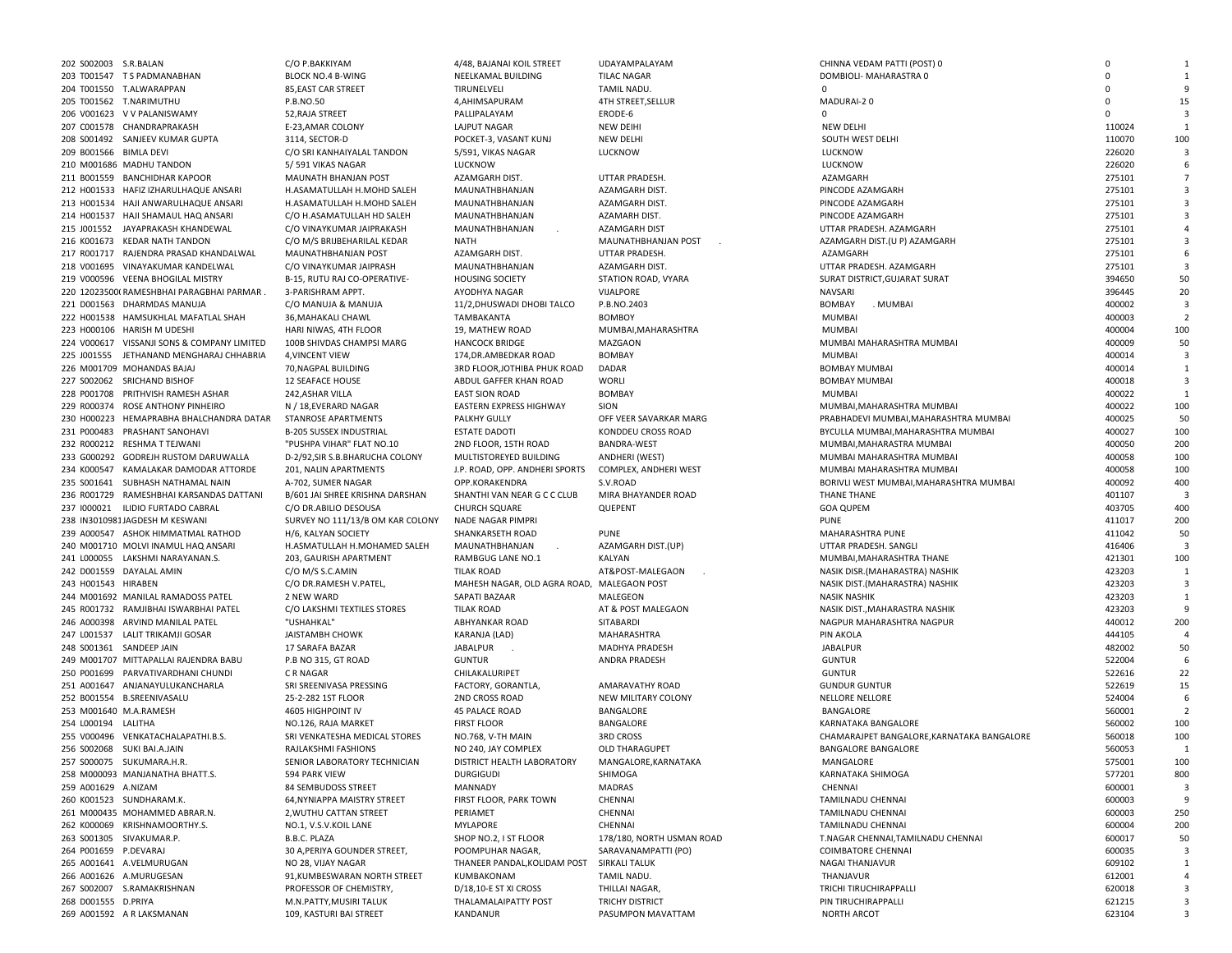| 202 S002003 S.R.BALAN  |                                             | C/O P.BAKKIYAM                   | 4/48. BAJANAI KOIL STREET                  | UDAYAMPALAYAM             | CHINNA VEDAM PATTI (POST) 0                | $\mathbf 0$ |                         |
|------------------------|---------------------------------------------|----------------------------------|--------------------------------------------|---------------------------|--------------------------------------------|-------------|-------------------------|
|                        | 203 T001547 TS PADMANABHAN                  | <b>BLOCK NO.4 B-WING</b>         | NEELKAMAL BUILDING                         | <b>TILAC NAGAR</b>        | DOMBIOLI- MAHARASTRA 0                     | $\Omega$    | $\mathbf{1}$            |
|                        | 204 T001550 T.ALWARAPPAN                    | 85, EAST CAR STREET              | TIRUNELVELI                                | TAMIL NADU.               |                                            | $\Omega$    |                         |
|                        |                                             | P.B.NO.50                        |                                            |                           |                                            | $\Omega$    |                         |
|                        | 205 T001562 T.NARIMUTHU                     |                                  | 4, AHIMSAPURAM                             | 4TH STREET, SELLUR        | MADURAI-20                                 |             | 15                      |
|                        | 206 V001623 V V PALANISWAMY                 | 52, RAJA STREET                  | PALLIPALAYAM                               | ERODE-6                   | $\Omega$                                   | $\mathbf 0$ | 3                       |
|                        | 207 C001578 CHANDRAPRAKASH                  | E-23, AMAR COLONY                | LAJPUT NAGAR                               | <b>NEW DEIHI</b>          | <b>NEW DELHI</b>                           | 110024      | 1                       |
|                        | 208 S001492 SANJEEV KUMAR GUPTA             | 3114, SECTOR-D                   | POCKET-3, VASANT KUNJ                      | <b>NEW DELHI</b>          | SOUTH WEST DELHI                           | 110070      | 100                     |
| 209 B001566 BIMLA DEVI |                                             | C/O SRI KANHAIYALAL TANDON       | 5/591. VIKAS NAGAR                         | LUCKNOW                   | LUCKNOW                                    | 226020      | $\mathbf{3}$            |
|                        | 210 M001686 MADHU TANDON                    | 5/591 VIKAS NAGAR                | LUCKNOW                                    |                           | LUCKNOW                                    | 226020      | 6                       |
|                        | 211 B001559 BANCHIDHAR KAPOOR               | MAUNATH BHANJAN POST             | AZAMGARH DIST.                             | UTTAR PRADESH.            | AZAMGARH                                   | 275101      |                         |
|                        |                                             |                                  |                                            |                           |                                            |             |                         |
|                        | 212 H001533 HAFIZ IZHARULHAQUE ANSARI       | H.ASAMATULLAH H.MOHD SALEH       | MAUNATHBHANJAN                             | AZAMGARH DIST.            | PINCODE AZAMGARH                           | 275101      | 3                       |
|                        | 213 H001534 HAJI ANWARULHAQUE ANSARI        | H.ASAMATULLAH H.MOHD SALEH       | MAUNATHBHANJAN                             | AZAMGARH DIST.            | PINCODE AZAMGARH                           | 275101      | $\overline{3}$          |
|                        | 214 H001537 HAJI SHAMAUL HAQ ANSARI         | C/O H.ASAMATULLAH HD SALEH       | MAUNATHBHANJAN                             | AZAMARH DIST.             | PINCODE AZAMGARH                           | 275101      | $\overline{3}$          |
|                        | 215 J001552 JAYAPRAKASH KHANDEWAL           | C/O VINAYKUMAR JAIPRAKASH        | MAUNATHBHANJAN                             | AZAMGARH DIST             | UTTAR PRADESH. AZAMGARH                    | 275101      | $\overline{4}$          |
|                        | 216 K001673 KEDAR NATH TANDON               | C/O M/S BRIJBEHARILAL KEDAR      | <b>NATH</b>                                | MAUNATHBHANJAN POST       | AZAMGARH DIST.(U P) AZAMGARH               | 275101      | $\overline{3}$          |
|                        | 217 R001717 RAJENDRA PRASAD KHANDALWAL      | MAUNATHBHANJAN POST              | AZAMGARH DIST.                             | UTTAR PRADESH.            | AZAMGARH                                   | 275101      | 6                       |
|                        | 218 V001695 VINAYAKUMAR KANDELWAL           |                                  | MAUNATHBHANJAN                             |                           | UTTAR PRADESH. AZAMGARH                    | 275101      | $\overline{\mathbf{3}}$ |
|                        |                                             | C/O VINAYKUMAR JAIPRASH          |                                            | AZAMGARH DIST.            |                                            |             |                         |
|                        | 219 V000596 VEENA BHOGILAL MISTRY           | B-15, RUTU RAJ CO-OPERATIVE-     | <b>HOUSING SOCIETY</b>                     | STATION ROAD, VYARA       | SURAT DISTRICT, GUJARAT SURAT              | 394650      | 50                      |
|                        | 220 12023500 RAMESHBHAI PARAGBHAI PARMAR.   | 3-PARISHRAM APPT.                | AYODHYA NAGAR                              | VIJALPORE                 | <b>NAVSARI</b>                             | 396445      | 20                      |
|                        | 221 D001563 DHARMDAS MANUJA                 | C/O MANUJA & MANUJA              | 11/2, DHUSWADI DHOBI TALCO                 | P.B.NO.2403               | BOMBAY<br>. MUMBAI                         | 400002      | $\overline{\mathbf{3}}$ |
|                        | 222 H001538 HAMSUKHLAL MAFATLAL SHAH        | 36, MAHAKALI CHAWL               | TAMBAKANTA                                 | <b>BOMBOY</b>             | <b>MUMBAI</b>                              | 400003      | $\overline{2}$          |
|                        | 223 H000106 HARISH M UDESHI                 | HARI NIWAS, 4TH FLOOR            | 19, MATHEW ROAD                            | MUMBAI, MAHARASHTRA       | <b>MUMBAI</b>                              | 400004      | 100                     |
|                        |                                             |                                  |                                            |                           |                                            |             |                         |
|                        | 224 V000617 VISSANJI SONS & COMPANY LIMITED | 100B SHIVDAS CHAMPSI MARG        | <b>HANCOCK BRIDGE</b>                      | MAZGAON                   | MUMBAI MAHARASHTRA MUMBAI                  | 400009      | 50                      |
|                        | 225 J001555 JETHANAND MENGHARAJ CHHABRIA    | 4, VINCENT VIEW                  | 174, DR. AMBEDKAR ROAD                     | <b>BOMBAY</b>             | <b>MUMBAI</b>                              | 400014      | 3                       |
|                        | 226 M001709 MOHANDAS BAJAJ                  | 70, NAGPAL BUILDING              | 3RD FLOOR, JOTHIBA PHUK ROAD               | DADAR                     | <b>BOMBAY MUMBAI</b>                       | 400014      | 1                       |
|                        | 227 S002062 SRICHAND BISHOF                 | <b>12 SEAFACE HOUSE</b>          | ABDUL GAFFER KHAN ROAD                     | WORLI                     | <b>BOMBAY MUMBAI</b>                       | 400018      | 3                       |
|                        | 228 P001708 PRITHVISH RAMESH ASHAR          | 242, ASHAR VILLA                 | <b>EAST SION ROAD</b>                      | BOMBAY                    | <b>MUMBAI</b>                              | 400022      | 1                       |
|                        | 229 R000374 ROSE ANTHONY PINHEIRO           | N / 18, EVERARD NAGAR            | <b>EASTERN EXPRESS HIGHWAY</b>             | SION                      | MUMBAI, MAHARASHTRA MUMBAI                 | 400022      | 100                     |
|                        | 230 H000223 HEMAPRABHA BHALCHANDRA DATAR    |                                  |                                            |                           |                                            |             |                         |
|                        |                                             | STANROSE APARTMENTS              | PALKHY GULLY                               | OFF VEER SAVARKAR MARG    | PRABHADEVI MUMBAI, MAHARASHTRA MUMBAI      | 400025      | 50                      |
|                        | 231 P000483 PRASHANT SANOHAVI               | B-205 SUSSEX INDUSTRIAL          | <b>ESTATE DADOTI</b>                       | KONDDEU CROSS ROAD        | BYCULLA MUMBAI, MAHARASHTRA MUMBAI         | 400027      | 100                     |
|                        | 232 R000212 RESHMA T TEJWANI                | "PUSHPA VIHAR" FLAT NO.10        | 2ND FLOOR, 15TH ROAD                       | <b>BANDRA-WEST</b>        | MUMBAI, MAHARASTRA MUMBAI                  | 400050      | 200                     |
|                        | 233 G000292 GODREJH RUSTOM DARUWALLA        | D-2/92, SIR S.B. BHARUCHA COLONY | MULTISTOREYED BUILDING                     | ANDHERI (WEST)            | MUMBAI MAHARASHTRA MUMBAI                  | 400058      | 100                     |
|                        | 234 K000547 KAMALAKAR DAMODAR ATTORDE       | 201, NALIN APARTMENTS            | J.P. ROAD, OPP. ANDHERI SPORTS             | COMPLEX, ANDHERI WEST     | MUMBAI MAHARASHTRA MUMBAI                  | 400058      | 100                     |
|                        | 235 S001641 SUBHASH NATHAMAL NAIN           | A-702, SUMER NAGAR               | OPP.KORAKENDRA                             | S.V.ROAD                  | BORIVLI WEST MUMBAI, MAHARASHTRA MUMBAI    | 400092      | 400                     |
|                        | 236 R001729 RAMESHBHAI KARSANDAS DATTANI    | B/601 JAI SHREE KRISHNA DARSHAN  | SHANTHI VAN NEAR G C C CLUB                | MIRA BHAYANDER ROAD       | THANE THANE                                | 401107      | $\overline{3}$          |
|                        |                                             |                                  |                                            |                           |                                            |             |                         |
|                        | 237 1000021 ILIDIO FURTADO CABRAL           | C/O DR.ABILIO DESOUSA            | CHURCH SQUARE                              | QUEPENT                   | <b>GOA QUPEM</b>                           | 403705      | 400                     |
|                        | 238 IN3010981JAGDESH M KESWANI              | SURVEY NO 111/13/B OM KAR COLONY | NADE NAGAR PIMPRI                          |                           | <b>PUNE</b>                                | 411017      | 200                     |
|                        | 239 A000547 ASHOK HIMMATMAL RATHOD          | H/6, KALYAN SOCIETY              | SHANKARSETH ROAD                           | PUNE                      | MAHARASHTRA PUNE                           | 411042      | 50                      |
|                        | 240 M001710 MOLVI INAMUL HAQ ANSARI         | H.ASMATULLAH H.MOHAMED SALEH     | MAUNATHBHANJAN                             | AZAMGARH DIST.(UP)        | UTTAR PRADESH. SANGLI                      | 416406      | $\overline{\mathbf{3}}$ |
|                        | 241 L000055 LAKSHMI NARAYANAN.S.            | 203, GAURISH APARTMENT           | RAMBGUG LANE NO.1                          | KALYAN                    | MUMBAI, MAHARASHTRA THANE                  | 421301      | 100                     |
|                        | 242 D001559 DAYALAL AMIN                    |                                  |                                            |                           |                                            | 423203      |                         |
|                        |                                             | C/O M/S S.C.AMIN                 | <b>TILAK ROAD</b>                          | AT&POST-MALEGAON          | NASIK DISR.(MAHARASTRA) NASHIK             |             | 1                       |
| 243 H001543 HIRABEN    |                                             | C/O DR.RAMESH V.PATEL,           | MAHESH NAGAR, OLD AGRA ROAD, MALEGAON POST |                           | NASIK DIST.(MAHARASTRA) NASHIK             | 423203      | $\overline{\mathbf{3}}$ |
|                        | 244 M001692 MANILAL RAMADOSS PATEL          | 2 NEW WARD                       | SAPATI BAZAAR                              | MALEGEON                  | NASIK NASHIK                               | 423203      | 1                       |
|                        | 245 R001732 RAMJIBHAI ISWARBHAI PATEL       | C/O LAKSHMI TEXTILES STORES      | <b>TILAK ROAD</b>                          | AT & POST MALEGAON        | NASIK DIST., MAHARASTRA NASHIK             | 423203      | $\mathbf{q}$            |
|                        | 246 A000398 ARVIND MANILAL PATEL            | "USHAHKAL"                       | ABHYANKAR ROAD                             | SITABARDI                 | NAGPUR MAHARASHTRA NAGPUR                  | 440012      | 200                     |
|                        | 247 L001537 LALIT TRIKAMJI GOSAR            | <b>JAISTAMBH CHOWK</b>           | KARANJA (LAD)                              | MAHARASHTRA               | PIN AKOLA                                  | 444105      | $\overline{a}$          |
|                        | 248 S001361 SANDEEP JAIN                    | 17 SARAFA BAZAR                  | JABALPUR.                                  | MADHYA PRADESH            | <b>JABALPUR</b>                            | 482002      | 50                      |
|                        |                                             |                                  |                                            |                           |                                            |             |                         |
|                        | 249 M001707 MITTAPALLAI RAJENDRA BABU       | P.B NO 315, GT ROAD              | <b>GUNTUR</b>                              | <b>ANDRA PRADESH</b>      | <b>GUNTUR</b>                              | 522004      | 6                       |
|                        | 250 P001699 PARVATIVARDHANI CHUNDI          | C R NAGAR                        | CHILAKALURIPET                             |                           | <b>GUNTUR</b>                              | 522616      | 22                      |
|                        | 251 A001647 ANJANAYULUKANCHARLA             | SRI SREENIVASA PRESSING          | FACTORY, GORANTLA,                         | AMARAVATHY ROAD           | <b>GUNDUR GUNTUR</b>                       | 522619      | 15                      |
|                        | 252 B001554 B.SREENIVASALU                  | 25-2-282 1ST FLOOR               | <b>2ND CROSS ROAD</b>                      | NEW MILITARY COLONY       | NELLORE NELLORE                            | 524004      | 6                       |
|                        | 253 M001640 M.A.RAMESH                      | 4605 HIGHPOINT IV                | <b>45 PALACE ROAD</b>                      | BANGALORE                 | BANGALORE                                  | 560001      | $\overline{2}$          |
| 254 L000194 LALITHA    |                                             | NO.126, RAJA MARKET              | <b>FIRST FLOOR</b>                         | BANGALORE                 | KARNATAKA BANGALORE                        | 560002      | 100                     |
|                        |                                             |                                  |                                            |                           |                                            |             |                         |
|                        | 255 V000496 VENKATACHALAPATHI.B.S.          | SRI VENKATESHA MEDICAL STORES    | NO.768, V-TH MAIN                          | <b>3RD CROSS</b>          | CHAMARAJPET BANGALORE, KARNATAKA BANGALORE | 560018      | 100                     |
|                        | 256 S002068 SUKI BAI.A.JAIN                 | RAJLAKSHMI FASHIONS              | NO 240, JAY COMPLEX                        | <b>OLD THARAGUPET</b>     | <b>BANGALORE BANGALORE</b>                 | 560053      | 1                       |
|                        | 257 S000075 SUKUMARA.H.R.                   | SENIOR LABORATORY TECHNICIAN     | DISTRICT HEALTH LABORATORY                 | MANGALORE, KARNATAKA      | MANGALORE                                  | 575001      | 100                     |
|                        | 258 M000093 MANJANATHA BHATT.S.             | 594 PARK VIEW                    | <b>DURGIGUDI</b>                           | SHIMOGA                   | KARNATAKA SHIMOGA                          | 577201      | 800                     |
| 259 A001629 A.NIZAM    |                                             | 84 SEMBUDOSS STREET              | MANNADY                                    | <b>MADRAS</b>             | CHENNAI                                    | 600001      | $\mathbf{3}$            |
|                        | 260 K001523 SUNDHARAM.K.                    |                                  |                                            |                           | TAMILNADU CHENNAI                          |             | -9                      |
|                        |                                             | 64, NYNIAPPA MAISTRY STREET      | FIRST FLOOR, PARK TOWN                     | CHENNAI                   |                                            | 600003      |                         |
|                        | 261 M000435 MOHAMMED ABRAR.N.               | 2, WUTHU CATTAN STREET           | PERIAMET                                   | CHENNAI                   | TAMILNADU CHENNAI                          | 600003      | 250                     |
|                        | 262 K000069 KRISHNAMOORTHY.S.               | NO.1, V.S.V.KOIL LANE            | MYLAPORE                                   | CHENNAI                   | TAMILNADU CHENNAI                          | 600004      | 200                     |
|                        | 263 S001305 SIVAKUMAR.P.                    | B.B.C. PLAZA                     | SHOP NO.2, I ST FLOOR                      | 178/180, NORTH USMAN ROAD | T.NAGAR CHENNAI.TAMILNADU CHENNAI          | 600017      | 50                      |
| 264 P001659 P.DEVARAJ  |                                             | 30 A, PERIYA GOUNDER STREET,     | POOMPUHAR NAGAR,                           | SARAVANAMPATTI (PO)       | COIMBATORE CHENNAI                         | 600035      | 3                       |
|                        | 265 A001641 A.VELMURUGAN                    | NO 28, VIJAY NAGAR               | THANEER PANDAL, KOLIDAM POST               | SIRKALI TALUK             | NAGAI THANJAVUR                            | 609102      | 1                       |
|                        | 266 A001626 A.MURUGESAN                     |                                  | KUMBAKONAM                                 |                           | THANJAVUR                                  |             | $\overline{4}$          |
|                        |                                             | 91, KUMBESWARAN NORTH STREET     |                                            | TAMIL NADU.               |                                            | 612001      |                         |
|                        | 267 S002007 S.RAMAKRISHNAN                  | PROFESSOR OF CHEMISTRY,          | D/18,10-E ST XI CROSS                      | THILLAI NAGAR,            | TRICHI TIRUCHIRAPPALLI                     | 620018      | -3                      |
| 268 D001555 D.PRIYA    |                                             | M.N.PATTY, MUSIRI TALUK          | THALAMALAIPATTY POST                       | TRICHY DISTRICT           | PIN TIRUCHIRAPPALLI                        | 621215      | 3                       |
|                        | 269 A001592 A R LAKSMANAN                   | 109, KASTURI BAI STREET          | KANDANUR                                   | PASUMPON MAVATTAM         | <b>NORTH ARCOT</b>                         | 623104      | $\overline{\mathbf{3}}$ |
|                        |                                             |                                  |                                            |                           |                                            |             |                         |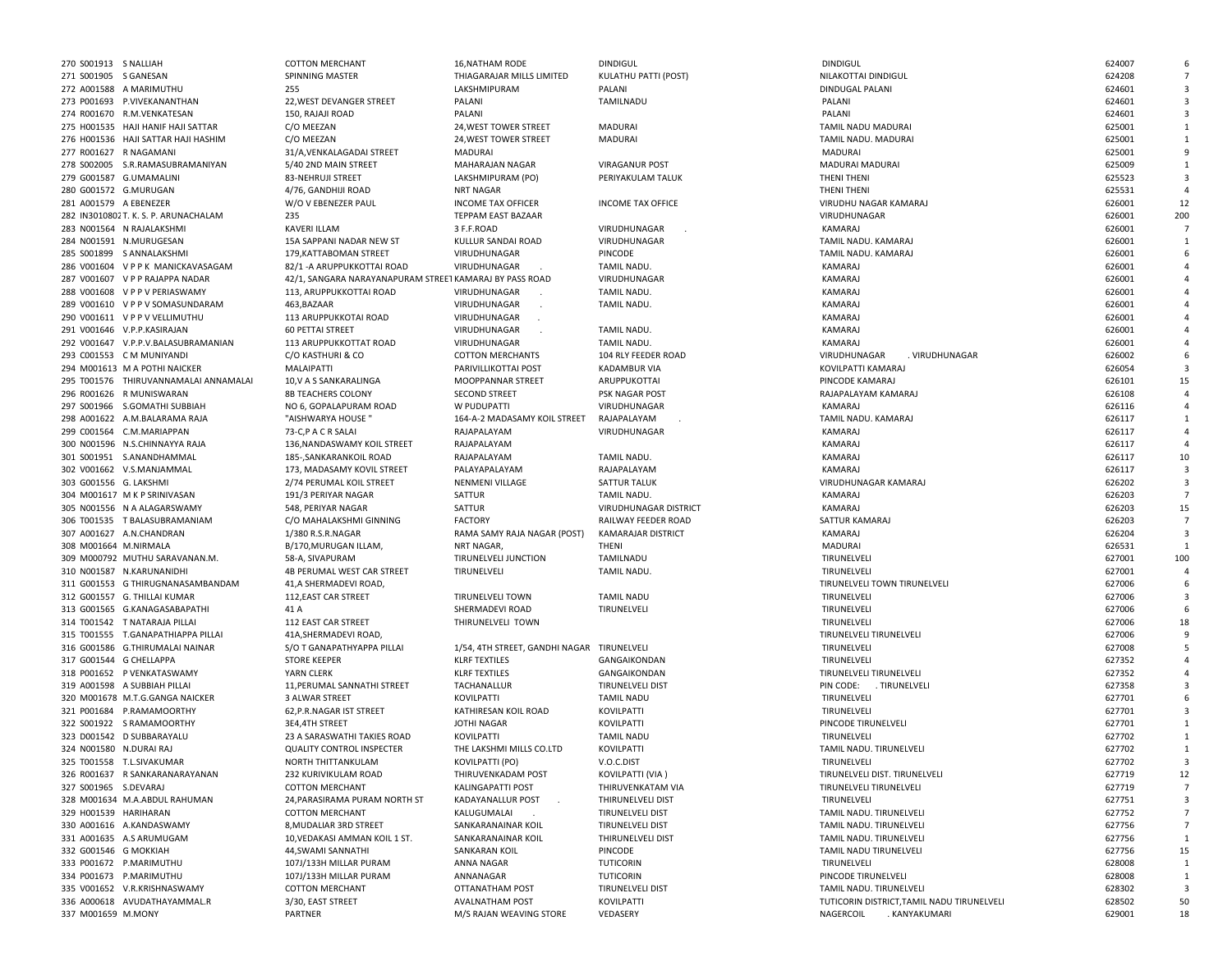| 270 S001913 S NALLIAH   |                                       | <b>COTTON MERCHANT</b>                                  | 16, NATHAM RODE                            | <b>DINDIGUL</b>           | <b>DINDIGUL</b>                            | 624007 |                |
|-------------------------|---------------------------------------|---------------------------------------------------------|--------------------------------------------|---------------------------|--------------------------------------------|--------|----------------|
| 271 S001905 S GANESAN   |                                       | SPINNING MASTER                                         | THIAGARAJAR MILLS LIMITED                  | KULATHU PATTI (POST)      | NILAKOTTAI DINDIGUL                        | 624208 |                |
|                         | 272 A001588 A MARIMUTHU               | 255                                                     | LAKSHMIPURAM                               | PALANI                    | DINDUGAL PALANI                            | 624601 |                |
|                         | 273 P001693 P.VIVEKANANTHAN           | 22, WEST DEVANGER STREET                                | PALANI                                     | TAMILNADU                 | PALANI                                     | 624601 | 3              |
|                         | 274 R001670 R.M.VENKATESAN            | 150, RAJAJI ROAD                                        | PALANI                                     |                           | PALANI                                     | 624601 | 3              |
|                         | 275 H001535 HAJI HANIF HAJI SATTAR    | C/O MEEZAN                                              | 24, WEST TOWER STREET                      | MADURAI                   | TAMIL NADU MADURAI                         | 625001 |                |
|                         | 276 H001536 HAJI SATTAR HAJI HASHIM   | C/O MEEZAN                                              | 24, WEST TOWER STREET                      | MADURAI                   | TAMIL NADU. MADURAI                        | 625001 |                |
| 277 R001627 R NAGAMANI  |                                       | 31/A, VENKALAGADAI STREET                               | MADURAI                                    |                           | <b>MADURAI</b>                             | 625001 | 9              |
|                         | 278 S002005 S.R.RAMASUBRAMANIYAN      | 5/40 2ND MAIN STREET                                    | MAHARAJAN NAGAR                            | <b>VIRAGANUR POST</b>     | MADURAI MADURAI                            | 625009 |                |
|                         | 279 G001587 G.UMAMALINI               | 83-NEHRUJI STREET                                       | LAKSHMIPURAM (PO)                          | PERIYAKULAM TALUK         | THENI THENI                                | 625523 | 3              |
| 280 G001572 G.MURUGAN   |                                       | 4/76, GANDHIJI ROAD                                     | NRT NAGAR                                  |                           | THENI THENI                                | 625531 | $\overline{a}$ |
| 281 A001579 A EBENEZER  |                                       | W/O V EBENEZER PAUL                                     | <b>INCOME TAX OFFICER</b>                  | <b>INCOME TAX OFFICE</b>  | VIRUDHU NAGAR KAMARAJ                      | 626001 | 12             |
|                         | 282 IN3010802 T. K. S. P. ARUNACHALAM | 235                                                     | TEPPAM EAST BAZAAR                         |                           | VIRUDHUNAGAR                               | 626001 | 200            |
|                         | 283 N001564 N RAJALAKSHMI             | KAVERI ILLAM                                            | 3 F.F.ROAD                                 | VIRUDHUNAGAR              | KAMARAJ                                    | 626001 | $\overline{7}$ |
|                         | 284 N001591 N.MURUGESAN               | 15A SAPPANI NADAR NEW ST                                | KULLUR SANDAI ROAD                         | VIRUDHUNAGAR              | TAMIL NADU. KAMARAJ                        | 626001 | 1              |
|                         | 285 S001899 S ANNALAKSHMI             | 179, KATTABOMAN STREET                                  | VIRUDHUNAGAR                               | PINCODE                   | TAMIL NADU. KAMARAJ                        | 626001 |                |
|                         | 286 V001604 VPPK MANICKAVASAGAM       | 82/1 - A ARUPPUKKOTTAI ROAD                             | VIRUDHUNAGAR                               | <b>TAMIL NADU</b>         | KAMARAJ                                    | 626001 |                |
|                         | 287 V001607 V P P RAJAPPA NADAR       | 42/1, SANGARA NARAYANAPURAM STREET KAMARAJ BY PASS ROAD |                                            | VIRUDHUNAGAR              | KAMARAJ                                    | 626001 |                |
|                         | 288 V001608 VPPVPERIASWAMY            | 113, ARUPPUKKOTTAI ROAD                                 | VIRUDHUNAGAR                               | <b>TAMIL NADU</b>         | KAMARAJ                                    | 626001 |                |
|                         | 289 V001610 V P P V SOMASUNDARAM      | 463, BAZAAR                                             | VIRUDHUNAGAR                               | <b>TAMIL NADU</b>         | KAMARAJ                                    | 626001 |                |
|                         | 290 V001611 VPPVVELLIMUTHU            | 113 ARUPPUKKOTAI ROAD                                   | VIRUDHUNAGAR                               |                           | KAMARAJ                                    | 626001 |                |
|                         | 291 V001646 V.P.P.KASIRAJAN           | <b>60 PETTAI STREET</b>                                 | VIRUDHUNAGAR                               | <b>TAMIL NADU</b>         | KAMARAJ                                    | 626001 |                |
|                         | 292 V001647 V.P.P.V.BALASUBRAMANIAN   | 113 ARUPPUKKOTTAT ROAD                                  | VIRUDHUNAGAR                               | <b>TAMIL NADU</b>         | KAMARAJ                                    | 626001 |                |
|                         | 293 C001553 C M MUNIYANDI             | C/O KASTHURI & CO                                       | <b>COTTON MERCHANTS</b>                    | 104 RLY FEEDER ROAD       | VIRUDHUNAGAR<br>. VIRUDHUNAGAR             | 626002 | -6             |
|                         | 294 M001613 M A POTHI NAICKER         | MALAIPATTI                                              | PARIVILLIKOTTAI POST                       | <b>KADAMBUR VIA</b>       | KOVILPATTI KAMARAJ                         | 626054 | $\overline{3}$ |
|                         | 295 T001576 THIRUVANNAMALAI ANNAMALAI | 10, V A S SANKARALINGA                                  | <b>MOOPPANNAR STREET</b>                   | ARUPPUKOTTAI              | PINCODE KAMARAJ                            | 626101 | 15             |
|                         | 296 R001626 R MUNISWARAN              | <b>8B TEACHERS COLONY</b>                               | <b>SECOND STREET</b>                       | PSK NAGAR POST            | RAJAPALAYAM KAMARAJ                        | 626108 |                |
|                         | 297 S001966 S.GOMATHI SUBBIAH         | NO 6. GOPALAPURAM ROAD                                  | W PUDUPATTI                                | VIRUDHUNAGAR              | KAMARAJ                                    | 626116 |                |
|                         | 298 A001622 A.M.BALARAMA RAJA         | "AISHWARYA HOUSE"                                       | 164-A-2 MADASAMY KOIL STREET               | RAJAPALAYAM               | TAMIL NADU. KAMARAJ                        | 626117 |                |
|                         | 299 C001564 C.M.MARIAPPAN             | 73-C,P A C R SALAI                                      | RAJAPALAYAM                                | VIRUDHUNAGAR              | KAMARAJ                                    | 626117 | $\overline{4}$ |
|                         | 300 N001596 N.S.CHINNAYYA RAJA        | 136.NANDASWAMY KOIL STREET                              | RAJAPALAYAM                                |                           | KAMARAJ                                    | 626117 |                |
|                         | 301 S001951 S.ANANDHAMMAL             | 185-, SANKARANKOIL ROAD                                 | RAJAPALAYAM                                | TAMIL NADU.               | KAMARAJ                                    | 626117 | 10             |
|                         | 302 V001662 V.S.MANJAMMAL             | 173, MADASAMY KOVIL STREET                              | PALAYAPALAYAM                              | RAJAPALAYAM               | KAMARAJ                                    | 626117 | $\overline{3}$ |
| 303 G001556 G. LAKSHMI  |                                       | 2/74 PERUMAL KOIL STREET                                | NENMENI VILLAGE                            | SATTUR TALUK              | VIRUDHUNAGAR KAMARAJ                       | 626202 | 3              |
|                         | 304 M001617 M K P SRINIVASAN          | 191/3 PERIYAR NAGAR                                     | SATTUR                                     | TAMIL NADU.               | KAMARAJ                                    | 626203 |                |
|                         | 305 N001556 N A ALAGARSWAMY           | 548, PERIYAR NAGAR                                      | SATTUR                                     | VIRUDHUNAGAR DISTRICT     | KAMARAJ                                    | 626203 | 15             |
|                         | 306 T001535 T BALASUBRAMANIAM         | C/O MAHALAKSHMI GINNING                                 | <b>FACTORY</b>                             | RAILWAY FEEDER ROAD       | SATTUR KAMARAJ                             | 626203 | $\overline{7}$ |
|                         | 307 A001627 A.N.CHANDRAN              | 1/380 R.S.R.NAGAR                                       | RAMA SAMY RAJA NAGAR (POST)                | <b>KAMARAJAR DISTRICT</b> | KAMARAJ                                    | 626204 | 3              |
| 308 M001664 M.NIRMALA   |                                       | B/170, MURUGAN ILLAM,                                   | NRT NAGAR,                                 | THENI                     | MADURAI                                    | 626531 | $\mathbf{1}$   |
|                         | 309 M000792 MUTHU SARAVANAN.M.        | 58-A, SIVAPURAM                                         | TIRUNELVELI JUNCTION                       | TAMILNADU                 | TIRUNELVELI                                | 627001 | 100            |
|                         | 310 N001587 N.KARUNANIDHI             | 4B PERUMAL WEST CAR STREET                              | TIRUNELVELI                                | <b>TAMIL NADU</b>         | TIRUNELVELI                                | 627001 | $\overline{a}$ |
|                         | 311 G001553 G THIRUGNANASAMBANDAM     | 41, A SHERMADEVI ROAD,                                  |                                            |                           | TIRUNELVELI TOWN TIRUNELVELI               | 627006 | 6              |
|                         | 312 G001557 G. THILLAI KUMAR          | 112, EAST CAR STREET                                    | <b>TIRUNELVELI TOWN</b>                    | <b>TAMIL NADU</b>         | TIRUNELVELI                                | 627006 | 3              |
|                         | 313 G001565 G.KANAGASABAPATHI         | 41 A                                                    | SHERMADEVI ROAD                            | TIRUNELVELI               | TIRUNELVELI                                | 627006 | 6              |
|                         | 314 T001542 T NATARAJA PILLAI         | 112 EAST CAR STREET                                     | THIRUNELVELI TOWN                          |                           | TIRUNELVELI                                | 627006 | 18             |
|                         | 315 T001555 T.GANAPATHIAPPA PILLAI    | 41A, SHERMADEVI ROAD,                                   |                                            |                           | TIRUNELVELI TIRUNELVELI                    | 627006 |                |
|                         | 316 G001586 G.THIRUMALAI NAINAR       | S/O T GANAPATHYAPPA PILLAI                              | 1/54, 4TH STREET, GANDHI NAGAR TIRUNELVELI |                           | TIRUNELVELI                                | 627008 |                |
| 317 G001544 G CHELLAPPA |                                       | <b>STORE KEEPER</b>                                     | <b>KLRF TEXTILES</b>                       | GANGAIKONDAN              | TIRUNELVELI                                | 627352 |                |
|                         | 318 P001652 P VENKATASWAMY            | YARN CLERK                                              | <b>KLRF TEXTILES</b>                       | GANGAIKONDAN              | TIRUNELVELI TIRUNELVELI                    | 627352 |                |
|                         | 319 A001598 A SUBBIAH PILLAI          | 11, PERUMAL SANNATHI STREET                             | TACHANALLUR                                | TIRUNELVELI DIST          | PIN CODE: . TIRUNELVELI                    | 627358 |                |
|                         | 320 M001678 M.T.G.GANGA NAICKER       | 3 ALWAR STREET                                          | KOVILPATTI                                 | <b>TAMIL NADU</b>         | TIRUNELVELI                                | 627701 | 6              |
|                         | 321 P001684 P.RAMAMOORTHY             | 62, P.R. NAGAR IST STREET                               | KATHIRESAN KOIL ROAD                       | KOVILPATTI                | TIRUNELVELI                                | 627701 | 3              |
|                         | 322 S001922 S RAMAMOORTHY             | 3E4,4TH STREET                                          | JOTHI NAGAR                                | KOVILPATTI                | PINCODE TIRUNELVELI                        | 627701 |                |
|                         | 323 D001542 D SUBBARAYALU             | 23 A SARASWATHI TAKIES ROAD                             | KOVILPATTI                                 | <b>TAMIL NADU</b>         | TIRUNELVELI                                | 627702 | 1              |
| 324 N001580 N.DURAI RAJ |                                       | <b>QUALITY CONTROL INSPECTER</b>                        | THE LAKSHMI MILLS CO.LTD                   | <b>KOVILPATTI</b>         | TAMIL NADU. TIRUNELVELI                    | 627702 |                |
|                         | 325 T001558 T.L.SIVAKUMAR             | NORTH THITTANKULAM                                      | KOVILPATTI (PO)                            | V.O.C.DIST                | TIRUNELVELI                                | 627702 | 3              |
|                         | 326 R001637 R SANKARANARAYANAN        | 232 KURIVIKULAM ROAD                                    | THIRUVENKADAM POST                         | KOVILPATTI (VIA)          | TIRUNELVELI DIST. TIRUNELVELI              | 627719 | 12             |
| 327 S001965 S.DEVARAJ   |                                       | <b>COTTON MERCHANT</b>                                  | KALINGAPATTI POST                          | THIRUVENKATAM VIA         | TIRUNELVELI TIRUNELVELI                    | 627719 | $\overline{7}$ |
|                         | 328 M001634 M.A.ABDUL RAHUMAN         | 24, PARASIRAMA PURAM NORTH ST                           | KADAYANALLUR POST                          | THIRUNELVELI DIST         | TIRUNELVELI                                | 627751 | 3              |
| 329 H001539 HARIHARAN   |                                       | <b>COTTON MERCHANT</b>                                  | KALUGUMALAI                                | TIRUNELVELI DIST          | TAMIL NADU. TIRUNELVELI                    | 627752 | 7              |
|                         | 330 A001616 A.KANDASWAMY              | 8, MUDALIAR 3RD STREET                                  | SANKARANAINAR KOIL                         | TIRUNELVELI DIST          | TAMIL NADU. TIRUNELVELI                    | 627756 | $\overline{7}$ |
|                         | 331 A001635 A.S ARUMUGAM              | 10, VEDAKASI AMMAN KOIL 1 ST.                           | SANKARANAINAR KOIL                         | THIRUNELVELI DIST         | TAMIL NADU. TIRUNELVELI                    | 627756 | 1              |
| 332 G001546 G MOKKIAH   |                                       | 44, SWAMI SANNATHI                                      | SANKARAN KOIL                              | PINCODE                   | TAMIL NADU TIRUNELVELI                     | 627756 | 15             |
|                         | 333 P001672 P.MARIMUTHU               | 107J/133H MILLAR PURAM                                  | ANNA NAGAR                                 | TUTICORIN                 | TIRUNELVELI                                | 628008 | 1              |
|                         | 334 P001673 P.MARIMUTHU               | 107J/133H MILLAR PURAM                                  | ANNANAGAR                                  | TUTICORIN                 | PINCODE TIRUNELVELI                        | 628008 | 1              |
|                         | 335 V001652 V.R.KRISHNASWAMY          | <b>COTTON MERCHANT</b>                                  | OTTANATHAM POST                            | TIRUNELVELI DIST          | TAMIL NADU. TIRUNELVELI                    | 628302 | 3              |
|                         | 336 A000618 AVUDATHAYAMMAL.R          | 3/30, EAST STREET                                       | <b>AVALNATHAM POST</b>                     | KOVILPATTI                | TUTICORIN DISTRICT, TAMIL NADU TIRUNELVELI | 628502 | 50             |
| 337 M001659 M.MONY      |                                       | PARTNER                                                 | M/S RAJAN WEAVING STORE                    | VEDASERY                  | NAGERCOIL<br>. KANYAKUMARI                 | 629001 | 18             |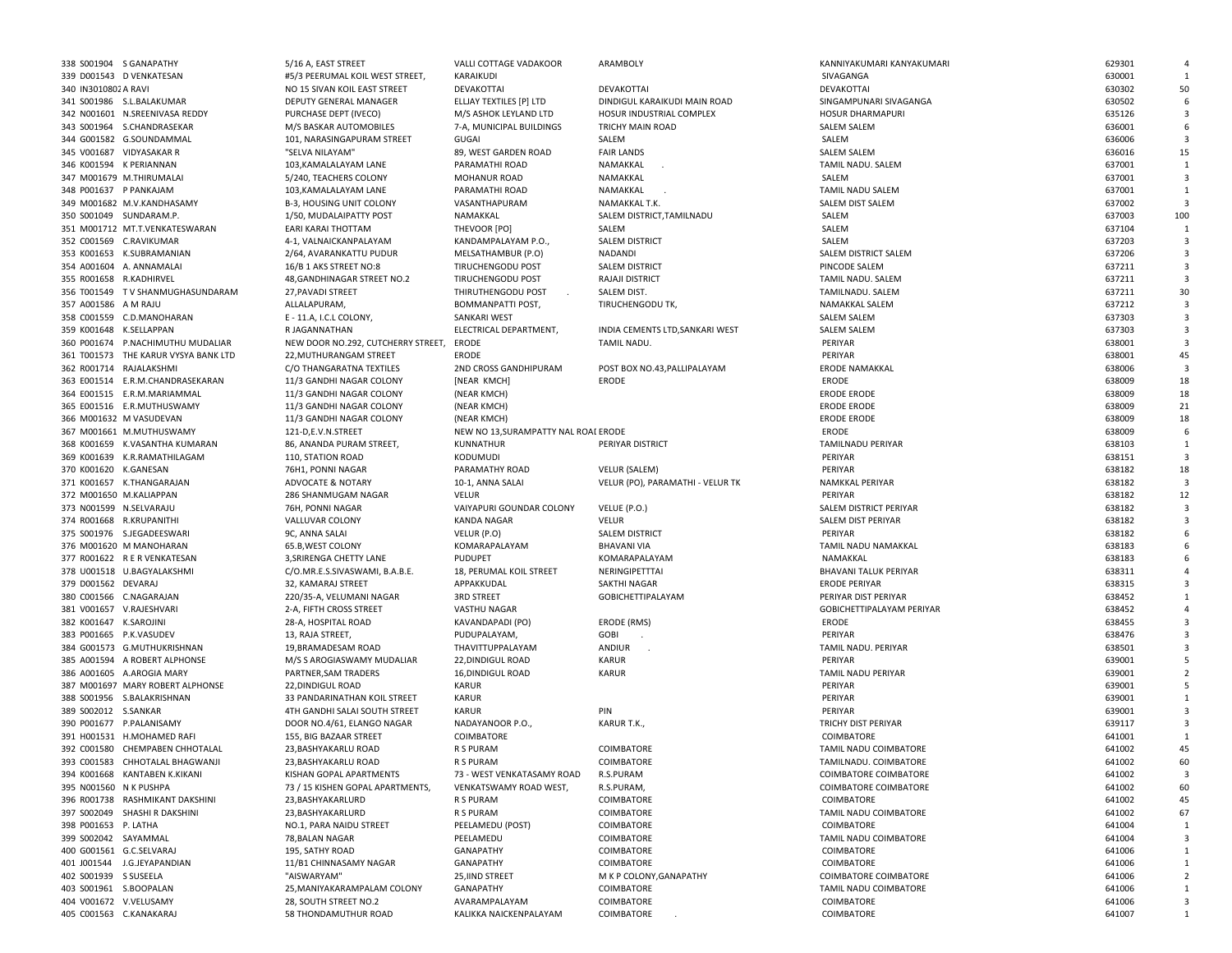|                         | 338 S001904 S GANAPATHY              | 5/16 A, EAST STREET                | VALLI COTTAGE VADAKOOR              | ARAMBOLY                         | KANNIYAKUMARI KANYAKUMARI    | 629301 |     |
|-------------------------|--------------------------------------|------------------------------------|-------------------------------------|----------------------------------|------------------------------|--------|-----|
|                         | 339 D001543 D VENKATESAN             |                                    | KARAIKUDI                           |                                  |                              | 630001 |     |
|                         |                                      | #5/3 PEERUMAL KOIL WEST STREET,    |                                     |                                  | SIVAGANGA                    |        |     |
| 340 IN3010802 A RAVI    |                                      | NO 15 SIVAN KOIL EAST STREET       | DEVAKOTTAI                          | DEVAKOTTAI                       | DEVAKOTTAI                   | 630302 | 50  |
|                         | 341 S001986 S.L.BALAKUMAR            | DEPUTY GENERAL MANAGER             | ELLJAY TEXTILES [P] LTD             | DINDIGUL KARAIKUDI MAIN ROAD     | SINGAMPUNARI SIVAGANGA       | 630502 |     |
|                         | 342 N001601 N.SREENIVASA REDDY       | PURCHASE DEPT (IVECO)              | M/S ASHOK LEYLAND LTD               | HOSUR INDUSTRIAL COMPLEX         | <b>HOSUR DHARMAPURI</b>      | 635126 |     |
|                         | 343 S001964 S.CHANDRASEKAR           | M/S BASKAR AUTOMOBILES             | 7-A, MUNICIPAL BUILDINGS            | TRICHY MAIN ROAD                 | <b>SALEM SALEM</b>           | 636001 |     |
|                         | 344 G001582 G.SOUNDAMMAL             | 101, NARASINGAPURAM STREET         | <b>GUGAI</b>                        | SALEM                            | SALEM                        | 636006 |     |
|                         |                                      |                                    |                                     |                                  |                              |        |     |
|                         | 345 V001687 VIDYASAKAR R             | "SELVA NILAYAM"                    | 89, WEST GARDEN ROAD                | <b>FAIR LANDS</b>                | SALEM SALEM                  | 636016 | 15  |
|                         | 346 K001594 K PERIANNAN              | 103, KAMALALAYAM LANE              | PARAMATHI ROAD                      | NAMAKKAL                         | TAMIL NADU. SALEM            | 637001 | 1   |
|                         | 347 M001679 M.THIRUMALAI             | 5/240, TEACHERS COLONY             | MOHANUR ROAD                        | NAMAKKAL                         | SALEM                        | 637001 |     |
| 348 P001637 P PANKAJAM  |                                      | 103, KAMALALAYAM LANE              | PARAMATHI ROAD                      | NAMAKKAL                         | TAMIL NADU SALEM             | 637001 |     |
|                         | 349 M001682 M.V.KANDHASAMY           | B-3, HOUSING UNIT COLONY           | VASANTHAPURAM                       | NAMAKKAL T.K.                    | SALEM DIST SALEM             | 637002 |     |
|                         | 350 S001049 SUNDARAM.P.              |                                    | NAMAKKAL                            |                                  | SALEM                        | 637003 | 100 |
|                         |                                      | 1/50, MUDALAIPATTY POST            |                                     | SALEM DISTRICT, TAMILNADU        |                              |        |     |
|                         | 351 M001712 MT.T.VENKATESWARAN       | EARI KARAI THOTTAM                 | THEVOOR [PO]                        | SALEM                            | SALEM                        | 637104 |     |
|                         | 352 C001569 C.RAVIKUMAR              | 4-1, VALNAICKANPALAYAM             | KANDAMPALAYAM P.O.                  | SALEM DISTRICT                   | SALEM                        | 637203 |     |
|                         | 353 K001653 K.SUBRAMANIAN            | 2/64, AVARANKATTU PUDUR            | MELSATHAMBUR (P.O)                  | NADANDI                          | SALEM DISTRICT SALEM         | 637206 |     |
|                         | 354 A001604 A. ANNAMALAI             | 16/B 1 AKS STREET NO:8             | TIRUCHENGODU POST                   | SALEM DISTRICT                   | PINCODE SALEM                | 637211 |     |
| 355 R001658 R.KADHIRVEL |                                      | 48, GANDHINAGAR STREET NO.2        | TIRUCHENGODU POST                   | RAJAJI DISTRICT                  | TAMIL NADU. SALEM            | 637211 |     |
|                         | 356 T001549 TV SHANMUGHASUNDARAM     |                                    |                                     |                                  |                              |        |     |
|                         |                                      | 27, PAVADI STREET                  | THIRUTHENGODU POST                  | SALEM DIST.                      | TAMILNADU. SALEM             | 637211 | 30  |
| 357 A001586 A M RAJU    |                                      | ALLALAPURAM,                       | BOMMANPATTI POST,                   | TIRUCHENGODU TK,                 | NAMAKKAL SALEM               | 637212 |     |
|                         | 358 C001559 C.D.MANOHARAN            | E - 11.A, I.C.L COLONY,            | SANKARI WEST                        |                                  | <b>SALEM SALEM</b>           | 637303 |     |
| 359 K001648 K.SELLAPPAN |                                      | R JAGANNATHAN                      | ELECTRICAL DEPARTMENT,              | INDIA CEMENTS LTD, SANKARI WEST  | <b>SALEM SALEM</b>           | 637303 |     |
|                         | 360 P001674 P.NACHIMUTHU MUDALIAR    | NEW DOOR NO.292, CUTCHERRY STREET, | ERODE                               | TAMIL NADU.                      | PERIYAR                      | 638001 |     |
|                         | 361 T001573 THE KARUR VYSYA BANK LTD | 22, MUTHURANGAM STREET             | ERODE                               |                                  | PERIYAR                      | 638001 | 45  |
|                         |                                      |                                    |                                     |                                  |                              |        |     |
|                         | 362 R001714 RAJALAKSHMI              | C/O THANGARATNA TEXTILES           | 2ND CROSS GANDHIPURAM               | POST BOX NO.43, PALLIPALAYAM     | <b>ERODE NAMAKKAL</b>        | 638006 |     |
|                         | 363 E001514 E.R.M.CHANDRASEKARAN     | 11/3 GANDHI NAGAR COLONY           | [NEAR KMCH]                         | <b>ERODE</b>                     | <b>ERODE</b>                 | 638009 | 18  |
|                         | 364 E001515 E.R.M.MARIAMMAL          | 11/3 GANDHI NAGAR COLONY           | (NEAR KMCH)                         |                                  | <b>ERODE ERODE</b>           | 638009 | 18  |
|                         | 365 E001516 E.R.MUTHUSWAMY           | 11/3 GANDHI NAGAR COLONY           | (NEAR KMCH)                         |                                  | <b>ERODE ERODE</b>           | 638009 | 21  |
|                         | 366 M001632 M VASUDEVAN              | 11/3 GANDHI NAGAR COLONY           | (NEAR KMCH)                         |                                  | <b>ERODE ERODE</b>           | 638009 | 18  |
|                         | 367 M001661 M.MUTHUSWAMY             | 121-D,E.V.N.STREET                 | NEW NO 13.SURAMPATTY NAL ROAI ERODE |                                  | ERODE                        | 638009 |     |
|                         | 368 K001659 K.VASANTHA KUMARAN       | 86, ANANDA PURAM STREET,           | KUNNATHUR                           | PERIYAR DISTRICT                 | TAMILNADU PERIYAR            | 638103 | -1  |
|                         |                                      |                                    |                                     |                                  |                              |        |     |
|                         | 369 K001639 K.R.RAMATHILAGAM         | 110, STATION ROAD                  | KODUMUDI                            |                                  | PERIYAR                      | 638151 |     |
| 370 K001620 K.GANESAN   |                                      | 76H1, PONNI NAGAR                  | PARAMATHY ROAD                      | VELUR (SALEM)                    | PERIYAR                      | 638182 | 18  |
|                         | 371 K001657 K.THANGARAJAN            | ADVOCATE & NOTARY                  | 10-1, ANNA SALAI                    | VELUR (PO), PARAMATHI - VELUR TK | NAMKKAL PERIYAR              | 638182 |     |
|                         | 372 M001650 M.KALIAPPAN              | 286 SHANMUGAM NAGAR                | <b>VELUR</b>                        |                                  | PERIYAR                      | 638182 | 12  |
| 373 N001599 N.SELVARAJU |                                      | 76H, PONNI NAGAR                   | VAIYAPURI GOUNDAR COLONY            | VELUE (P.O.)                     | SALEM DISTRICT PERIYAR       | 638182 |     |
|                         | 374 R001668 R.KRUPANITHI             | VALLUVAR COLONY                    | <b>KANDA NAGAR</b>                  | <b>VELUR</b>                     | SALEM DIST PERIYAR           | 638182 |     |
|                         | 375 S001976 S.JEGADEESWARI           | 9C, ANNA SALAI                     |                                     | <b>SALEM DISTRICT</b>            | PERIYAR                      | 638182 |     |
|                         |                                      |                                    | VELUR (P.O)                         |                                  |                              |        |     |
|                         | 376 M001620 M MANOHARAN              | 65.B, WEST COLONY                  | KOMARAPALAYAM                       | <b>BHAVANI VIA</b>               | TAMIL NADU NAMAKKAL          | 638183 |     |
|                         | 377 R001622 R E R VENKATESAN         | 3, SRIRENGA CHETTY LANE            | PUDUPET                             | KOMARAPALAYAM                    | NAMAKKAL                     | 638183 |     |
|                         | 378 U001518 U.BAGYALAKSHMI           | C/O.MR.E.S.SIVASWAMI, B.A.B.E.     | 18, PERUMAL KOIL STREET             | NERINGIPETTTAI                   | <b>BHAVANI TALUK PERIYAR</b> | 638311 |     |
| 379 D001562 DEVARAJ     |                                      | 32, KAMARAJ STREET                 | APPAKKUDAL                          | SAKTHI NAGAR                     | <b>ERODE PERIYAR</b>         | 638315 |     |
|                         | 380 C001566 C.NAGARAJAN              | 220/35-A, VELUMANI NAGAR           | <b>3RD STREET</b>                   | <b>GOBICHETTIPALAYAM</b>         | PERIYAR DIST PERIYAR         | 638452 |     |
|                         | 381 V001657 V.RAJESHVARI             | 2-A, FIFTH CROSS STREET            | VASTHU NAGAR                        |                                  | GOBICHETTIPALAYAM PERIYAR    | 638452 |     |
|                         |                                      |                                    |                                     |                                  |                              |        |     |
| 382 K001647 K.SAROJINI  |                                      | 28-A, HOSPITAL ROAD                | KAVANDAPADI (PO)                    | ERODE (RMS)                      | ERODE                        | 638455 |     |
| 383 P001665 P.K.VASUDEV |                                      | 13, RAJA STREET,                   | PUDUPALAYAM,                        | GOBI                             | PERIYAR                      | 638476 |     |
|                         | 384 G001573 G.MUTHUKRISHNAN          | 19, BRAMADESAM ROAD                | THAVITTUPPALAYAM                    | ANDIUR                           | TAMIL NADU. PERIYAR          | 638501 |     |
|                         | 385 A001594 A ROBERT ALPHONSE        | M/S S AROGIASWAMY MUDALIAR         | 22, DINDIGUL ROAD                   | <b>KARUR</b>                     | PERIYAR                      | 639001 |     |
|                         | 386 A001605 A.AROGIA MARY            | PARTNER, SAM TRADERS               | 16, DINDIGUL ROAD                   | <b>KARUR</b>                     | TAMIL NADU PERIYAR           | 639001 |     |
|                         | 387 M001697 MARY ROBERT ALPHONSE     | 22, DINDIGUL ROAD                  | KARUR                               |                                  | PERIYAR                      | 639001 |     |
|                         | 388 S001956 S.BALAKRISHNAN           | 33 PANDARINATHAN KOIL STREET       | KARUR                               |                                  | PERIYAR                      | 639001 |     |
|                         |                                      |                                    |                                     |                                  |                              |        |     |
| 389 S002012 S.SANKAR    |                                      | 4TH GANDHI SALAI SOUTH STREET      | KARUR                               | PIN                              | PERIYAR                      | 639001 |     |
|                         | 390 P001677 P.PALANISAMY             | DOOR NO.4/61, ELANGO NAGAR         | NADAYANOOR P.O.,                    | KARUR T.K.,                      | TRICHY DIST PERIYAR          | 639117 |     |
|                         | 391 H001531 H.MOHAMED RAFI           | 155, BIG BAZAAR STREET             | COIMBATORE                          |                                  | COIMBATORE                   | 641001 |     |
|                         | 392 C001580 CHEMPABEN CHHOTALAL      | 23. BASHYAKARLU ROAD               | <b>R S PURAM</b>                    | <b>COIMBATORE</b>                | TAMIL NADU COIMBATORE        | 641002 | 45  |
|                         | 393 C001583 CHHOTALAL BHAGWANJI      | 23, BASHYAKARLU ROAD               | R S PURAM                           | COIMBATORE                       | TAMILNADU. COIMBATORE        | 641002 | 60  |
|                         | 394 K001668 KANTABEN K.KIKANI        | KISHAN GOPAL APARTMENTS            | 73 - WEST VENKATASAMY ROAD          | R.S.PURAM                        | <b>COIMBATORE COIMBATORE</b> | 641002 |     |
|                         |                                      |                                    |                                     |                                  |                              |        |     |
| 395 N001560 N K PUSHPA  |                                      | 73 / 15 KISHEN GOPAL APARTMENTS,   | VENKATSWAMY ROAD WEST,              | R.S.PURAM,                       | COIMBATORE COIMBATORE        | 641002 | 60  |
|                         | 396 R001738 RASHMIKANT DAKSHINI      | 23, BASHYAKARLURD                  | R S PURAM                           | COIMBATORE                       | COIMBATORE                   | 641002 | 45  |
|                         | 397 S002049 SHASHI R DAKSHINI        | 23, BASHYAKARLURD                  | R S PURAM                           | COIMBATORE                       | TAMIL NADU COIMBATORE        | 641002 | 67  |
| 398 P001653 P. LATHA    |                                      | NO.1, PARA NAIDU STREET            | PEELAMEDU (POST)                    | COIMBATORE                       | COIMBATORE                   | 641004 |     |
| 399 S002042 SAYAMMAL    |                                      | 78, BALAN NAGAR                    | PEELAMEDU                           | COIMBATORE                       | TAMIL NADU COIMBATORE        | 641004 |     |
|                         | 400 G001561 G.C.SELVARAJ             | 195, SATHY ROAD                    | GANAPATHY                           | COIMBATORE                       | COIMBATORE                   | 641006 |     |
|                         |                                      |                                    |                                     |                                  | COIMBATORE                   |        |     |
|                         | 401 J001544 J.G.JEYAPANDIAN          | 11/B1 CHINNASAMY NAGAR             | GANAPATHY                           | COIMBATORE                       |                              | 641006 |     |
| 402 S001939 S SUSEELA   |                                      | "AISWARYAM"                        | 25, IIND STREET                     | M K P COLONY, GANAPATHY          | COIMBATORE COIMBATORE        | 641006 |     |
| 403 S001961 S.BOOPALAN  |                                      | 25, MANIYAKARAMPALAM COLONY        | GANAPATHY                           | COIMBATORE                       | TAMIL NADU COIMBATORE        | 641006 |     |
| 404 V001672 V.VELUSAMY  |                                      | 28, SOUTH STREET NO.2              | AVARAMPALAYAM                       | COIMBATORE                       | COIMBATORE                   | 641006 | 3   |
|                         | 405 C001563 C.KANAKARAJ              | 58 THONDAMUTHUR ROAD               | KALIKKA NAICKENPALAYAM              | COIMBATORE                       | COIMBATORE                   | 641007 |     |
|                         |                                      |                                    |                                     |                                  |                              |        |     |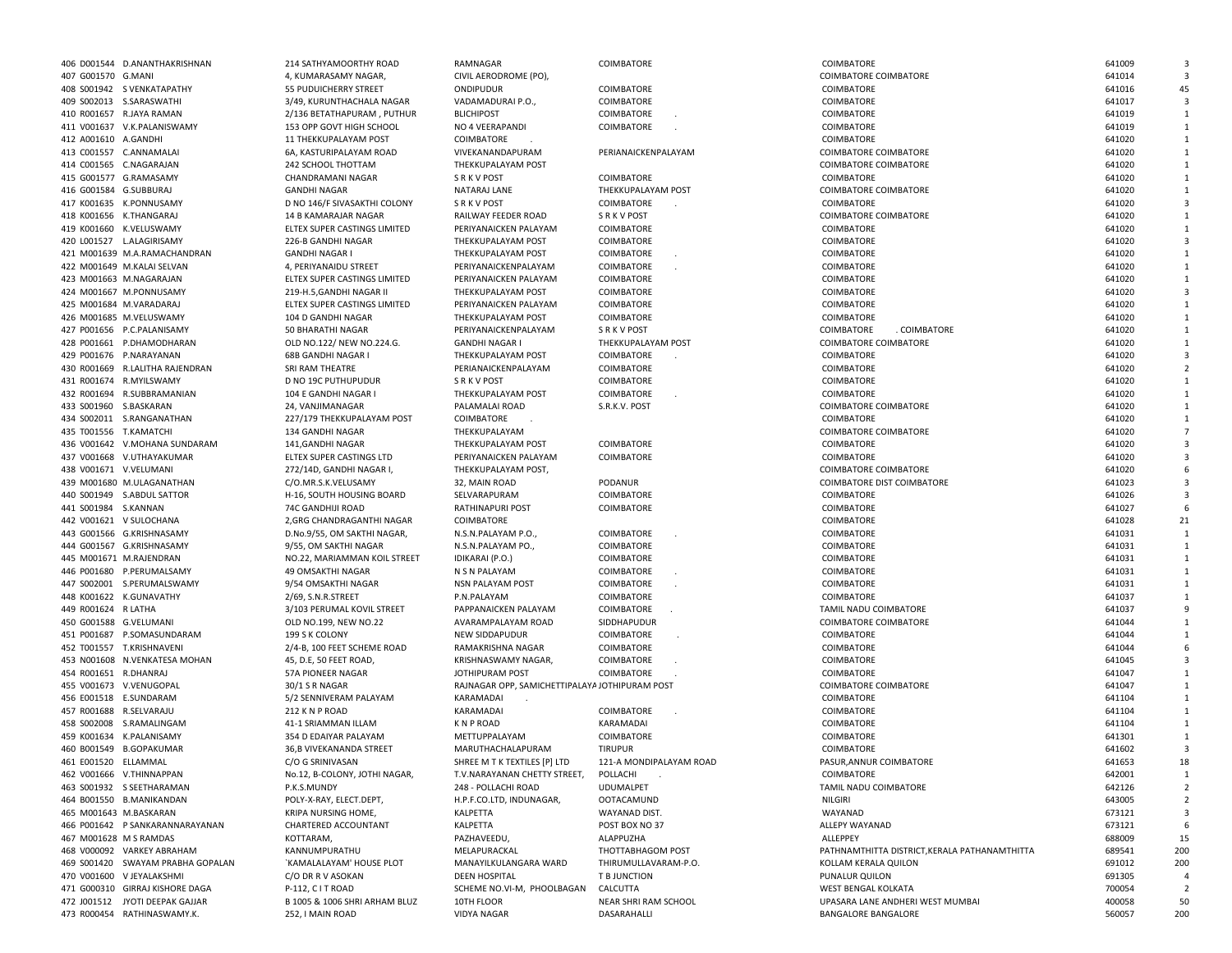|    | COIMBATORE                         |  |
|----|------------------------------------|--|
|    | COIMBATORE                         |  |
|    | <b>COIMBATORE</b>                  |  |
|    | COIMBATORE                         |  |
|    | COIMBATORE                         |  |
|    |                                    |  |
|    | PERIANAICKENPALAYAM                |  |
|    | COIMBATORE                         |  |
|    | THEKKUPALAYAM POST                 |  |
|    | COIMBATORE<br>S R K V POST         |  |
|    | COIMBATORE                         |  |
|    | COIMBATORE                         |  |
|    | COIMBATORE                         |  |
|    | <b>COIMBATORE</b>                  |  |
|    | COIMBATORE                         |  |
|    | COIMBATORE                         |  |
|    | COIMBATORE                         |  |
|    | COIMBATORE                         |  |
|    | SRKVPOST                           |  |
|    | THEKKUPALAYAM POST                 |  |
|    | COIMBATORE                         |  |
|    | COIMBATORE                         |  |
|    | <b>COIMBATORE</b><br>COIMBATORE    |  |
|    | S.R.K.V. POST                      |  |
|    |                                    |  |
|    | COIMBATORE                         |  |
|    | COIMBATORE                         |  |
|    | PODANUR                            |  |
|    | <b>COIMBATORE</b>                  |  |
|    | COIMBATORE                         |  |
|    |                                    |  |
|    | COIMBATORE                         |  |
|    | COIMBATORE                         |  |
|    | COIMBATORE                         |  |
|    | COIMBATORE                         |  |
|    | COIMBATORE<br>COIMBATORE           |  |
|    | COIMBATORE                         |  |
|    | SIDDHAPUDUR                        |  |
|    | COIMBATORE                         |  |
|    | COIMBATORE                         |  |
|    | COIMBATORE                         |  |
|    | <b>COIMBATORE</b>                  |  |
|    | AYA JOTHIPURAM POST                |  |
|    | COIMBATORE                         |  |
|    | KARAMADAI                          |  |
|    | COIMBATORE                         |  |
|    | <b>TIRUPUR</b>                     |  |
|    | 121-A MONDIPALAYAM ROAD            |  |
| Г, | POLLACHI                           |  |
|    | <b>UDUMALPET</b>                   |  |
|    | <b>OOTACAMUND</b><br>WAYANAD DIST. |  |
|    | POST BOX NO 37                     |  |
|    | ALAPPUZHA                          |  |
|    | THOTTABHAGOM POST                  |  |
|    | THIRUMULLAVARAM-P.O.               |  |
|    | T B JUNCTION                       |  |
| N  | CALCUTTA                           |  |
|    | NEAR SHRI RAM SCHOOL               |  |

| 406 D001544 D.ANANTHAKRISHNAN<br>COIMBATORE COIMBATORE<br>407 G001570 G.MANI<br>4, KUMARASAMY NAGAR,<br>CIVIL AERODROME (PO),<br>408 S001942 S VENKATAPATHY<br>55 PUDUICHERRY STREET<br>ONDIPUDUR<br>COIMBATORE<br>COIMBATORE<br>409 S002013 S.SARASWATHI<br>VADAMADURAI P.O.,<br>COIMBATORE<br>COIMBATORE<br>3/49, KURUNTHACHALA NAGAR<br>410 R001657 R.JAYA RAMAN<br><b>BLICHIPOST</b><br>COIMBATORE<br>COIMBATORE<br>641019<br>2/136 BETATHAPURAM, PUTHUR<br>411 V001637 V.K.PALANISWAMY<br>153 OPP GOVT HIGH SCHOOL<br>NO 4 VEERAPANDI<br>COIMBATORE<br>COIMBATORE<br>412 A001610 A.GANDHI<br>COIMBATORE<br>COIMBATORE<br>11 THEKKUPALAYAM POST<br>413 C001557 C.ANNAMALAI<br>6A. KASTURIPALAYAM ROAD<br>VIVEKANANDAPURAM<br>PERIANAICKENPALAYAM<br><b>COIMBATORE COIMBATORE</b><br>641020<br>414 C001565 C.NAGARAJAN<br>COIMBATORE COIMBATORE<br>242 SCHOOL THOTTAM<br>THEKKUPALAYAM POST<br>415 G001577 G.RAMASAMY<br>CHANDRAMANI NAGAR<br><b>SRKVPOST</b><br>COIMBATORE<br>COIMBATORE<br>416 G001584 G.SUBBURAJ<br><b>GANDHI NAGAR</b><br>NATARAJ LANE<br>THEKKUPALAYAM POST<br>COIMBATORE COIMBATORE<br>417 K001635 K.PONNUSAMY<br>COIMBATORE<br>D NO 146/F SIVASAKTHI COLONY<br><b>SRKVPOST</b><br>COIMBATORE<br>418 K001656 K.THANGARAJ<br>14 B KAMARAJAR NAGAR<br>RAILWAY FEEDER ROAD<br>S R K V POST<br><b>COIMBATORE COIMBATORE</b><br>419 K001660 K.VELUSWAMY<br>COIMBATORE<br>ELTEX SUPER CASTINGS LIMITED<br>PERIYANAICKEN PALAYAM<br>COIMBATORE<br>420 L001527 L.ALAGIRISAMY<br>226-B GANDHI NAGAR<br>THEKKUPALAYAM POST<br>COIMBATORE<br>COIMBATORE<br>COIMBATORE<br>421 M001639 M.A.RAMACHANDRAN<br><b>GANDHI NAGAR I</b><br>THEKKUPALAYAM POST<br>COIMBATORE<br>422 M001649 M.KALAI SELVAN<br>COIMBATORE<br>COIMBATORE<br>4, PERIYANAIDU STREET<br>PERIYANAICKENPALAYAM<br>423 M001663 M.NAGARAJAN<br>COIMBATORE<br>641020<br>ELTEX SUPER CASTINGS LIMITED<br>PERIYANAICKEN PALAYAM<br>COIMBATORE<br>COIMBATORE<br>424 M001667 M.PONNUSAMY<br>219-H.5, GANDHI NAGAR I<br>THEKKUPALAYAM POST<br>COIMBATORE<br>425 M001684 M.VARADARAJ<br>ELTEX SUPER CASTINGS LIMITED<br>PERIYANAICKEN PALAYAM<br>COIMBATORE<br>COIMBATORE<br>641020<br>426 M001685 M.VELUSWAMY<br>104 D GANDHI NAGAR<br>THEKKUPALAYAM POST<br>COIMBATORE<br>COIMBATORE<br>427 P001656 P.C.PALANISAMY<br>50 BHARATHI NAGAR<br>PERIYANAICKENPALAYAM<br><b>SRKVPOST</b><br>COIMBATORE<br>. COIMBATORE<br>428 P001661 P.DHAMODHARAN<br>COIMBATORE COIMBATORE<br>OLD NO.122/ NEW NO.224.G.<br><b>GANDHI NAGAR I</b><br>THEKKUPALAYAM POST<br>429 P001676 P.NARAYANAN<br><b>68B GANDHI NAGAR I</b><br>THEKKUPALAYAM POST<br>COIMBATORE<br>COIMBATORE<br>641020<br>430 R001669 R.LALITHA RAJENDRAN<br>PERIANAICKENPALAYAM<br>COIMBATORE<br>COIMBATORE<br>SRI RAM THEATRE<br>431 R001674 R.MYILSWAMY<br>D NO 19C PUTHUPUDUR<br><b>SRKVPOST</b><br>COIMBATORE<br>COIMBATORE<br>432 R001694 R.SUBBRAMANIAN<br>104 E GANDHI NAGAR I<br>THEKKUPALAYAM POST<br>COIMBATORE<br>COIMBATORE<br>433 S001960 S.BASKARAN<br>PALAMALAI ROAD<br>S.R.K.V. POST<br>COIMBATORE COIMBATORE<br>24. VANJIMANAGAR<br>434 S002011 S.RANGANATHAN<br>227/179 THEKKUPALAYAM POST<br><b>COIMBATORE</b><br>COIMBATORE<br>435 T001556 T.KAMATCHI<br>134 GANDHI NAGAR<br>THEKKUPALAYAM<br>COIMBATORE COIMBATORE<br>436 V001642 V.MOHANA SUNDARAM<br>141, GANDHI NAGAR<br>THEKKUPALAYAM POST<br>COIMBATORE<br>COIMBATORE<br>641020<br>437 V001668 V.UTHAYAKUMAR<br>COIMBATORE<br>COIMBATORE<br>ELTEX SUPER CASTINGS LTD<br>PERIYANAICKEN PALAYAM<br>438 V001671 V.VELUMANI<br>272/14D, GANDHI NAGAR I,<br>THEKKUPALAYAM POST,<br>COIMBATORE COIMBATORE<br>PODANUR<br>COIMBATORE DIST COIMBATORE<br>439 M001680 M.ULAGANATHAN<br>C/O.MR.S.K.VELUSAMY<br>32, MAIN ROAD<br>641023<br>440 S001949 S.ABDUL SATTOR<br>H-16, SOUTH HOUSING BOARD<br>SELVARAPURAM<br>COIMBATORE<br>COIMBATORE<br>441 S001984 S.KANNAN<br>74C GANDHIJI ROAD<br><b>RATHINAPURI POST</b><br>COIMBATORE<br>COIMBATORE<br>442 V001621 V SULOCHANA<br>2, GRG CHANDRAGANTHI NAGAR<br>COIMBATORE<br>COIMBATORE<br>443 G001566 G.KRISHNASAMY<br>COIMBATORE<br>D.No.9/55, OM SAKTHI NAGAR,<br>N.S.N.PALAYAM P.O.,<br>COIMBATORE<br>444 G001567 G.KRISHNASAMY<br>COIMBATORE<br>9/55, OM SAKTHI NAGAR<br>N.S.N.PALAYAM PO.,<br>COIMBATORE<br>445 M001671 M.RAJENDRAN<br>NO.22, MARIAMMAN KOIL STREET<br>IDIKARAI (P.O.)<br>COIMBATORE<br>COIMBATORE<br>446 P001680 P.PERUMALSAMY<br>COIMBATORE<br>49 OMSAKTHI NAGAR<br>N S N PALAYAM<br>COIMBATORE<br>447 S002001 S.PERUMALSWAMY<br>9/54 OMSAKTHI NAGAR<br><b>NSN PALAYAM POST</b><br>COIMBATORE<br>COIMBATORE<br>448 K001622 K.GUNAVATHY<br>2/69, S.N.R.STREET<br>P.N.PALAYAM<br>COIMBATORE<br>COIMBATORE<br>449 R001624 R LATHA<br>641037<br>3/103 PERUMAL KOVIL STREET<br>PAPPANAICKEN PALAYAM<br>COIMBATORE<br>TAMIL NADU COIMBATORE<br>450 G001588 G.VELUMANI<br>COIMBATORE COIMBATORE<br>OLD NO.199, NEW NO.22<br>AVARAMPALAYAM ROAD<br>SIDDHAPUDUR<br>451 P001687 P.SOMASUNDARAM<br>199 S K COLONY<br><b>NEW SIDDAPUDUR</b><br>COIMBATORE<br>COIMBATORE<br>452 T001557 T.KRISHNAVENI<br>2/4-B, 100 FEET SCHEME ROAD<br>RAMAKRISHNA NAGAR<br>COIMBATORE<br>COIMBATORE<br>641044<br>453 N001608 N.VENKATESA MOHAN<br>COIMBATORE<br>COIMBATORE<br>45, D.E, 50 FEET ROAD,<br>KRISHNASWAMY NAGAR,<br>454 R001651 R.DHANRAJ<br>57A PIONEER NAGAR<br>JOTHIPURAM POST<br>COIMBATORE<br>COIMBATORE<br>455 V001673 V.VENUGOPAL<br>RAJNAGAR OPP, SAMICHETTIPALAYA JOTHIPURAM POST<br>COIMBATORE COIMBATORE<br>30/1 S R NAGAR<br>456 E001518 E.SUNDARAM<br>5/2 SENNIVERAM PALAYAM<br>KARAMADAI<br>COIMBATORE<br>457 R001688 R.SELVARAJU<br>212 K N P ROAD<br>KARAMADAI<br>COIMBATORE<br>COIMBATORE<br>458 S002008 S.RAMALINGAM<br>41-1 SRIAMMAN ILLAM<br><b>KNPROAD</b><br>KARAMADAI<br>COIMBATORE<br>459 K001634 K.PALANISAMY<br>COIMBATORE<br>COIMBATORE<br>641301<br>354 D EDAIYAR PALAYAM<br>METTUPPALAYAM<br>460 B001549 B.GOPAKUMAR<br>36,B VIVEKANANDA STREET<br>MARUTHACHALAPURAM<br><b>TIRUPUR</b><br>COIMBATORE<br>461 E001520 ELLAMMAL<br>C/O G SRINIVASAN<br>SHREE M T K TEXTILES [P] LTD<br>121-A MONDIPALAYAM ROAD<br>PASUR, ANNUR COIMBATORE<br>462 V001666 V.THINNAPPAN<br>T.V.NARAYANAN CHETTY STREET,<br>COIMBATORE<br>No.12, B-COLONY, JOTHI NAGAR,<br>POLLACHI<br>463 S001932 S SEETHARAMAN<br>P.K.S.MUNDY<br>248 - POLLACHI ROAD<br><b>UDUMALPET</b><br>TAMIL NADU COIMBATORE<br>464 B001550 B.MANIKANDAN<br>H.P.F.CO.LTD, INDUNAGAR,<br>NILGIRI<br>POLY-X-RAY, ELECT.DEPT,<br>OOTACAMUND<br>WAYANAD<br>465 M001643 M.BASKARAN<br>KRIPA NURSING HOME,<br>KALPETTA<br>WAYANAD DIST.<br>466 P001642 P SANKARANNARAYANAN<br>KALPETTA<br>ALLEPY WAYANAD<br>CHARTERED ACCOUNTANT<br>POST BOX NO 37<br>467 M001628 M S RAMDAS<br>ALLEPPEY<br>KOTTARAM,<br>PAZHAVEEDU,<br>ALAPPUZHA<br>468 V000092 VARKEY ABRAHAM<br>MELAPURACKAL<br>KANNUMPURATHU<br>THOTTABHAGOM POST<br>PATHNAMTHITTA DISTRICT, KERALA PATHANAMTHITTA<br>469 S001420 SWAYAM PRABHA GOPALAN<br>691012<br>`KAMALALAYAM' HOUSE PLOT<br>MANAYILKULANGARA WARD<br>THIRUMULLAVARAM-P.O.<br>KOLLAM KERALA QUILON<br>470 V001600 V JEYALAKSHMI<br>C/O DR R V ASOKAN<br><b>DEEN HOSPITAL</b><br>T B JUNCTION<br>PUNALUR QUILON<br>471 G000310 GIRRAJ KISHORE DAGA<br>CALCUTTA<br>P-112, CIT ROAD<br>SCHEME NO.VI-M, PHOOLBAGAN<br>WEST BENGAL KOLKATA<br>472 J001512 JYOTI DEEPAK GAJJAR<br>B 1005 & 1006 SHRI ARHAM BLUZ<br>10TH FLOOR<br>NEAR SHRI RAM SCHOOL<br>UPASARA LANE ANDHERI WEST MUMBAI<br>473 R000454 RATHINASWAMY.K.<br><b>VIDYA NAGAR</b><br>DASARAHALLI<br>252, I MAIN ROAD<br>BANGALORE BANGALORE |  |                        |          |            |            |        |                         |
|-------------------------------------------------------------------------------------------------------------------------------------------------------------------------------------------------------------------------------------------------------------------------------------------------------------------------------------------------------------------------------------------------------------------------------------------------------------------------------------------------------------------------------------------------------------------------------------------------------------------------------------------------------------------------------------------------------------------------------------------------------------------------------------------------------------------------------------------------------------------------------------------------------------------------------------------------------------------------------------------------------------------------------------------------------------------------------------------------------------------------------------------------------------------------------------------------------------------------------------------------------------------------------------------------------------------------------------------------------------------------------------------------------------------------------------------------------------------------------------------------------------------------------------------------------------------------------------------------------------------------------------------------------------------------------------------------------------------------------------------------------------------------------------------------------------------------------------------------------------------------------------------------------------------------------------------------------------------------------------------------------------------------------------------------------------------------------------------------------------------------------------------------------------------------------------------------------------------------------------------------------------------------------------------------------------------------------------------------------------------------------------------------------------------------------------------------------------------------------------------------------------------------------------------------------------------------------------------------------------------------------------------------------------------------------------------------------------------------------------------------------------------------------------------------------------------------------------------------------------------------------------------------------------------------------------------------------------------------------------------------------------------------------------------------------------------------------------------------------------------------------------------------------------------------------------------------------------------------------------------------------------------------------------------------------------------------------------------------------------------------------------------------------------------------------------------------------------------------------------------------------------------------------------------------------------------------------------------------------------------------------------------------------------------------------------------------------------------------------------------------------------------------------------------------------------------------------------------------------------------------------------------------------------------------------------------------------------------------------------------------------------------------------------------------------------------------------------------------------------------------------------------------------------------------------------------------------------------------------------------------------------------------------------------------------------------------------------------------------------------------------------------------------------------------------------------------------------------------------------------------------------------------------------------------------------------------------------------------------------------------------------------------------------------------------------------------------------------------------------------------------------------------------------------------------------------------------------------------------------------------------------------------------------------------------------------------------------------------------------------------------------------------------------------------------------------------------------------------------------------------------------------------------------------------------------------------------------------------------------------------------------------------------------------------------------------------------------------------------------------------------------------------------------------------------------------------------------------------------------------------------------------------------------------------------------------------------------------------------------------------------------------------------------------------------------------------------------------------------------------------------------------------------------------------------------------------------------------------------------------------------------------------------------------------------------------------------------------------------------------------------------------------------------------------------------------------------------------------------------------------------------------------------------------------------------------------------------------------------------------------------------------------------------------------------------------------------------------------------------------------------------------------------------------------------------------------------------------------------------------------------------------------------------------------------------------------------------------------------------------------------------------------------------------------------------------------------------------------------------------------------------------------------------------------------------------------------------------------------------------------------------------------------------------------------------------------------------------------------------------------------------------------------------------------------------------------------------------------------------------------------------------------------------------------------------------------------------------------------------------------------------------------------------------------------------------------------------------------------------------------------------------------------------------------------------------------------------------------------------------------------------------------------------------------|--|------------------------|----------|------------|------------|--------|-------------------------|
|                                                                                                                                                                                                                                                                                                                                                                                                                                                                                                                                                                                                                                                                                                                                                                                                                                                                                                                                                                                                                                                                                                                                                                                                                                                                                                                                                                                                                                                                                                                                                                                                                                                                                                                                                                                                                                                                                                                                                                                                                                                                                                                                                                                                                                                                                                                                                                                                                                                                                                                                                                                                                                                                                                                                                                                                                                                                                                                                                                                                                                                                                                                                                                                                                                                                                                                                                                                                                                                                                                                                                                                                                                                                                                                                                                                                                                                                                                                                                                                                                                                                                                                                                                                                                                                                                                                                                                                                                                                                                                                                                                                                                                                                                                                                                                                                                                                                                                                                                                                                                                                                                                                                                                                                                                                                                                                                                                                                                                                                                                                                                                                                                                                                                                                                                                                                                                                                                                                                                                                                                                                                                                                                                                                                                                                                                                                                                                                                                                                                                                                                                                                                                                                                                                                                                                                                                                                                                                                                                                                                                                                                                                                                                                                                                                                                                                                                                                                                                                                                                                                                                 |  | 214 SATHYAMOORTHY ROAD | RAMNAGAR | COIMBATORE | COIMBATORE | 641009 |                         |
|                                                                                                                                                                                                                                                                                                                                                                                                                                                                                                                                                                                                                                                                                                                                                                                                                                                                                                                                                                                                                                                                                                                                                                                                                                                                                                                                                                                                                                                                                                                                                                                                                                                                                                                                                                                                                                                                                                                                                                                                                                                                                                                                                                                                                                                                                                                                                                                                                                                                                                                                                                                                                                                                                                                                                                                                                                                                                                                                                                                                                                                                                                                                                                                                                                                                                                                                                                                                                                                                                                                                                                                                                                                                                                                                                                                                                                                                                                                                                                                                                                                                                                                                                                                                                                                                                                                                                                                                                                                                                                                                                                                                                                                                                                                                                                                                                                                                                                                                                                                                                                                                                                                                                                                                                                                                                                                                                                                                                                                                                                                                                                                                                                                                                                                                                                                                                                                                                                                                                                                                                                                                                                                                                                                                                                                                                                                                                                                                                                                                                                                                                                                                                                                                                                                                                                                                                                                                                                                                                                                                                                                                                                                                                                                                                                                                                                                                                                                                                                                                                                                                                 |  |                        |          |            |            | 641014 |                         |
|                                                                                                                                                                                                                                                                                                                                                                                                                                                                                                                                                                                                                                                                                                                                                                                                                                                                                                                                                                                                                                                                                                                                                                                                                                                                                                                                                                                                                                                                                                                                                                                                                                                                                                                                                                                                                                                                                                                                                                                                                                                                                                                                                                                                                                                                                                                                                                                                                                                                                                                                                                                                                                                                                                                                                                                                                                                                                                                                                                                                                                                                                                                                                                                                                                                                                                                                                                                                                                                                                                                                                                                                                                                                                                                                                                                                                                                                                                                                                                                                                                                                                                                                                                                                                                                                                                                                                                                                                                                                                                                                                                                                                                                                                                                                                                                                                                                                                                                                                                                                                                                                                                                                                                                                                                                                                                                                                                                                                                                                                                                                                                                                                                                                                                                                                                                                                                                                                                                                                                                                                                                                                                                                                                                                                                                                                                                                                                                                                                                                                                                                                                                                                                                                                                                                                                                                                                                                                                                                                                                                                                                                                                                                                                                                                                                                                                                                                                                                                                                                                                                                                 |  |                        |          |            |            | 641016 | 45                      |
|                                                                                                                                                                                                                                                                                                                                                                                                                                                                                                                                                                                                                                                                                                                                                                                                                                                                                                                                                                                                                                                                                                                                                                                                                                                                                                                                                                                                                                                                                                                                                                                                                                                                                                                                                                                                                                                                                                                                                                                                                                                                                                                                                                                                                                                                                                                                                                                                                                                                                                                                                                                                                                                                                                                                                                                                                                                                                                                                                                                                                                                                                                                                                                                                                                                                                                                                                                                                                                                                                                                                                                                                                                                                                                                                                                                                                                                                                                                                                                                                                                                                                                                                                                                                                                                                                                                                                                                                                                                                                                                                                                                                                                                                                                                                                                                                                                                                                                                                                                                                                                                                                                                                                                                                                                                                                                                                                                                                                                                                                                                                                                                                                                                                                                                                                                                                                                                                                                                                                                                                                                                                                                                                                                                                                                                                                                                                                                                                                                                                                                                                                                                                                                                                                                                                                                                                                                                                                                                                                                                                                                                                                                                                                                                                                                                                                                                                                                                                                                                                                                                                                 |  |                        |          |            |            | 641017 | $\mathbf{3}$            |
|                                                                                                                                                                                                                                                                                                                                                                                                                                                                                                                                                                                                                                                                                                                                                                                                                                                                                                                                                                                                                                                                                                                                                                                                                                                                                                                                                                                                                                                                                                                                                                                                                                                                                                                                                                                                                                                                                                                                                                                                                                                                                                                                                                                                                                                                                                                                                                                                                                                                                                                                                                                                                                                                                                                                                                                                                                                                                                                                                                                                                                                                                                                                                                                                                                                                                                                                                                                                                                                                                                                                                                                                                                                                                                                                                                                                                                                                                                                                                                                                                                                                                                                                                                                                                                                                                                                                                                                                                                                                                                                                                                                                                                                                                                                                                                                                                                                                                                                                                                                                                                                                                                                                                                                                                                                                                                                                                                                                                                                                                                                                                                                                                                                                                                                                                                                                                                                                                                                                                                                                                                                                                                                                                                                                                                                                                                                                                                                                                                                                                                                                                                                                                                                                                                                                                                                                                                                                                                                                                                                                                                                                                                                                                                                                                                                                                                                                                                                                                                                                                                                                                 |  |                        |          |            |            |        |                         |
|                                                                                                                                                                                                                                                                                                                                                                                                                                                                                                                                                                                                                                                                                                                                                                                                                                                                                                                                                                                                                                                                                                                                                                                                                                                                                                                                                                                                                                                                                                                                                                                                                                                                                                                                                                                                                                                                                                                                                                                                                                                                                                                                                                                                                                                                                                                                                                                                                                                                                                                                                                                                                                                                                                                                                                                                                                                                                                                                                                                                                                                                                                                                                                                                                                                                                                                                                                                                                                                                                                                                                                                                                                                                                                                                                                                                                                                                                                                                                                                                                                                                                                                                                                                                                                                                                                                                                                                                                                                                                                                                                                                                                                                                                                                                                                                                                                                                                                                                                                                                                                                                                                                                                                                                                                                                                                                                                                                                                                                                                                                                                                                                                                                                                                                                                                                                                                                                                                                                                                                                                                                                                                                                                                                                                                                                                                                                                                                                                                                                                                                                                                                                                                                                                                                                                                                                                                                                                                                                                                                                                                                                                                                                                                                                                                                                                                                                                                                                                                                                                                                                                 |  |                        |          |            |            |        | 1                       |
|                                                                                                                                                                                                                                                                                                                                                                                                                                                                                                                                                                                                                                                                                                                                                                                                                                                                                                                                                                                                                                                                                                                                                                                                                                                                                                                                                                                                                                                                                                                                                                                                                                                                                                                                                                                                                                                                                                                                                                                                                                                                                                                                                                                                                                                                                                                                                                                                                                                                                                                                                                                                                                                                                                                                                                                                                                                                                                                                                                                                                                                                                                                                                                                                                                                                                                                                                                                                                                                                                                                                                                                                                                                                                                                                                                                                                                                                                                                                                                                                                                                                                                                                                                                                                                                                                                                                                                                                                                                                                                                                                                                                                                                                                                                                                                                                                                                                                                                                                                                                                                                                                                                                                                                                                                                                                                                                                                                                                                                                                                                                                                                                                                                                                                                                                                                                                                                                                                                                                                                                                                                                                                                                                                                                                                                                                                                                                                                                                                                                                                                                                                                                                                                                                                                                                                                                                                                                                                                                                                                                                                                                                                                                                                                                                                                                                                                                                                                                                                                                                                                                                 |  |                        |          |            |            | 641019 | 1                       |
|                                                                                                                                                                                                                                                                                                                                                                                                                                                                                                                                                                                                                                                                                                                                                                                                                                                                                                                                                                                                                                                                                                                                                                                                                                                                                                                                                                                                                                                                                                                                                                                                                                                                                                                                                                                                                                                                                                                                                                                                                                                                                                                                                                                                                                                                                                                                                                                                                                                                                                                                                                                                                                                                                                                                                                                                                                                                                                                                                                                                                                                                                                                                                                                                                                                                                                                                                                                                                                                                                                                                                                                                                                                                                                                                                                                                                                                                                                                                                                                                                                                                                                                                                                                                                                                                                                                                                                                                                                                                                                                                                                                                                                                                                                                                                                                                                                                                                                                                                                                                                                                                                                                                                                                                                                                                                                                                                                                                                                                                                                                                                                                                                                                                                                                                                                                                                                                                                                                                                                                                                                                                                                                                                                                                                                                                                                                                                                                                                                                                                                                                                                                                                                                                                                                                                                                                                                                                                                                                                                                                                                                                                                                                                                                                                                                                                                                                                                                                                                                                                                                                                 |  |                        |          |            |            | 641020 | 1                       |
|                                                                                                                                                                                                                                                                                                                                                                                                                                                                                                                                                                                                                                                                                                                                                                                                                                                                                                                                                                                                                                                                                                                                                                                                                                                                                                                                                                                                                                                                                                                                                                                                                                                                                                                                                                                                                                                                                                                                                                                                                                                                                                                                                                                                                                                                                                                                                                                                                                                                                                                                                                                                                                                                                                                                                                                                                                                                                                                                                                                                                                                                                                                                                                                                                                                                                                                                                                                                                                                                                                                                                                                                                                                                                                                                                                                                                                                                                                                                                                                                                                                                                                                                                                                                                                                                                                                                                                                                                                                                                                                                                                                                                                                                                                                                                                                                                                                                                                                                                                                                                                                                                                                                                                                                                                                                                                                                                                                                                                                                                                                                                                                                                                                                                                                                                                                                                                                                                                                                                                                                                                                                                                                                                                                                                                                                                                                                                                                                                                                                                                                                                                                                                                                                                                                                                                                                                                                                                                                                                                                                                                                                                                                                                                                                                                                                                                                                                                                                                                                                                                                                                 |  |                        |          |            |            |        | 1                       |
|                                                                                                                                                                                                                                                                                                                                                                                                                                                                                                                                                                                                                                                                                                                                                                                                                                                                                                                                                                                                                                                                                                                                                                                                                                                                                                                                                                                                                                                                                                                                                                                                                                                                                                                                                                                                                                                                                                                                                                                                                                                                                                                                                                                                                                                                                                                                                                                                                                                                                                                                                                                                                                                                                                                                                                                                                                                                                                                                                                                                                                                                                                                                                                                                                                                                                                                                                                                                                                                                                                                                                                                                                                                                                                                                                                                                                                                                                                                                                                                                                                                                                                                                                                                                                                                                                                                                                                                                                                                                                                                                                                                                                                                                                                                                                                                                                                                                                                                                                                                                                                                                                                                                                                                                                                                                                                                                                                                                                                                                                                                                                                                                                                                                                                                                                                                                                                                                                                                                                                                                                                                                                                                                                                                                                                                                                                                                                                                                                                                                                                                                                                                                                                                                                                                                                                                                                                                                                                                                                                                                                                                                                                                                                                                                                                                                                                                                                                                                                                                                                                                                                 |  |                        |          |            |            |        |                         |
|                                                                                                                                                                                                                                                                                                                                                                                                                                                                                                                                                                                                                                                                                                                                                                                                                                                                                                                                                                                                                                                                                                                                                                                                                                                                                                                                                                                                                                                                                                                                                                                                                                                                                                                                                                                                                                                                                                                                                                                                                                                                                                                                                                                                                                                                                                                                                                                                                                                                                                                                                                                                                                                                                                                                                                                                                                                                                                                                                                                                                                                                                                                                                                                                                                                                                                                                                                                                                                                                                                                                                                                                                                                                                                                                                                                                                                                                                                                                                                                                                                                                                                                                                                                                                                                                                                                                                                                                                                                                                                                                                                                                                                                                                                                                                                                                                                                                                                                                                                                                                                                                                                                                                                                                                                                                                                                                                                                                                                                                                                                                                                                                                                                                                                                                                                                                                                                                                                                                                                                                                                                                                                                                                                                                                                                                                                                                                                                                                                                                                                                                                                                                                                                                                                                                                                                                                                                                                                                                                                                                                                                                                                                                                                                                                                                                                                                                                                                                                                                                                                                                                 |  |                        |          |            |            | 641020 | 1                       |
|                                                                                                                                                                                                                                                                                                                                                                                                                                                                                                                                                                                                                                                                                                                                                                                                                                                                                                                                                                                                                                                                                                                                                                                                                                                                                                                                                                                                                                                                                                                                                                                                                                                                                                                                                                                                                                                                                                                                                                                                                                                                                                                                                                                                                                                                                                                                                                                                                                                                                                                                                                                                                                                                                                                                                                                                                                                                                                                                                                                                                                                                                                                                                                                                                                                                                                                                                                                                                                                                                                                                                                                                                                                                                                                                                                                                                                                                                                                                                                                                                                                                                                                                                                                                                                                                                                                                                                                                                                                                                                                                                                                                                                                                                                                                                                                                                                                                                                                                                                                                                                                                                                                                                                                                                                                                                                                                                                                                                                                                                                                                                                                                                                                                                                                                                                                                                                                                                                                                                                                                                                                                                                                                                                                                                                                                                                                                                                                                                                                                                                                                                                                                                                                                                                                                                                                                                                                                                                                                                                                                                                                                                                                                                                                                                                                                                                                                                                                                                                                                                                                                                 |  |                        |          |            |            | 641020 | 1                       |
|                                                                                                                                                                                                                                                                                                                                                                                                                                                                                                                                                                                                                                                                                                                                                                                                                                                                                                                                                                                                                                                                                                                                                                                                                                                                                                                                                                                                                                                                                                                                                                                                                                                                                                                                                                                                                                                                                                                                                                                                                                                                                                                                                                                                                                                                                                                                                                                                                                                                                                                                                                                                                                                                                                                                                                                                                                                                                                                                                                                                                                                                                                                                                                                                                                                                                                                                                                                                                                                                                                                                                                                                                                                                                                                                                                                                                                                                                                                                                                                                                                                                                                                                                                                                                                                                                                                                                                                                                                                                                                                                                                                                                                                                                                                                                                                                                                                                                                                                                                                                                                                                                                                                                                                                                                                                                                                                                                                                                                                                                                                                                                                                                                                                                                                                                                                                                                                                                                                                                                                                                                                                                                                                                                                                                                                                                                                                                                                                                                                                                                                                                                                                                                                                                                                                                                                                                                                                                                                                                                                                                                                                                                                                                                                                                                                                                                                                                                                                                                                                                                                                                 |  |                        |          |            |            | 641020 | 1                       |
|                                                                                                                                                                                                                                                                                                                                                                                                                                                                                                                                                                                                                                                                                                                                                                                                                                                                                                                                                                                                                                                                                                                                                                                                                                                                                                                                                                                                                                                                                                                                                                                                                                                                                                                                                                                                                                                                                                                                                                                                                                                                                                                                                                                                                                                                                                                                                                                                                                                                                                                                                                                                                                                                                                                                                                                                                                                                                                                                                                                                                                                                                                                                                                                                                                                                                                                                                                                                                                                                                                                                                                                                                                                                                                                                                                                                                                                                                                                                                                                                                                                                                                                                                                                                                                                                                                                                                                                                                                                                                                                                                                                                                                                                                                                                                                                                                                                                                                                                                                                                                                                                                                                                                                                                                                                                                                                                                                                                                                                                                                                                                                                                                                                                                                                                                                                                                                                                                                                                                                                                                                                                                                                                                                                                                                                                                                                                                                                                                                                                                                                                                                                                                                                                                                                                                                                                                                                                                                                                                                                                                                                                                                                                                                                                                                                                                                                                                                                                                                                                                                                                                 |  |                        |          |            |            |        |                         |
|                                                                                                                                                                                                                                                                                                                                                                                                                                                                                                                                                                                                                                                                                                                                                                                                                                                                                                                                                                                                                                                                                                                                                                                                                                                                                                                                                                                                                                                                                                                                                                                                                                                                                                                                                                                                                                                                                                                                                                                                                                                                                                                                                                                                                                                                                                                                                                                                                                                                                                                                                                                                                                                                                                                                                                                                                                                                                                                                                                                                                                                                                                                                                                                                                                                                                                                                                                                                                                                                                                                                                                                                                                                                                                                                                                                                                                                                                                                                                                                                                                                                                                                                                                                                                                                                                                                                                                                                                                                                                                                                                                                                                                                                                                                                                                                                                                                                                                                                                                                                                                                                                                                                                                                                                                                                                                                                                                                                                                                                                                                                                                                                                                                                                                                                                                                                                                                                                                                                                                                                                                                                                                                                                                                                                                                                                                                                                                                                                                                                                                                                                                                                                                                                                                                                                                                                                                                                                                                                                                                                                                                                                                                                                                                                                                                                                                                                                                                                                                                                                                                                                 |  |                        |          |            |            | 641020 | $\overline{3}$          |
|                                                                                                                                                                                                                                                                                                                                                                                                                                                                                                                                                                                                                                                                                                                                                                                                                                                                                                                                                                                                                                                                                                                                                                                                                                                                                                                                                                                                                                                                                                                                                                                                                                                                                                                                                                                                                                                                                                                                                                                                                                                                                                                                                                                                                                                                                                                                                                                                                                                                                                                                                                                                                                                                                                                                                                                                                                                                                                                                                                                                                                                                                                                                                                                                                                                                                                                                                                                                                                                                                                                                                                                                                                                                                                                                                                                                                                                                                                                                                                                                                                                                                                                                                                                                                                                                                                                                                                                                                                                                                                                                                                                                                                                                                                                                                                                                                                                                                                                                                                                                                                                                                                                                                                                                                                                                                                                                                                                                                                                                                                                                                                                                                                                                                                                                                                                                                                                                                                                                                                                                                                                                                                                                                                                                                                                                                                                                                                                                                                                                                                                                                                                                                                                                                                                                                                                                                                                                                                                                                                                                                                                                                                                                                                                                                                                                                                                                                                                                                                                                                                                                                 |  |                        |          |            |            | 641020 | 1                       |
|                                                                                                                                                                                                                                                                                                                                                                                                                                                                                                                                                                                                                                                                                                                                                                                                                                                                                                                                                                                                                                                                                                                                                                                                                                                                                                                                                                                                                                                                                                                                                                                                                                                                                                                                                                                                                                                                                                                                                                                                                                                                                                                                                                                                                                                                                                                                                                                                                                                                                                                                                                                                                                                                                                                                                                                                                                                                                                                                                                                                                                                                                                                                                                                                                                                                                                                                                                                                                                                                                                                                                                                                                                                                                                                                                                                                                                                                                                                                                                                                                                                                                                                                                                                                                                                                                                                                                                                                                                                                                                                                                                                                                                                                                                                                                                                                                                                                                                                                                                                                                                                                                                                                                                                                                                                                                                                                                                                                                                                                                                                                                                                                                                                                                                                                                                                                                                                                                                                                                                                                                                                                                                                                                                                                                                                                                                                                                                                                                                                                                                                                                                                                                                                                                                                                                                                                                                                                                                                                                                                                                                                                                                                                                                                                                                                                                                                                                                                                                                                                                                                                                 |  |                        |          |            |            | 641020 | 1                       |
|                                                                                                                                                                                                                                                                                                                                                                                                                                                                                                                                                                                                                                                                                                                                                                                                                                                                                                                                                                                                                                                                                                                                                                                                                                                                                                                                                                                                                                                                                                                                                                                                                                                                                                                                                                                                                                                                                                                                                                                                                                                                                                                                                                                                                                                                                                                                                                                                                                                                                                                                                                                                                                                                                                                                                                                                                                                                                                                                                                                                                                                                                                                                                                                                                                                                                                                                                                                                                                                                                                                                                                                                                                                                                                                                                                                                                                                                                                                                                                                                                                                                                                                                                                                                                                                                                                                                                                                                                                                                                                                                                                                                                                                                                                                                                                                                                                                                                                                                                                                                                                                                                                                                                                                                                                                                                                                                                                                                                                                                                                                                                                                                                                                                                                                                                                                                                                                                                                                                                                                                                                                                                                                                                                                                                                                                                                                                                                                                                                                                                                                                                                                                                                                                                                                                                                                                                                                                                                                                                                                                                                                                                                                                                                                                                                                                                                                                                                                                                                                                                                                                                 |  |                        |          |            |            |        |                         |
|                                                                                                                                                                                                                                                                                                                                                                                                                                                                                                                                                                                                                                                                                                                                                                                                                                                                                                                                                                                                                                                                                                                                                                                                                                                                                                                                                                                                                                                                                                                                                                                                                                                                                                                                                                                                                                                                                                                                                                                                                                                                                                                                                                                                                                                                                                                                                                                                                                                                                                                                                                                                                                                                                                                                                                                                                                                                                                                                                                                                                                                                                                                                                                                                                                                                                                                                                                                                                                                                                                                                                                                                                                                                                                                                                                                                                                                                                                                                                                                                                                                                                                                                                                                                                                                                                                                                                                                                                                                                                                                                                                                                                                                                                                                                                                                                                                                                                                                                                                                                                                                                                                                                                                                                                                                                                                                                                                                                                                                                                                                                                                                                                                                                                                                                                                                                                                                                                                                                                                                                                                                                                                                                                                                                                                                                                                                                                                                                                                                                                                                                                                                                                                                                                                                                                                                                                                                                                                                                                                                                                                                                                                                                                                                                                                                                                                                                                                                                                                                                                                                                                 |  |                        |          |            |            | 641020 | $\overline{\mathbf{3}}$ |
|                                                                                                                                                                                                                                                                                                                                                                                                                                                                                                                                                                                                                                                                                                                                                                                                                                                                                                                                                                                                                                                                                                                                                                                                                                                                                                                                                                                                                                                                                                                                                                                                                                                                                                                                                                                                                                                                                                                                                                                                                                                                                                                                                                                                                                                                                                                                                                                                                                                                                                                                                                                                                                                                                                                                                                                                                                                                                                                                                                                                                                                                                                                                                                                                                                                                                                                                                                                                                                                                                                                                                                                                                                                                                                                                                                                                                                                                                                                                                                                                                                                                                                                                                                                                                                                                                                                                                                                                                                                                                                                                                                                                                                                                                                                                                                                                                                                                                                                                                                                                                                                                                                                                                                                                                                                                                                                                                                                                                                                                                                                                                                                                                                                                                                                                                                                                                                                                                                                                                                                                                                                                                                                                                                                                                                                                                                                                                                                                                                                                                                                                                                                                                                                                                                                                                                                                                                                                                                                                                                                                                                                                                                                                                                                                                                                                                                                                                                                                                                                                                                                                                 |  |                        |          |            |            | 641020 | 1                       |
|                                                                                                                                                                                                                                                                                                                                                                                                                                                                                                                                                                                                                                                                                                                                                                                                                                                                                                                                                                                                                                                                                                                                                                                                                                                                                                                                                                                                                                                                                                                                                                                                                                                                                                                                                                                                                                                                                                                                                                                                                                                                                                                                                                                                                                                                                                                                                                                                                                                                                                                                                                                                                                                                                                                                                                                                                                                                                                                                                                                                                                                                                                                                                                                                                                                                                                                                                                                                                                                                                                                                                                                                                                                                                                                                                                                                                                                                                                                                                                                                                                                                                                                                                                                                                                                                                                                                                                                                                                                                                                                                                                                                                                                                                                                                                                                                                                                                                                                                                                                                                                                                                                                                                                                                                                                                                                                                                                                                                                                                                                                                                                                                                                                                                                                                                                                                                                                                                                                                                                                                                                                                                                                                                                                                                                                                                                                                                                                                                                                                                                                                                                                                                                                                                                                                                                                                                                                                                                                                                                                                                                                                                                                                                                                                                                                                                                                                                                                                                                                                                                                                                 |  |                        |          |            |            | 641020 | 1                       |
|                                                                                                                                                                                                                                                                                                                                                                                                                                                                                                                                                                                                                                                                                                                                                                                                                                                                                                                                                                                                                                                                                                                                                                                                                                                                                                                                                                                                                                                                                                                                                                                                                                                                                                                                                                                                                                                                                                                                                                                                                                                                                                                                                                                                                                                                                                                                                                                                                                                                                                                                                                                                                                                                                                                                                                                                                                                                                                                                                                                                                                                                                                                                                                                                                                                                                                                                                                                                                                                                                                                                                                                                                                                                                                                                                                                                                                                                                                                                                                                                                                                                                                                                                                                                                                                                                                                                                                                                                                                                                                                                                                                                                                                                                                                                                                                                                                                                                                                                                                                                                                                                                                                                                                                                                                                                                                                                                                                                                                                                                                                                                                                                                                                                                                                                                                                                                                                                                                                                                                                                                                                                                                                                                                                                                                                                                                                                                                                                                                                                                                                                                                                                                                                                                                                                                                                                                                                                                                                                                                                                                                                                                                                                                                                                                                                                                                                                                                                                                                                                                                                                                 |  |                        |          |            |            |        | 1                       |
|                                                                                                                                                                                                                                                                                                                                                                                                                                                                                                                                                                                                                                                                                                                                                                                                                                                                                                                                                                                                                                                                                                                                                                                                                                                                                                                                                                                                                                                                                                                                                                                                                                                                                                                                                                                                                                                                                                                                                                                                                                                                                                                                                                                                                                                                                                                                                                                                                                                                                                                                                                                                                                                                                                                                                                                                                                                                                                                                                                                                                                                                                                                                                                                                                                                                                                                                                                                                                                                                                                                                                                                                                                                                                                                                                                                                                                                                                                                                                                                                                                                                                                                                                                                                                                                                                                                                                                                                                                                                                                                                                                                                                                                                                                                                                                                                                                                                                                                                                                                                                                                                                                                                                                                                                                                                                                                                                                                                                                                                                                                                                                                                                                                                                                                                                                                                                                                                                                                                                                                                                                                                                                                                                                                                                                                                                                                                                                                                                                                                                                                                                                                                                                                                                                                                                                                                                                                                                                                                                                                                                                                                                                                                                                                                                                                                                                                                                                                                                                                                                                                                                 |  |                        |          |            |            |        |                         |
|                                                                                                                                                                                                                                                                                                                                                                                                                                                                                                                                                                                                                                                                                                                                                                                                                                                                                                                                                                                                                                                                                                                                                                                                                                                                                                                                                                                                                                                                                                                                                                                                                                                                                                                                                                                                                                                                                                                                                                                                                                                                                                                                                                                                                                                                                                                                                                                                                                                                                                                                                                                                                                                                                                                                                                                                                                                                                                                                                                                                                                                                                                                                                                                                                                                                                                                                                                                                                                                                                                                                                                                                                                                                                                                                                                                                                                                                                                                                                                                                                                                                                                                                                                                                                                                                                                                                                                                                                                                                                                                                                                                                                                                                                                                                                                                                                                                                                                                                                                                                                                                                                                                                                                                                                                                                                                                                                                                                                                                                                                                                                                                                                                                                                                                                                                                                                                                                                                                                                                                                                                                                                                                                                                                                                                                                                                                                                                                                                                                                                                                                                                                                                                                                                                                                                                                                                                                                                                                                                                                                                                                                                                                                                                                                                                                                                                                                                                                                                                                                                                                                                 |  |                        |          |            |            | 641020 | $\overline{\mathbf{3}}$ |
|                                                                                                                                                                                                                                                                                                                                                                                                                                                                                                                                                                                                                                                                                                                                                                                                                                                                                                                                                                                                                                                                                                                                                                                                                                                                                                                                                                                                                                                                                                                                                                                                                                                                                                                                                                                                                                                                                                                                                                                                                                                                                                                                                                                                                                                                                                                                                                                                                                                                                                                                                                                                                                                                                                                                                                                                                                                                                                                                                                                                                                                                                                                                                                                                                                                                                                                                                                                                                                                                                                                                                                                                                                                                                                                                                                                                                                                                                                                                                                                                                                                                                                                                                                                                                                                                                                                                                                                                                                                                                                                                                                                                                                                                                                                                                                                                                                                                                                                                                                                                                                                                                                                                                                                                                                                                                                                                                                                                                                                                                                                                                                                                                                                                                                                                                                                                                                                                                                                                                                                                                                                                                                                                                                                                                                                                                                                                                                                                                                                                                                                                                                                                                                                                                                                                                                                                                                                                                                                                                                                                                                                                                                                                                                                                                                                                                                                                                                                                                                                                                                                                                 |  |                        |          |            |            | 641020 | 1                       |
|                                                                                                                                                                                                                                                                                                                                                                                                                                                                                                                                                                                                                                                                                                                                                                                                                                                                                                                                                                                                                                                                                                                                                                                                                                                                                                                                                                                                                                                                                                                                                                                                                                                                                                                                                                                                                                                                                                                                                                                                                                                                                                                                                                                                                                                                                                                                                                                                                                                                                                                                                                                                                                                                                                                                                                                                                                                                                                                                                                                                                                                                                                                                                                                                                                                                                                                                                                                                                                                                                                                                                                                                                                                                                                                                                                                                                                                                                                                                                                                                                                                                                                                                                                                                                                                                                                                                                                                                                                                                                                                                                                                                                                                                                                                                                                                                                                                                                                                                                                                                                                                                                                                                                                                                                                                                                                                                                                                                                                                                                                                                                                                                                                                                                                                                                                                                                                                                                                                                                                                                                                                                                                                                                                                                                                                                                                                                                                                                                                                                                                                                                                                                                                                                                                                                                                                                                                                                                                                                                                                                                                                                                                                                                                                                                                                                                                                                                                                                                                                                                                                                                 |  |                        |          |            |            |        | 1                       |
|                                                                                                                                                                                                                                                                                                                                                                                                                                                                                                                                                                                                                                                                                                                                                                                                                                                                                                                                                                                                                                                                                                                                                                                                                                                                                                                                                                                                                                                                                                                                                                                                                                                                                                                                                                                                                                                                                                                                                                                                                                                                                                                                                                                                                                                                                                                                                                                                                                                                                                                                                                                                                                                                                                                                                                                                                                                                                                                                                                                                                                                                                                                                                                                                                                                                                                                                                                                                                                                                                                                                                                                                                                                                                                                                                                                                                                                                                                                                                                                                                                                                                                                                                                                                                                                                                                                                                                                                                                                                                                                                                                                                                                                                                                                                                                                                                                                                                                                                                                                                                                                                                                                                                                                                                                                                                                                                                                                                                                                                                                                                                                                                                                                                                                                                                                                                                                                                                                                                                                                                                                                                                                                                                                                                                                                                                                                                                                                                                                                                                                                                                                                                                                                                                                                                                                                                                                                                                                                                                                                                                                                                                                                                                                                                                                                                                                                                                                                                                                                                                                                                                 |  |                        |          |            |            |        |                         |
|                                                                                                                                                                                                                                                                                                                                                                                                                                                                                                                                                                                                                                                                                                                                                                                                                                                                                                                                                                                                                                                                                                                                                                                                                                                                                                                                                                                                                                                                                                                                                                                                                                                                                                                                                                                                                                                                                                                                                                                                                                                                                                                                                                                                                                                                                                                                                                                                                                                                                                                                                                                                                                                                                                                                                                                                                                                                                                                                                                                                                                                                                                                                                                                                                                                                                                                                                                                                                                                                                                                                                                                                                                                                                                                                                                                                                                                                                                                                                                                                                                                                                                                                                                                                                                                                                                                                                                                                                                                                                                                                                                                                                                                                                                                                                                                                                                                                                                                                                                                                                                                                                                                                                                                                                                                                                                                                                                                                                                                                                                                                                                                                                                                                                                                                                                                                                                                                                                                                                                                                                                                                                                                                                                                                                                                                                                                                                                                                                                                                                                                                                                                                                                                                                                                                                                                                                                                                                                                                                                                                                                                                                                                                                                                                                                                                                                                                                                                                                                                                                                                                                 |  |                        |          |            |            | 641020 | 1                       |
|                                                                                                                                                                                                                                                                                                                                                                                                                                                                                                                                                                                                                                                                                                                                                                                                                                                                                                                                                                                                                                                                                                                                                                                                                                                                                                                                                                                                                                                                                                                                                                                                                                                                                                                                                                                                                                                                                                                                                                                                                                                                                                                                                                                                                                                                                                                                                                                                                                                                                                                                                                                                                                                                                                                                                                                                                                                                                                                                                                                                                                                                                                                                                                                                                                                                                                                                                                                                                                                                                                                                                                                                                                                                                                                                                                                                                                                                                                                                                                                                                                                                                                                                                                                                                                                                                                                                                                                                                                                                                                                                                                                                                                                                                                                                                                                                                                                                                                                                                                                                                                                                                                                                                                                                                                                                                                                                                                                                                                                                                                                                                                                                                                                                                                                                                                                                                                                                                                                                                                                                                                                                                                                                                                                                                                                                                                                                                                                                                                                                                                                                                                                                                                                                                                                                                                                                                                                                                                                                                                                                                                                                                                                                                                                                                                                                                                                                                                                                                                                                                                                                                 |  |                        |          |            |            | 641020 | 1                       |
|                                                                                                                                                                                                                                                                                                                                                                                                                                                                                                                                                                                                                                                                                                                                                                                                                                                                                                                                                                                                                                                                                                                                                                                                                                                                                                                                                                                                                                                                                                                                                                                                                                                                                                                                                                                                                                                                                                                                                                                                                                                                                                                                                                                                                                                                                                                                                                                                                                                                                                                                                                                                                                                                                                                                                                                                                                                                                                                                                                                                                                                                                                                                                                                                                                                                                                                                                                                                                                                                                                                                                                                                                                                                                                                                                                                                                                                                                                                                                                                                                                                                                                                                                                                                                                                                                                                                                                                                                                                                                                                                                                                                                                                                                                                                                                                                                                                                                                                                                                                                                                                                                                                                                                                                                                                                                                                                                                                                                                                                                                                                                                                                                                                                                                                                                                                                                                                                                                                                                                                                                                                                                                                                                                                                                                                                                                                                                                                                                                                                                                                                                                                                                                                                                                                                                                                                                                                                                                                                                                                                                                                                                                                                                                                                                                                                                                                                                                                                                                                                                                                                                 |  |                        |          |            |            |        | $\mathbf{3}$            |
|                                                                                                                                                                                                                                                                                                                                                                                                                                                                                                                                                                                                                                                                                                                                                                                                                                                                                                                                                                                                                                                                                                                                                                                                                                                                                                                                                                                                                                                                                                                                                                                                                                                                                                                                                                                                                                                                                                                                                                                                                                                                                                                                                                                                                                                                                                                                                                                                                                                                                                                                                                                                                                                                                                                                                                                                                                                                                                                                                                                                                                                                                                                                                                                                                                                                                                                                                                                                                                                                                                                                                                                                                                                                                                                                                                                                                                                                                                                                                                                                                                                                                                                                                                                                                                                                                                                                                                                                                                                                                                                                                                                                                                                                                                                                                                                                                                                                                                                                                                                                                                                                                                                                                                                                                                                                                                                                                                                                                                                                                                                                                                                                                                                                                                                                                                                                                                                                                                                                                                                                                                                                                                                                                                                                                                                                                                                                                                                                                                                                                                                                                                                                                                                                                                                                                                                                                                                                                                                                                                                                                                                                                                                                                                                                                                                                                                                                                                                                                                                                                                                                                 |  |                        |          |            |            |        |                         |
|                                                                                                                                                                                                                                                                                                                                                                                                                                                                                                                                                                                                                                                                                                                                                                                                                                                                                                                                                                                                                                                                                                                                                                                                                                                                                                                                                                                                                                                                                                                                                                                                                                                                                                                                                                                                                                                                                                                                                                                                                                                                                                                                                                                                                                                                                                                                                                                                                                                                                                                                                                                                                                                                                                                                                                                                                                                                                                                                                                                                                                                                                                                                                                                                                                                                                                                                                                                                                                                                                                                                                                                                                                                                                                                                                                                                                                                                                                                                                                                                                                                                                                                                                                                                                                                                                                                                                                                                                                                                                                                                                                                                                                                                                                                                                                                                                                                                                                                                                                                                                                                                                                                                                                                                                                                                                                                                                                                                                                                                                                                                                                                                                                                                                                                                                                                                                                                                                                                                                                                                                                                                                                                                                                                                                                                                                                                                                                                                                                                                                                                                                                                                                                                                                                                                                                                                                                                                                                                                                                                                                                                                                                                                                                                                                                                                                                                                                                                                                                                                                                                                                 |  |                        |          |            |            | 641020 | $\overline{2}$          |
|                                                                                                                                                                                                                                                                                                                                                                                                                                                                                                                                                                                                                                                                                                                                                                                                                                                                                                                                                                                                                                                                                                                                                                                                                                                                                                                                                                                                                                                                                                                                                                                                                                                                                                                                                                                                                                                                                                                                                                                                                                                                                                                                                                                                                                                                                                                                                                                                                                                                                                                                                                                                                                                                                                                                                                                                                                                                                                                                                                                                                                                                                                                                                                                                                                                                                                                                                                                                                                                                                                                                                                                                                                                                                                                                                                                                                                                                                                                                                                                                                                                                                                                                                                                                                                                                                                                                                                                                                                                                                                                                                                                                                                                                                                                                                                                                                                                                                                                                                                                                                                                                                                                                                                                                                                                                                                                                                                                                                                                                                                                                                                                                                                                                                                                                                                                                                                                                                                                                                                                                                                                                                                                                                                                                                                                                                                                                                                                                                                                                                                                                                                                                                                                                                                                                                                                                                                                                                                                                                                                                                                                                                                                                                                                                                                                                                                                                                                                                                                                                                                                                                 |  |                        |          |            |            | 641020 | 1                       |
|                                                                                                                                                                                                                                                                                                                                                                                                                                                                                                                                                                                                                                                                                                                                                                                                                                                                                                                                                                                                                                                                                                                                                                                                                                                                                                                                                                                                                                                                                                                                                                                                                                                                                                                                                                                                                                                                                                                                                                                                                                                                                                                                                                                                                                                                                                                                                                                                                                                                                                                                                                                                                                                                                                                                                                                                                                                                                                                                                                                                                                                                                                                                                                                                                                                                                                                                                                                                                                                                                                                                                                                                                                                                                                                                                                                                                                                                                                                                                                                                                                                                                                                                                                                                                                                                                                                                                                                                                                                                                                                                                                                                                                                                                                                                                                                                                                                                                                                                                                                                                                                                                                                                                                                                                                                                                                                                                                                                                                                                                                                                                                                                                                                                                                                                                                                                                                                                                                                                                                                                                                                                                                                                                                                                                                                                                                                                                                                                                                                                                                                                                                                                                                                                                                                                                                                                                                                                                                                                                                                                                                                                                                                                                                                                                                                                                                                                                                                                                                                                                                                                                 |  |                        |          |            |            | 641020 | 1                       |
|                                                                                                                                                                                                                                                                                                                                                                                                                                                                                                                                                                                                                                                                                                                                                                                                                                                                                                                                                                                                                                                                                                                                                                                                                                                                                                                                                                                                                                                                                                                                                                                                                                                                                                                                                                                                                                                                                                                                                                                                                                                                                                                                                                                                                                                                                                                                                                                                                                                                                                                                                                                                                                                                                                                                                                                                                                                                                                                                                                                                                                                                                                                                                                                                                                                                                                                                                                                                                                                                                                                                                                                                                                                                                                                                                                                                                                                                                                                                                                                                                                                                                                                                                                                                                                                                                                                                                                                                                                                                                                                                                                                                                                                                                                                                                                                                                                                                                                                                                                                                                                                                                                                                                                                                                                                                                                                                                                                                                                                                                                                                                                                                                                                                                                                                                                                                                                                                                                                                                                                                                                                                                                                                                                                                                                                                                                                                                                                                                                                                                                                                                                                                                                                                                                                                                                                                                                                                                                                                                                                                                                                                                                                                                                                                                                                                                                                                                                                                                                                                                                                                                 |  |                        |          |            |            |        |                         |
|                                                                                                                                                                                                                                                                                                                                                                                                                                                                                                                                                                                                                                                                                                                                                                                                                                                                                                                                                                                                                                                                                                                                                                                                                                                                                                                                                                                                                                                                                                                                                                                                                                                                                                                                                                                                                                                                                                                                                                                                                                                                                                                                                                                                                                                                                                                                                                                                                                                                                                                                                                                                                                                                                                                                                                                                                                                                                                                                                                                                                                                                                                                                                                                                                                                                                                                                                                                                                                                                                                                                                                                                                                                                                                                                                                                                                                                                                                                                                                                                                                                                                                                                                                                                                                                                                                                                                                                                                                                                                                                                                                                                                                                                                                                                                                                                                                                                                                                                                                                                                                                                                                                                                                                                                                                                                                                                                                                                                                                                                                                                                                                                                                                                                                                                                                                                                                                                                                                                                                                                                                                                                                                                                                                                                                                                                                                                                                                                                                                                                                                                                                                                                                                                                                                                                                                                                                                                                                                                                                                                                                                                                                                                                                                                                                                                                                                                                                                                                                                                                                                                                 |  |                        |          |            |            | 641020 | 1                       |
|                                                                                                                                                                                                                                                                                                                                                                                                                                                                                                                                                                                                                                                                                                                                                                                                                                                                                                                                                                                                                                                                                                                                                                                                                                                                                                                                                                                                                                                                                                                                                                                                                                                                                                                                                                                                                                                                                                                                                                                                                                                                                                                                                                                                                                                                                                                                                                                                                                                                                                                                                                                                                                                                                                                                                                                                                                                                                                                                                                                                                                                                                                                                                                                                                                                                                                                                                                                                                                                                                                                                                                                                                                                                                                                                                                                                                                                                                                                                                                                                                                                                                                                                                                                                                                                                                                                                                                                                                                                                                                                                                                                                                                                                                                                                                                                                                                                                                                                                                                                                                                                                                                                                                                                                                                                                                                                                                                                                                                                                                                                                                                                                                                                                                                                                                                                                                                                                                                                                                                                                                                                                                                                                                                                                                                                                                                                                                                                                                                                                                                                                                                                                                                                                                                                                                                                                                                                                                                                                                                                                                                                                                                                                                                                                                                                                                                                                                                                                                                                                                                                                                 |  |                        |          |            |            | 641020 |                         |
|                                                                                                                                                                                                                                                                                                                                                                                                                                                                                                                                                                                                                                                                                                                                                                                                                                                                                                                                                                                                                                                                                                                                                                                                                                                                                                                                                                                                                                                                                                                                                                                                                                                                                                                                                                                                                                                                                                                                                                                                                                                                                                                                                                                                                                                                                                                                                                                                                                                                                                                                                                                                                                                                                                                                                                                                                                                                                                                                                                                                                                                                                                                                                                                                                                                                                                                                                                                                                                                                                                                                                                                                                                                                                                                                                                                                                                                                                                                                                                                                                                                                                                                                                                                                                                                                                                                                                                                                                                                                                                                                                                                                                                                                                                                                                                                                                                                                                                                                                                                                                                                                                                                                                                                                                                                                                                                                                                                                                                                                                                                                                                                                                                                                                                                                                                                                                                                                                                                                                                                                                                                                                                                                                                                                                                                                                                                                                                                                                                                                                                                                                                                                                                                                                                                                                                                                                                                                                                                                                                                                                                                                                                                                                                                                                                                                                                                                                                                                                                                                                                                                                 |  |                        |          |            |            | 641020 | $\overline{7}$          |
|                                                                                                                                                                                                                                                                                                                                                                                                                                                                                                                                                                                                                                                                                                                                                                                                                                                                                                                                                                                                                                                                                                                                                                                                                                                                                                                                                                                                                                                                                                                                                                                                                                                                                                                                                                                                                                                                                                                                                                                                                                                                                                                                                                                                                                                                                                                                                                                                                                                                                                                                                                                                                                                                                                                                                                                                                                                                                                                                                                                                                                                                                                                                                                                                                                                                                                                                                                                                                                                                                                                                                                                                                                                                                                                                                                                                                                                                                                                                                                                                                                                                                                                                                                                                                                                                                                                                                                                                                                                                                                                                                                                                                                                                                                                                                                                                                                                                                                                                                                                                                                                                                                                                                                                                                                                                                                                                                                                                                                                                                                                                                                                                                                                                                                                                                                                                                                                                                                                                                                                                                                                                                                                                                                                                                                                                                                                                                                                                                                                                                                                                                                                                                                                                                                                                                                                                                                                                                                                                                                                                                                                                                                                                                                                                                                                                                                                                                                                                                                                                                                                                                 |  |                        |          |            |            |        | $\overline{3}$          |
|                                                                                                                                                                                                                                                                                                                                                                                                                                                                                                                                                                                                                                                                                                                                                                                                                                                                                                                                                                                                                                                                                                                                                                                                                                                                                                                                                                                                                                                                                                                                                                                                                                                                                                                                                                                                                                                                                                                                                                                                                                                                                                                                                                                                                                                                                                                                                                                                                                                                                                                                                                                                                                                                                                                                                                                                                                                                                                                                                                                                                                                                                                                                                                                                                                                                                                                                                                                                                                                                                                                                                                                                                                                                                                                                                                                                                                                                                                                                                                                                                                                                                                                                                                                                                                                                                                                                                                                                                                                                                                                                                                                                                                                                                                                                                                                                                                                                                                                                                                                                                                                                                                                                                                                                                                                                                                                                                                                                                                                                                                                                                                                                                                                                                                                                                                                                                                                                                                                                                                                                                                                                                                                                                                                                                                                                                                                                                                                                                                                                                                                                                                                                                                                                                                                                                                                                                                                                                                                                                                                                                                                                                                                                                                                                                                                                                                                                                                                                                                                                                                                                                 |  |                        |          |            |            |        |                         |
|                                                                                                                                                                                                                                                                                                                                                                                                                                                                                                                                                                                                                                                                                                                                                                                                                                                                                                                                                                                                                                                                                                                                                                                                                                                                                                                                                                                                                                                                                                                                                                                                                                                                                                                                                                                                                                                                                                                                                                                                                                                                                                                                                                                                                                                                                                                                                                                                                                                                                                                                                                                                                                                                                                                                                                                                                                                                                                                                                                                                                                                                                                                                                                                                                                                                                                                                                                                                                                                                                                                                                                                                                                                                                                                                                                                                                                                                                                                                                                                                                                                                                                                                                                                                                                                                                                                                                                                                                                                                                                                                                                                                                                                                                                                                                                                                                                                                                                                                                                                                                                                                                                                                                                                                                                                                                                                                                                                                                                                                                                                                                                                                                                                                                                                                                                                                                                                                                                                                                                                                                                                                                                                                                                                                                                                                                                                                                                                                                                                                                                                                                                                                                                                                                                                                                                                                                                                                                                                                                                                                                                                                                                                                                                                                                                                                                                                                                                                                                                                                                                                                                 |  |                        |          |            |            | 641020 | $\mathbf{3}$            |
|                                                                                                                                                                                                                                                                                                                                                                                                                                                                                                                                                                                                                                                                                                                                                                                                                                                                                                                                                                                                                                                                                                                                                                                                                                                                                                                                                                                                                                                                                                                                                                                                                                                                                                                                                                                                                                                                                                                                                                                                                                                                                                                                                                                                                                                                                                                                                                                                                                                                                                                                                                                                                                                                                                                                                                                                                                                                                                                                                                                                                                                                                                                                                                                                                                                                                                                                                                                                                                                                                                                                                                                                                                                                                                                                                                                                                                                                                                                                                                                                                                                                                                                                                                                                                                                                                                                                                                                                                                                                                                                                                                                                                                                                                                                                                                                                                                                                                                                                                                                                                                                                                                                                                                                                                                                                                                                                                                                                                                                                                                                                                                                                                                                                                                                                                                                                                                                                                                                                                                                                                                                                                                                                                                                                                                                                                                                                                                                                                                                                                                                                                                                                                                                                                                                                                                                                                                                                                                                                                                                                                                                                                                                                                                                                                                                                                                                                                                                                                                                                                                                                                 |  |                        |          |            |            | 641020 | 6                       |
|                                                                                                                                                                                                                                                                                                                                                                                                                                                                                                                                                                                                                                                                                                                                                                                                                                                                                                                                                                                                                                                                                                                                                                                                                                                                                                                                                                                                                                                                                                                                                                                                                                                                                                                                                                                                                                                                                                                                                                                                                                                                                                                                                                                                                                                                                                                                                                                                                                                                                                                                                                                                                                                                                                                                                                                                                                                                                                                                                                                                                                                                                                                                                                                                                                                                                                                                                                                                                                                                                                                                                                                                                                                                                                                                                                                                                                                                                                                                                                                                                                                                                                                                                                                                                                                                                                                                                                                                                                                                                                                                                                                                                                                                                                                                                                                                                                                                                                                                                                                                                                                                                                                                                                                                                                                                                                                                                                                                                                                                                                                                                                                                                                                                                                                                                                                                                                                                                                                                                                                                                                                                                                                                                                                                                                                                                                                                                                                                                                                                                                                                                                                                                                                                                                                                                                                                                                                                                                                                                                                                                                                                                                                                                                                                                                                                                                                                                                                                                                                                                                                                                 |  |                        |          |            |            |        | $\mathbf{3}$            |
|                                                                                                                                                                                                                                                                                                                                                                                                                                                                                                                                                                                                                                                                                                                                                                                                                                                                                                                                                                                                                                                                                                                                                                                                                                                                                                                                                                                                                                                                                                                                                                                                                                                                                                                                                                                                                                                                                                                                                                                                                                                                                                                                                                                                                                                                                                                                                                                                                                                                                                                                                                                                                                                                                                                                                                                                                                                                                                                                                                                                                                                                                                                                                                                                                                                                                                                                                                                                                                                                                                                                                                                                                                                                                                                                                                                                                                                                                                                                                                                                                                                                                                                                                                                                                                                                                                                                                                                                                                                                                                                                                                                                                                                                                                                                                                                                                                                                                                                                                                                                                                                                                                                                                                                                                                                                                                                                                                                                                                                                                                                                                                                                                                                                                                                                                                                                                                                                                                                                                                                                                                                                                                                                                                                                                                                                                                                                                                                                                                                                                                                                                                                                                                                                                                                                                                                                                                                                                                                                                                                                                                                                                                                                                                                                                                                                                                                                                                                                                                                                                                                                                 |  |                        |          |            |            |        |                         |
|                                                                                                                                                                                                                                                                                                                                                                                                                                                                                                                                                                                                                                                                                                                                                                                                                                                                                                                                                                                                                                                                                                                                                                                                                                                                                                                                                                                                                                                                                                                                                                                                                                                                                                                                                                                                                                                                                                                                                                                                                                                                                                                                                                                                                                                                                                                                                                                                                                                                                                                                                                                                                                                                                                                                                                                                                                                                                                                                                                                                                                                                                                                                                                                                                                                                                                                                                                                                                                                                                                                                                                                                                                                                                                                                                                                                                                                                                                                                                                                                                                                                                                                                                                                                                                                                                                                                                                                                                                                                                                                                                                                                                                                                                                                                                                                                                                                                                                                                                                                                                                                                                                                                                                                                                                                                                                                                                                                                                                                                                                                                                                                                                                                                                                                                                                                                                                                                                                                                                                                                                                                                                                                                                                                                                                                                                                                                                                                                                                                                                                                                                                                                                                                                                                                                                                                                                                                                                                                                                                                                                                                                                                                                                                                                                                                                                                                                                                                                                                                                                                                                                 |  |                        |          |            |            | 641026 | $\mathbf{3}$            |
|                                                                                                                                                                                                                                                                                                                                                                                                                                                                                                                                                                                                                                                                                                                                                                                                                                                                                                                                                                                                                                                                                                                                                                                                                                                                                                                                                                                                                                                                                                                                                                                                                                                                                                                                                                                                                                                                                                                                                                                                                                                                                                                                                                                                                                                                                                                                                                                                                                                                                                                                                                                                                                                                                                                                                                                                                                                                                                                                                                                                                                                                                                                                                                                                                                                                                                                                                                                                                                                                                                                                                                                                                                                                                                                                                                                                                                                                                                                                                                                                                                                                                                                                                                                                                                                                                                                                                                                                                                                                                                                                                                                                                                                                                                                                                                                                                                                                                                                                                                                                                                                                                                                                                                                                                                                                                                                                                                                                                                                                                                                                                                                                                                                                                                                                                                                                                                                                                                                                                                                                                                                                                                                                                                                                                                                                                                                                                                                                                                                                                                                                                                                                                                                                                                                                                                                                                                                                                                                                                                                                                                                                                                                                                                                                                                                                                                                                                                                                                                                                                                                                                 |  |                        |          |            |            | 641027 | -6                      |
|                                                                                                                                                                                                                                                                                                                                                                                                                                                                                                                                                                                                                                                                                                                                                                                                                                                                                                                                                                                                                                                                                                                                                                                                                                                                                                                                                                                                                                                                                                                                                                                                                                                                                                                                                                                                                                                                                                                                                                                                                                                                                                                                                                                                                                                                                                                                                                                                                                                                                                                                                                                                                                                                                                                                                                                                                                                                                                                                                                                                                                                                                                                                                                                                                                                                                                                                                                                                                                                                                                                                                                                                                                                                                                                                                                                                                                                                                                                                                                                                                                                                                                                                                                                                                                                                                                                                                                                                                                                                                                                                                                                                                                                                                                                                                                                                                                                                                                                                                                                                                                                                                                                                                                                                                                                                                                                                                                                                                                                                                                                                                                                                                                                                                                                                                                                                                                                                                                                                                                                                                                                                                                                                                                                                                                                                                                                                                                                                                                                                                                                                                                                                                                                                                                                                                                                                                                                                                                                                                                                                                                                                                                                                                                                                                                                                                                                                                                                                                                                                                                                                                 |  |                        |          |            |            | 641028 | 21                      |
|                                                                                                                                                                                                                                                                                                                                                                                                                                                                                                                                                                                                                                                                                                                                                                                                                                                                                                                                                                                                                                                                                                                                                                                                                                                                                                                                                                                                                                                                                                                                                                                                                                                                                                                                                                                                                                                                                                                                                                                                                                                                                                                                                                                                                                                                                                                                                                                                                                                                                                                                                                                                                                                                                                                                                                                                                                                                                                                                                                                                                                                                                                                                                                                                                                                                                                                                                                                                                                                                                                                                                                                                                                                                                                                                                                                                                                                                                                                                                                                                                                                                                                                                                                                                                                                                                                                                                                                                                                                                                                                                                                                                                                                                                                                                                                                                                                                                                                                                                                                                                                                                                                                                                                                                                                                                                                                                                                                                                                                                                                                                                                                                                                                                                                                                                                                                                                                                                                                                                                                                                                                                                                                                                                                                                                                                                                                                                                                                                                                                                                                                                                                                                                                                                                                                                                                                                                                                                                                                                                                                                                                                                                                                                                                                                                                                                                                                                                                                                                                                                                                                                 |  |                        |          |            |            |        |                         |
|                                                                                                                                                                                                                                                                                                                                                                                                                                                                                                                                                                                                                                                                                                                                                                                                                                                                                                                                                                                                                                                                                                                                                                                                                                                                                                                                                                                                                                                                                                                                                                                                                                                                                                                                                                                                                                                                                                                                                                                                                                                                                                                                                                                                                                                                                                                                                                                                                                                                                                                                                                                                                                                                                                                                                                                                                                                                                                                                                                                                                                                                                                                                                                                                                                                                                                                                                                                                                                                                                                                                                                                                                                                                                                                                                                                                                                                                                                                                                                                                                                                                                                                                                                                                                                                                                                                                                                                                                                                                                                                                                                                                                                                                                                                                                                                                                                                                                                                                                                                                                                                                                                                                                                                                                                                                                                                                                                                                                                                                                                                                                                                                                                                                                                                                                                                                                                                                                                                                                                                                                                                                                                                                                                                                                                                                                                                                                                                                                                                                                                                                                                                                                                                                                                                                                                                                                                                                                                                                                                                                                                                                                                                                                                                                                                                                                                                                                                                                                                                                                                                                                 |  |                        |          |            |            | 641031 | 1                       |
|                                                                                                                                                                                                                                                                                                                                                                                                                                                                                                                                                                                                                                                                                                                                                                                                                                                                                                                                                                                                                                                                                                                                                                                                                                                                                                                                                                                                                                                                                                                                                                                                                                                                                                                                                                                                                                                                                                                                                                                                                                                                                                                                                                                                                                                                                                                                                                                                                                                                                                                                                                                                                                                                                                                                                                                                                                                                                                                                                                                                                                                                                                                                                                                                                                                                                                                                                                                                                                                                                                                                                                                                                                                                                                                                                                                                                                                                                                                                                                                                                                                                                                                                                                                                                                                                                                                                                                                                                                                                                                                                                                                                                                                                                                                                                                                                                                                                                                                                                                                                                                                                                                                                                                                                                                                                                                                                                                                                                                                                                                                                                                                                                                                                                                                                                                                                                                                                                                                                                                                                                                                                                                                                                                                                                                                                                                                                                                                                                                                                                                                                                                                                                                                                                                                                                                                                                                                                                                                                                                                                                                                                                                                                                                                                                                                                                                                                                                                                                                                                                                                                                 |  |                        |          |            |            | 641031 | 1                       |
|                                                                                                                                                                                                                                                                                                                                                                                                                                                                                                                                                                                                                                                                                                                                                                                                                                                                                                                                                                                                                                                                                                                                                                                                                                                                                                                                                                                                                                                                                                                                                                                                                                                                                                                                                                                                                                                                                                                                                                                                                                                                                                                                                                                                                                                                                                                                                                                                                                                                                                                                                                                                                                                                                                                                                                                                                                                                                                                                                                                                                                                                                                                                                                                                                                                                                                                                                                                                                                                                                                                                                                                                                                                                                                                                                                                                                                                                                                                                                                                                                                                                                                                                                                                                                                                                                                                                                                                                                                                                                                                                                                                                                                                                                                                                                                                                                                                                                                                                                                                                                                                                                                                                                                                                                                                                                                                                                                                                                                                                                                                                                                                                                                                                                                                                                                                                                                                                                                                                                                                                                                                                                                                                                                                                                                                                                                                                                                                                                                                                                                                                                                                                                                                                                                                                                                                                                                                                                                                                                                                                                                                                                                                                                                                                                                                                                                                                                                                                                                                                                                                                                 |  |                        |          |            |            | 641031 | $\mathbf{1}$            |
|                                                                                                                                                                                                                                                                                                                                                                                                                                                                                                                                                                                                                                                                                                                                                                                                                                                                                                                                                                                                                                                                                                                                                                                                                                                                                                                                                                                                                                                                                                                                                                                                                                                                                                                                                                                                                                                                                                                                                                                                                                                                                                                                                                                                                                                                                                                                                                                                                                                                                                                                                                                                                                                                                                                                                                                                                                                                                                                                                                                                                                                                                                                                                                                                                                                                                                                                                                                                                                                                                                                                                                                                                                                                                                                                                                                                                                                                                                                                                                                                                                                                                                                                                                                                                                                                                                                                                                                                                                                                                                                                                                                                                                                                                                                                                                                                                                                                                                                                                                                                                                                                                                                                                                                                                                                                                                                                                                                                                                                                                                                                                                                                                                                                                                                                                                                                                                                                                                                                                                                                                                                                                                                                                                                                                                                                                                                                                                                                                                                                                                                                                                                                                                                                                                                                                                                                                                                                                                                                                                                                                                                                                                                                                                                                                                                                                                                                                                                                                                                                                                                                                 |  |                        |          |            |            |        |                         |
|                                                                                                                                                                                                                                                                                                                                                                                                                                                                                                                                                                                                                                                                                                                                                                                                                                                                                                                                                                                                                                                                                                                                                                                                                                                                                                                                                                                                                                                                                                                                                                                                                                                                                                                                                                                                                                                                                                                                                                                                                                                                                                                                                                                                                                                                                                                                                                                                                                                                                                                                                                                                                                                                                                                                                                                                                                                                                                                                                                                                                                                                                                                                                                                                                                                                                                                                                                                                                                                                                                                                                                                                                                                                                                                                                                                                                                                                                                                                                                                                                                                                                                                                                                                                                                                                                                                                                                                                                                                                                                                                                                                                                                                                                                                                                                                                                                                                                                                                                                                                                                                                                                                                                                                                                                                                                                                                                                                                                                                                                                                                                                                                                                                                                                                                                                                                                                                                                                                                                                                                                                                                                                                                                                                                                                                                                                                                                                                                                                                                                                                                                                                                                                                                                                                                                                                                                                                                                                                                                                                                                                                                                                                                                                                                                                                                                                                                                                                                                                                                                                                                                 |  |                        |          |            |            | 641031 | 1                       |
|                                                                                                                                                                                                                                                                                                                                                                                                                                                                                                                                                                                                                                                                                                                                                                                                                                                                                                                                                                                                                                                                                                                                                                                                                                                                                                                                                                                                                                                                                                                                                                                                                                                                                                                                                                                                                                                                                                                                                                                                                                                                                                                                                                                                                                                                                                                                                                                                                                                                                                                                                                                                                                                                                                                                                                                                                                                                                                                                                                                                                                                                                                                                                                                                                                                                                                                                                                                                                                                                                                                                                                                                                                                                                                                                                                                                                                                                                                                                                                                                                                                                                                                                                                                                                                                                                                                                                                                                                                                                                                                                                                                                                                                                                                                                                                                                                                                                                                                                                                                                                                                                                                                                                                                                                                                                                                                                                                                                                                                                                                                                                                                                                                                                                                                                                                                                                                                                                                                                                                                                                                                                                                                                                                                                                                                                                                                                                                                                                                                                                                                                                                                                                                                                                                                                                                                                                                                                                                                                                                                                                                                                                                                                                                                                                                                                                                                                                                                                                                                                                                                                                 |  |                        |          |            |            | 641031 | 1                       |
|                                                                                                                                                                                                                                                                                                                                                                                                                                                                                                                                                                                                                                                                                                                                                                                                                                                                                                                                                                                                                                                                                                                                                                                                                                                                                                                                                                                                                                                                                                                                                                                                                                                                                                                                                                                                                                                                                                                                                                                                                                                                                                                                                                                                                                                                                                                                                                                                                                                                                                                                                                                                                                                                                                                                                                                                                                                                                                                                                                                                                                                                                                                                                                                                                                                                                                                                                                                                                                                                                                                                                                                                                                                                                                                                                                                                                                                                                                                                                                                                                                                                                                                                                                                                                                                                                                                                                                                                                                                                                                                                                                                                                                                                                                                                                                                                                                                                                                                                                                                                                                                                                                                                                                                                                                                                                                                                                                                                                                                                                                                                                                                                                                                                                                                                                                                                                                                                                                                                                                                                                                                                                                                                                                                                                                                                                                                                                                                                                                                                                                                                                                                                                                                                                                                                                                                                                                                                                                                                                                                                                                                                                                                                                                                                                                                                                                                                                                                                                                                                                                                                                 |  |                        |          |            |            | 641037 |                         |
|                                                                                                                                                                                                                                                                                                                                                                                                                                                                                                                                                                                                                                                                                                                                                                                                                                                                                                                                                                                                                                                                                                                                                                                                                                                                                                                                                                                                                                                                                                                                                                                                                                                                                                                                                                                                                                                                                                                                                                                                                                                                                                                                                                                                                                                                                                                                                                                                                                                                                                                                                                                                                                                                                                                                                                                                                                                                                                                                                                                                                                                                                                                                                                                                                                                                                                                                                                                                                                                                                                                                                                                                                                                                                                                                                                                                                                                                                                                                                                                                                                                                                                                                                                                                                                                                                                                                                                                                                                                                                                                                                                                                                                                                                                                                                                                                                                                                                                                                                                                                                                                                                                                                                                                                                                                                                                                                                                                                                                                                                                                                                                                                                                                                                                                                                                                                                                                                                                                                                                                                                                                                                                                                                                                                                                                                                                                                                                                                                                                                                                                                                                                                                                                                                                                                                                                                                                                                                                                                                                                                                                                                                                                                                                                                                                                                                                                                                                                                                                                                                                                                                 |  |                        |          |            |            |        | 9                       |
|                                                                                                                                                                                                                                                                                                                                                                                                                                                                                                                                                                                                                                                                                                                                                                                                                                                                                                                                                                                                                                                                                                                                                                                                                                                                                                                                                                                                                                                                                                                                                                                                                                                                                                                                                                                                                                                                                                                                                                                                                                                                                                                                                                                                                                                                                                                                                                                                                                                                                                                                                                                                                                                                                                                                                                                                                                                                                                                                                                                                                                                                                                                                                                                                                                                                                                                                                                                                                                                                                                                                                                                                                                                                                                                                                                                                                                                                                                                                                                                                                                                                                                                                                                                                                                                                                                                                                                                                                                                                                                                                                                                                                                                                                                                                                                                                                                                                                                                                                                                                                                                                                                                                                                                                                                                                                                                                                                                                                                                                                                                                                                                                                                                                                                                                                                                                                                                                                                                                                                                                                                                                                                                                                                                                                                                                                                                                                                                                                                                                                                                                                                                                                                                                                                                                                                                                                                                                                                                                                                                                                                                                                                                                                                                                                                                                                                                                                                                                                                                                                                                                                 |  |                        |          |            |            |        |                         |
|                                                                                                                                                                                                                                                                                                                                                                                                                                                                                                                                                                                                                                                                                                                                                                                                                                                                                                                                                                                                                                                                                                                                                                                                                                                                                                                                                                                                                                                                                                                                                                                                                                                                                                                                                                                                                                                                                                                                                                                                                                                                                                                                                                                                                                                                                                                                                                                                                                                                                                                                                                                                                                                                                                                                                                                                                                                                                                                                                                                                                                                                                                                                                                                                                                                                                                                                                                                                                                                                                                                                                                                                                                                                                                                                                                                                                                                                                                                                                                                                                                                                                                                                                                                                                                                                                                                                                                                                                                                                                                                                                                                                                                                                                                                                                                                                                                                                                                                                                                                                                                                                                                                                                                                                                                                                                                                                                                                                                                                                                                                                                                                                                                                                                                                                                                                                                                                                                                                                                                                                                                                                                                                                                                                                                                                                                                                                                                                                                                                                                                                                                                                                                                                                                                                                                                                                                                                                                                                                                                                                                                                                                                                                                                                                                                                                                                                                                                                                                                                                                                                                                 |  |                        |          |            |            | 641044 | 1                       |
|                                                                                                                                                                                                                                                                                                                                                                                                                                                                                                                                                                                                                                                                                                                                                                                                                                                                                                                                                                                                                                                                                                                                                                                                                                                                                                                                                                                                                                                                                                                                                                                                                                                                                                                                                                                                                                                                                                                                                                                                                                                                                                                                                                                                                                                                                                                                                                                                                                                                                                                                                                                                                                                                                                                                                                                                                                                                                                                                                                                                                                                                                                                                                                                                                                                                                                                                                                                                                                                                                                                                                                                                                                                                                                                                                                                                                                                                                                                                                                                                                                                                                                                                                                                                                                                                                                                                                                                                                                                                                                                                                                                                                                                                                                                                                                                                                                                                                                                                                                                                                                                                                                                                                                                                                                                                                                                                                                                                                                                                                                                                                                                                                                                                                                                                                                                                                                                                                                                                                                                                                                                                                                                                                                                                                                                                                                                                                                                                                                                                                                                                                                                                                                                                                                                                                                                                                                                                                                                                                                                                                                                                                                                                                                                                                                                                                                                                                                                                                                                                                                                                                 |  |                        |          |            |            | 641044 | 1                       |
|                                                                                                                                                                                                                                                                                                                                                                                                                                                                                                                                                                                                                                                                                                                                                                                                                                                                                                                                                                                                                                                                                                                                                                                                                                                                                                                                                                                                                                                                                                                                                                                                                                                                                                                                                                                                                                                                                                                                                                                                                                                                                                                                                                                                                                                                                                                                                                                                                                                                                                                                                                                                                                                                                                                                                                                                                                                                                                                                                                                                                                                                                                                                                                                                                                                                                                                                                                                                                                                                                                                                                                                                                                                                                                                                                                                                                                                                                                                                                                                                                                                                                                                                                                                                                                                                                                                                                                                                                                                                                                                                                                                                                                                                                                                                                                                                                                                                                                                                                                                                                                                                                                                                                                                                                                                                                                                                                                                                                                                                                                                                                                                                                                                                                                                                                                                                                                                                                                                                                                                                                                                                                                                                                                                                                                                                                                                                                                                                                                                                                                                                                                                                                                                                                                                                                                                                                                                                                                                                                                                                                                                                                                                                                                                                                                                                                                                                                                                                                                                                                                                                                 |  |                        |          |            |            |        | 6                       |
|                                                                                                                                                                                                                                                                                                                                                                                                                                                                                                                                                                                                                                                                                                                                                                                                                                                                                                                                                                                                                                                                                                                                                                                                                                                                                                                                                                                                                                                                                                                                                                                                                                                                                                                                                                                                                                                                                                                                                                                                                                                                                                                                                                                                                                                                                                                                                                                                                                                                                                                                                                                                                                                                                                                                                                                                                                                                                                                                                                                                                                                                                                                                                                                                                                                                                                                                                                                                                                                                                                                                                                                                                                                                                                                                                                                                                                                                                                                                                                                                                                                                                                                                                                                                                                                                                                                                                                                                                                                                                                                                                                                                                                                                                                                                                                                                                                                                                                                                                                                                                                                                                                                                                                                                                                                                                                                                                                                                                                                                                                                                                                                                                                                                                                                                                                                                                                                                                                                                                                                                                                                                                                                                                                                                                                                                                                                                                                                                                                                                                                                                                                                                                                                                                                                                                                                                                                                                                                                                                                                                                                                                                                                                                                                                                                                                                                                                                                                                                                                                                                                                                 |  |                        |          |            |            |        |                         |
|                                                                                                                                                                                                                                                                                                                                                                                                                                                                                                                                                                                                                                                                                                                                                                                                                                                                                                                                                                                                                                                                                                                                                                                                                                                                                                                                                                                                                                                                                                                                                                                                                                                                                                                                                                                                                                                                                                                                                                                                                                                                                                                                                                                                                                                                                                                                                                                                                                                                                                                                                                                                                                                                                                                                                                                                                                                                                                                                                                                                                                                                                                                                                                                                                                                                                                                                                                                                                                                                                                                                                                                                                                                                                                                                                                                                                                                                                                                                                                                                                                                                                                                                                                                                                                                                                                                                                                                                                                                                                                                                                                                                                                                                                                                                                                                                                                                                                                                                                                                                                                                                                                                                                                                                                                                                                                                                                                                                                                                                                                                                                                                                                                                                                                                                                                                                                                                                                                                                                                                                                                                                                                                                                                                                                                                                                                                                                                                                                                                                                                                                                                                                                                                                                                                                                                                                                                                                                                                                                                                                                                                                                                                                                                                                                                                                                                                                                                                                                                                                                                                                                 |  |                        |          |            |            | 641045 | $\mathbf{3}$            |
|                                                                                                                                                                                                                                                                                                                                                                                                                                                                                                                                                                                                                                                                                                                                                                                                                                                                                                                                                                                                                                                                                                                                                                                                                                                                                                                                                                                                                                                                                                                                                                                                                                                                                                                                                                                                                                                                                                                                                                                                                                                                                                                                                                                                                                                                                                                                                                                                                                                                                                                                                                                                                                                                                                                                                                                                                                                                                                                                                                                                                                                                                                                                                                                                                                                                                                                                                                                                                                                                                                                                                                                                                                                                                                                                                                                                                                                                                                                                                                                                                                                                                                                                                                                                                                                                                                                                                                                                                                                                                                                                                                                                                                                                                                                                                                                                                                                                                                                                                                                                                                                                                                                                                                                                                                                                                                                                                                                                                                                                                                                                                                                                                                                                                                                                                                                                                                                                                                                                                                                                                                                                                                                                                                                                                                                                                                                                                                                                                                                                                                                                                                                                                                                                                                                                                                                                                                                                                                                                                                                                                                                                                                                                                                                                                                                                                                                                                                                                                                                                                                                                                 |  |                        |          |            |            | 641047 | -1                      |
|                                                                                                                                                                                                                                                                                                                                                                                                                                                                                                                                                                                                                                                                                                                                                                                                                                                                                                                                                                                                                                                                                                                                                                                                                                                                                                                                                                                                                                                                                                                                                                                                                                                                                                                                                                                                                                                                                                                                                                                                                                                                                                                                                                                                                                                                                                                                                                                                                                                                                                                                                                                                                                                                                                                                                                                                                                                                                                                                                                                                                                                                                                                                                                                                                                                                                                                                                                                                                                                                                                                                                                                                                                                                                                                                                                                                                                                                                                                                                                                                                                                                                                                                                                                                                                                                                                                                                                                                                                                                                                                                                                                                                                                                                                                                                                                                                                                                                                                                                                                                                                                                                                                                                                                                                                                                                                                                                                                                                                                                                                                                                                                                                                                                                                                                                                                                                                                                                                                                                                                                                                                                                                                                                                                                                                                                                                                                                                                                                                                                                                                                                                                                                                                                                                                                                                                                                                                                                                                                                                                                                                                                                                                                                                                                                                                                                                                                                                                                                                                                                                                                                 |  |                        |          |            |            | 641047 | 1                       |
|                                                                                                                                                                                                                                                                                                                                                                                                                                                                                                                                                                                                                                                                                                                                                                                                                                                                                                                                                                                                                                                                                                                                                                                                                                                                                                                                                                                                                                                                                                                                                                                                                                                                                                                                                                                                                                                                                                                                                                                                                                                                                                                                                                                                                                                                                                                                                                                                                                                                                                                                                                                                                                                                                                                                                                                                                                                                                                                                                                                                                                                                                                                                                                                                                                                                                                                                                                                                                                                                                                                                                                                                                                                                                                                                                                                                                                                                                                                                                                                                                                                                                                                                                                                                                                                                                                                                                                                                                                                                                                                                                                                                                                                                                                                                                                                                                                                                                                                                                                                                                                                                                                                                                                                                                                                                                                                                                                                                                                                                                                                                                                                                                                                                                                                                                                                                                                                                                                                                                                                                                                                                                                                                                                                                                                                                                                                                                                                                                                                                                                                                                                                                                                                                                                                                                                                                                                                                                                                                                                                                                                                                                                                                                                                                                                                                                                                                                                                                                                                                                                                                                 |  |                        |          |            |            |        |                         |
|                                                                                                                                                                                                                                                                                                                                                                                                                                                                                                                                                                                                                                                                                                                                                                                                                                                                                                                                                                                                                                                                                                                                                                                                                                                                                                                                                                                                                                                                                                                                                                                                                                                                                                                                                                                                                                                                                                                                                                                                                                                                                                                                                                                                                                                                                                                                                                                                                                                                                                                                                                                                                                                                                                                                                                                                                                                                                                                                                                                                                                                                                                                                                                                                                                                                                                                                                                                                                                                                                                                                                                                                                                                                                                                                                                                                                                                                                                                                                                                                                                                                                                                                                                                                                                                                                                                                                                                                                                                                                                                                                                                                                                                                                                                                                                                                                                                                                                                                                                                                                                                                                                                                                                                                                                                                                                                                                                                                                                                                                                                                                                                                                                                                                                                                                                                                                                                                                                                                                                                                                                                                                                                                                                                                                                                                                                                                                                                                                                                                                                                                                                                                                                                                                                                                                                                                                                                                                                                                                                                                                                                                                                                                                                                                                                                                                                                                                                                                                                                                                                                                                 |  |                        |          |            |            | 641104 | 1                       |
|                                                                                                                                                                                                                                                                                                                                                                                                                                                                                                                                                                                                                                                                                                                                                                                                                                                                                                                                                                                                                                                                                                                                                                                                                                                                                                                                                                                                                                                                                                                                                                                                                                                                                                                                                                                                                                                                                                                                                                                                                                                                                                                                                                                                                                                                                                                                                                                                                                                                                                                                                                                                                                                                                                                                                                                                                                                                                                                                                                                                                                                                                                                                                                                                                                                                                                                                                                                                                                                                                                                                                                                                                                                                                                                                                                                                                                                                                                                                                                                                                                                                                                                                                                                                                                                                                                                                                                                                                                                                                                                                                                                                                                                                                                                                                                                                                                                                                                                                                                                                                                                                                                                                                                                                                                                                                                                                                                                                                                                                                                                                                                                                                                                                                                                                                                                                                                                                                                                                                                                                                                                                                                                                                                                                                                                                                                                                                                                                                                                                                                                                                                                                                                                                                                                                                                                                                                                                                                                                                                                                                                                                                                                                                                                                                                                                                                                                                                                                                                                                                                                                                 |  |                        |          |            |            | 641104 | 1                       |
|                                                                                                                                                                                                                                                                                                                                                                                                                                                                                                                                                                                                                                                                                                                                                                                                                                                                                                                                                                                                                                                                                                                                                                                                                                                                                                                                                                                                                                                                                                                                                                                                                                                                                                                                                                                                                                                                                                                                                                                                                                                                                                                                                                                                                                                                                                                                                                                                                                                                                                                                                                                                                                                                                                                                                                                                                                                                                                                                                                                                                                                                                                                                                                                                                                                                                                                                                                                                                                                                                                                                                                                                                                                                                                                                                                                                                                                                                                                                                                                                                                                                                                                                                                                                                                                                                                                                                                                                                                                                                                                                                                                                                                                                                                                                                                                                                                                                                                                                                                                                                                                                                                                                                                                                                                                                                                                                                                                                                                                                                                                                                                                                                                                                                                                                                                                                                                                                                                                                                                                                                                                                                                                                                                                                                                                                                                                                                                                                                                                                                                                                                                                                                                                                                                                                                                                                                                                                                                                                                                                                                                                                                                                                                                                                                                                                                                                                                                                                                                                                                                                                                 |  |                        |          |            |            | 641104 | 1                       |
|                                                                                                                                                                                                                                                                                                                                                                                                                                                                                                                                                                                                                                                                                                                                                                                                                                                                                                                                                                                                                                                                                                                                                                                                                                                                                                                                                                                                                                                                                                                                                                                                                                                                                                                                                                                                                                                                                                                                                                                                                                                                                                                                                                                                                                                                                                                                                                                                                                                                                                                                                                                                                                                                                                                                                                                                                                                                                                                                                                                                                                                                                                                                                                                                                                                                                                                                                                                                                                                                                                                                                                                                                                                                                                                                                                                                                                                                                                                                                                                                                                                                                                                                                                                                                                                                                                                                                                                                                                                                                                                                                                                                                                                                                                                                                                                                                                                                                                                                                                                                                                                                                                                                                                                                                                                                                                                                                                                                                                                                                                                                                                                                                                                                                                                                                                                                                                                                                                                                                                                                                                                                                                                                                                                                                                                                                                                                                                                                                                                                                                                                                                                                                                                                                                                                                                                                                                                                                                                                                                                                                                                                                                                                                                                                                                                                                                                                                                                                                                                                                                                                                 |  |                        |          |            |            |        |                         |
|                                                                                                                                                                                                                                                                                                                                                                                                                                                                                                                                                                                                                                                                                                                                                                                                                                                                                                                                                                                                                                                                                                                                                                                                                                                                                                                                                                                                                                                                                                                                                                                                                                                                                                                                                                                                                                                                                                                                                                                                                                                                                                                                                                                                                                                                                                                                                                                                                                                                                                                                                                                                                                                                                                                                                                                                                                                                                                                                                                                                                                                                                                                                                                                                                                                                                                                                                                                                                                                                                                                                                                                                                                                                                                                                                                                                                                                                                                                                                                                                                                                                                                                                                                                                                                                                                                                                                                                                                                                                                                                                                                                                                                                                                                                                                                                                                                                                                                                                                                                                                                                                                                                                                                                                                                                                                                                                                                                                                                                                                                                                                                                                                                                                                                                                                                                                                                                                                                                                                                                                                                                                                                                                                                                                                                                                                                                                                                                                                                                                                                                                                                                                                                                                                                                                                                                                                                                                                                                                                                                                                                                                                                                                                                                                                                                                                                                                                                                                                                                                                                                                                 |  |                        |          |            |            |        | 1                       |
|                                                                                                                                                                                                                                                                                                                                                                                                                                                                                                                                                                                                                                                                                                                                                                                                                                                                                                                                                                                                                                                                                                                                                                                                                                                                                                                                                                                                                                                                                                                                                                                                                                                                                                                                                                                                                                                                                                                                                                                                                                                                                                                                                                                                                                                                                                                                                                                                                                                                                                                                                                                                                                                                                                                                                                                                                                                                                                                                                                                                                                                                                                                                                                                                                                                                                                                                                                                                                                                                                                                                                                                                                                                                                                                                                                                                                                                                                                                                                                                                                                                                                                                                                                                                                                                                                                                                                                                                                                                                                                                                                                                                                                                                                                                                                                                                                                                                                                                                                                                                                                                                                                                                                                                                                                                                                                                                                                                                                                                                                                                                                                                                                                                                                                                                                                                                                                                                                                                                                                                                                                                                                                                                                                                                                                                                                                                                                                                                                                                                                                                                                                                                                                                                                                                                                                                                                                                                                                                                                                                                                                                                                                                                                                                                                                                                                                                                                                                                                                                                                                                                                 |  |                        |          |            |            | 641602 | $\overline{3}$          |
|                                                                                                                                                                                                                                                                                                                                                                                                                                                                                                                                                                                                                                                                                                                                                                                                                                                                                                                                                                                                                                                                                                                                                                                                                                                                                                                                                                                                                                                                                                                                                                                                                                                                                                                                                                                                                                                                                                                                                                                                                                                                                                                                                                                                                                                                                                                                                                                                                                                                                                                                                                                                                                                                                                                                                                                                                                                                                                                                                                                                                                                                                                                                                                                                                                                                                                                                                                                                                                                                                                                                                                                                                                                                                                                                                                                                                                                                                                                                                                                                                                                                                                                                                                                                                                                                                                                                                                                                                                                                                                                                                                                                                                                                                                                                                                                                                                                                                                                                                                                                                                                                                                                                                                                                                                                                                                                                                                                                                                                                                                                                                                                                                                                                                                                                                                                                                                                                                                                                                                                                                                                                                                                                                                                                                                                                                                                                                                                                                                                                                                                                                                                                                                                                                                                                                                                                                                                                                                                                                                                                                                                                                                                                                                                                                                                                                                                                                                                                                                                                                                                                                 |  |                        |          |            |            | 641653 | 18                      |
|                                                                                                                                                                                                                                                                                                                                                                                                                                                                                                                                                                                                                                                                                                                                                                                                                                                                                                                                                                                                                                                                                                                                                                                                                                                                                                                                                                                                                                                                                                                                                                                                                                                                                                                                                                                                                                                                                                                                                                                                                                                                                                                                                                                                                                                                                                                                                                                                                                                                                                                                                                                                                                                                                                                                                                                                                                                                                                                                                                                                                                                                                                                                                                                                                                                                                                                                                                                                                                                                                                                                                                                                                                                                                                                                                                                                                                                                                                                                                                                                                                                                                                                                                                                                                                                                                                                                                                                                                                                                                                                                                                                                                                                                                                                                                                                                                                                                                                                                                                                                                                                                                                                                                                                                                                                                                                                                                                                                                                                                                                                                                                                                                                                                                                                                                                                                                                                                                                                                                                                                                                                                                                                                                                                                                                                                                                                                                                                                                                                                                                                                                                                                                                                                                                                                                                                                                                                                                                                                                                                                                                                                                                                                                                                                                                                                                                                                                                                                                                                                                                                                                 |  |                        |          |            |            | 642001 | 1                       |
|                                                                                                                                                                                                                                                                                                                                                                                                                                                                                                                                                                                                                                                                                                                                                                                                                                                                                                                                                                                                                                                                                                                                                                                                                                                                                                                                                                                                                                                                                                                                                                                                                                                                                                                                                                                                                                                                                                                                                                                                                                                                                                                                                                                                                                                                                                                                                                                                                                                                                                                                                                                                                                                                                                                                                                                                                                                                                                                                                                                                                                                                                                                                                                                                                                                                                                                                                                                                                                                                                                                                                                                                                                                                                                                                                                                                                                                                                                                                                                                                                                                                                                                                                                                                                                                                                                                                                                                                                                                                                                                                                                                                                                                                                                                                                                                                                                                                                                                                                                                                                                                                                                                                                                                                                                                                                                                                                                                                                                                                                                                                                                                                                                                                                                                                                                                                                                                                                                                                                                                                                                                                                                                                                                                                                                                                                                                                                                                                                                                                                                                                                                                                                                                                                                                                                                                                                                                                                                                                                                                                                                                                                                                                                                                                                                                                                                                                                                                                                                                                                                                                                 |  |                        |          |            |            |        |                         |
|                                                                                                                                                                                                                                                                                                                                                                                                                                                                                                                                                                                                                                                                                                                                                                                                                                                                                                                                                                                                                                                                                                                                                                                                                                                                                                                                                                                                                                                                                                                                                                                                                                                                                                                                                                                                                                                                                                                                                                                                                                                                                                                                                                                                                                                                                                                                                                                                                                                                                                                                                                                                                                                                                                                                                                                                                                                                                                                                                                                                                                                                                                                                                                                                                                                                                                                                                                                                                                                                                                                                                                                                                                                                                                                                                                                                                                                                                                                                                                                                                                                                                                                                                                                                                                                                                                                                                                                                                                                                                                                                                                                                                                                                                                                                                                                                                                                                                                                                                                                                                                                                                                                                                                                                                                                                                                                                                                                                                                                                                                                                                                                                                                                                                                                                                                                                                                                                                                                                                                                                                                                                                                                                                                                                                                                                                                                                                                                                                                                                                                                                                                                                                                                                                                                                                                                                                                                                                                                                                                                                                                                                                                                                                                                                                                                                                                                                                                                                                                                                                                                                                 |  |                        |          |            |            | 642126 | $\overline{2}$          |
|                                                                                                                                                                                                                                                                                                                                                                                                                                                                                                                                                                                                                                                                                                                                                                                                                                                                                                                                                                                                                                                                                                                                                                                                                                                                                                                                                                                                                                                                                                                                                                                                                                                                                                                                                                                                                                                                                                                                                                                                                                                                                                                                                                                                                                                                                                                                                                                                                                                                                                                                                                                                                                                                                                                                                                                                                                                                                                                                                                                                                                                                                                                                                                                                                                                                                                                                                                                                                                                                                                                                                                                                                                                                                                                                                                                                                                                                                                                                                                                                                                                                                                                                                                                                                                                                                                                                                                                                                                                                                                                                                                                                                                                                                                                                                                                                                                                                                                                                                                                                                                                                                                                                                                                                                                                                                                                                                                                                                                                                                                                                                                                                                                                                                                                                                                                                                                                                                                                                                                                                                                                                                                                                                                                                                                                                                                                                                                                                                                                                                                                                                                                                                                                                                                                                                                                                                                                                                                                                                                                                                                                                                                                                                                                                                                                                                                                                                                                                                                                                                                                                                 |  |                        |          |            |            | 643005 | $\overline{2}$          |
|                                                                                                                                                                                                                                                                                                                                                                                                                                                                                                                                                                                                                                                                                                                                                                                                                                                                                                                                                                                                                                                                                                                                                                                                                                                                                                                                                                                                                                                                                                                                                                                                                                                                                                                                                                                                                                                                                                                                                                                                                                                                                                                                                                                                                                                                                                                                                                                                                                                                                                                                                                                                                                                                                                                                                                                                                                                                                                                                                                                                                                                                                                                                                                                                                                                                                                                                                                                                                                                                                                                                                                                                                                                                                                                                                                                                                                                                                                                                                                                                                                                                                                                                                                                                                                                                                                                                                                                                                                                                                                                                                                                                                                                                                                                                                                                                                                                                                                                                                                                                                                                                                                                                                                                                                                                                                                                                                                                                                                                                                                                                                                                                                                                                                                                                                                                                                                                                                                                                                                                                                                                                                                                                                                                                                                                                                                                                                                                                                                                                                                                                                                                                                                                                                                                                                                                                                                                                                                                                                                                                                                                                                                                                                                                                                                                                                                                                                                                                                                                                                                                                                 |  |                        |          |            |            | 673121 | -3                      |
|                                                                                                                                                                                                                                                                                                                                                                                                                                                                                                                                                                                                                                                                                                                                                                                                                                                                                                                                                                                                                                                                                                                                                                                                                                                                                                                                                                                                                                                                                                                                                                                                                                                                                                                                                                                                                                                                                                                                                                                                                                                                                                                                                                                                                                                                                                                                                                                                                                                                                                                                                                                                                                                                                                                                                                                                                                                                                                                                                                                                                                                                                                                                                                                                                                                                                                                                                                                                                                                                                                                                                                                                                                                                                                                                                                                                                                                                                                                                                                                                                                                                                                                                                                                                                                                                                                                                                                                                                                                                                                                                                                                                                                                                                                                                                                                                                                                                                                                                                                                                                                                                                                                                                                                                                                                                                                                                                                                                                                                                                                                                                                                                                                                                                                                                                                                                                                                                                                                                                                                                                                                                                                                                                                                                                                                                                                                                                                                                                                                                                                                                                                                                                                                                                                                                                                                                                                                                                                                                                                                                                                                                                                                                                                                                                                                                                                                                                                                                                                                                                                                                                 |  |                        |          |            |            |        |                         |
|                                                                                                                                                                                                                                                                                                                                                                                                                                                                                                                                                                                                                                                                                                                                                                                                                                                                                                                                                                                                                                                                                                                                                                                                                                                                                                                                                                                                                                                                                                                                                                                                                                                                                                                                                                                                                                                                                                                                                                                                                                                                                                                                                                                                                                                                                                                                                                                                                                                                                                                                                                                                                                                                                                                                                                                                                                                                                                                                                                                                                                                                                                                                                                                                                                                                                                                                                                                                                                                                                                                                                                                                                                                                                                                                                                                                                                                                                                                                                                                                                                                                                                                                                                                                                                                                                                                                                                                                                                                                                                                                                                                                                                                                                                                                                                                                                                                                                                                                                                                                                                                                                                                                                                                                                                                                                                                                                                                                                                                                                                                                                                                                                                                                                                                                                                                                                                                                                                                                                                                                                                                                                                                                                                                                                                                                                                                                                                                                                                                                                                                                                                                                                                                                                                                                                                                                                                                                                                                                                                                                                                                                                                                                                                                                                                                                                                                                                                                                                                                                                                                                                 |  |                        |          |            |            | 673121 | -6                      |
|                                                                                                                                                                                                                                                                                                                                                                                                                                                                                                                                                                                                                                                                                                                                                                                                                                                                                                                                                                                                                                                                                                                                                                                                                                                                                                                                                                                                                                                                                                                                                                                                                                                                                                                                                                                                                                                                                                                                                                                                                                                                                                                                                                                                                                                                                                                                                                                                                                                                                                                                                                                                                                                                                                                                                                                                                                                                                                                                                                                                                                                                                                                                                                                                                                                                                                                                                                                                                                                                                                                                                                                                                                                                                                                                                                                                                                                                                                                                                                                                                                                                                                                                                                                                                                                                                                                                                                                                                                                                                                                                                                                                                                                                                                                                                                                                                                                                                                                                                                                                                                                                                                                                                                                                                                                                                                                                                                                                                                                                                                                                                                                                                                                                                                                                                                                                                                                                                                                                                                                                                                                                                                                                                                                                                                                                                                                                                                                                                                                                                                                                                                                                                                                                                                                                                                                                                                                                                                                                                                                                                                                                                                                                                                                                                                                                                                                                                                                                                                                                                                                                                 |  |                        |          |            |            | 688009 | 15                      |
|                                                                                                                                                                                                                                                                                                                                                                                                                                                                                                                                                                                                                                                                                                                                                                                                                                                                                                                                                                                                                                                                                                                                                                                                                                                                                                                                                                                                                                                                                                                                                                                                                                                                                                                                                                                                                                                                                                                                                                                                                                                                                                                                                                                                                                                                                                                                                                                                                                                                                                                                                                                                                                                                                                                                                                                                                                                                                                                                                                                                                                                                                                                                                                                                                                                                                                                                                                                                                                                                                                                                                                                                                                                                                                                                                                                                                                                                                                                                                                                                                                                                                                                                                                                                                                                                                                                                                                                                                                                                                                                                                                                                                                                                                                                                                                                                                                                                                                                                                                                                                                                                                                                                                                                                                                                                                                                                                                                                                                                                                                                                                                                                                                                                                                                                                                                                                                                                                                                                                                                                                                                                                                                                                                                                                                                                                                                                                                                                                                                                                                                                                                                                                                                                                                                                                                                                                                                                                                                                                                                                                                                                                                                                                                                                                                                                                                                                                                                                                                                                                                                                                 |  |                        |          |            |            | 689541 | 200                     |
|                                                                                                                                                                                                                                                                                                                                                                                                                                                                                                                                                                                                                                                                                                                                                                                                                                                                                                                                                                                                                                                                                                                                                                                                                                                                                                                                                                                                                                                                                                                                                                                                                                                                                                                                                                                                                                                                                                                                                                                                                                                                                                                                                                                                                                                                                                                                                                                                                                                                                                                                                                                                                                                                                                                                                                                                                                                                                                                                                                                                                                                                                                                                                                                                                                                                                                                                                                                                                                                                                                                                                                                                                                                                                                                                                                                                                                                                                                                                                                                                                                                                                                                                                                                                                                                                                                                                                                                                                                                                                                                                                                                                                                                                                                                                                                                                                                                                                                                                                                                                                                                                                                                                                                                                                                                                                                                                                                                                                                                                                                                                                                                                                                                                                                                                                                                                                                                                                                                                                                                                                                                                                                                                                                                                                                                                                                                                                                                                                                                                                                                                                                                                                                                                                                                                                                                                                                                                                                                                                                                                                                                                                                                                                                                                                                                                                                                                                                                                                                                                                                                                                 |  |                        |          |            |            |        | 200                     |
|                                                                                                                                                                                                                                                                                                                                                                                                                                                                                                                                                                                                                                                                                                                                                                                                                                                                                                                                                                                                                                                                                                                                                                                                                                                                                                                                                                                                                                                                                                                                                                                                                                                                                                                                                                                                                                                                                                                                                                                                                                                                                                                                                                                                                                                                                                                                                                                                                                                                                                                                                                                                                                                                                                                                                                                                                                                                                                                                                                                                                                                                                                                                                                                                                                                                                                                                                                                                                                                                                                                                                                                                                                                                                                                                                                                                                                                                                                                                                                                                                                                                                                                                                                                                                                                                                                                                                                                                                                                                                                                                                                                                                                                                                                                                                                                                                                                                                                                                                                                                                                                                                                                                                                                                                                                                                                                                                                                                                                                                                                                                                                                                                                                                                                                                                                                                                                                                                                                                                                                                                                                                                                                                                                                                                                                                                                                                                                                                                                                                                                                                                                                                                                                                                                                                                                                                                                                                                                                                                                                                                                                                                                                                                                                                                                                                                                                                                                                                                                                                                                                                                 |  |                        |          |            |            |        |                         |
|                                                                                                                                                                                                                                                                                                                                                                                                                                                                                                                                                                                                                                                                                                                                                                                                                                                                                                                                                                                                                                                                                                                                                                                                                                                                                                                                                                                                                                                                                                                                                                                                                                                                                                                                                                                                                                                                                                                                                                                                                                                                                                                                                                                                                                                                                                                                                                                                                                                                                                                                                                                                                                                                                                                                                                                                                                                                                                                                                                                                                                                                                                                                                                                                                                                                                                                                                                                                                                                                                                                                                                                                                                                                                                                                                                                                                                                                                                                                                                                                                                                                                                                                                                                                                                                                                                                                                                                                                                                                                                                                                                                                                                                                                                                                                                                                                                                                                                                                                                                                                                                                                                                                                                                                                                                                                                                                                                                                                                                                                                                                                                                                                                                                                                                                                                                                                                                                                                                                                                                                                                                                                                                                                                                                                                                                                                                                                                                                                                                                                                                                                                                                                                                                                                                                                                                                                                                                                                                                                                                                                                                                                                                                                                                                                                                                                                                                                                                                                                                                                                                                                 |  |                        |          |            |            | 691305 | $\overline{4}$          |
|                                                                                                                                                                                                                                                                                                                                                                                                                                                                                                                                                                                                                                                                                                                                                                                                                                                                                                                                                                                                                                                                                                                                                                                                                                                                                                                                                                                                                                                                                                                                                                                                                                                                                                                                                                                                                                                                                                                                                                                                                                                                                                                                                                                                                                                                                                                                                                                                                                                                                                                                                                                                                                                                                                                                                                                                                                                                                                                                                                                                                                                                                                                                                                                                                                                                                                                                                                                                                                                                                                                                                                                                                                                                                                                                                                                                                                                                                                                                                                                                                                                                                                                                                                                                                                                                                                                                                                                                                                                                                                                                                                                                                                                                                                                                                                                                                                                                                                                                                                                                                                                                                                                                                                                                                                                                                                                                                                                                                                                                                                                                                                                                                                                                                                                                                                                                                                                                                                                                                                                                                                                                                                                                                                                                                                                                                                                                                                                                                                                                                                                                                                                                                                                                                                                                                                                                                                                                                                                                                                                                                                                                                                                                                                                                                                                                                                                                                                                                                                                                                                                                                 |  |                        |          |            |            | 700054 | $\overline{2}$          |
|                                                                                                                                                                                                                                                                                                                                                                                                                                                                                                                                                                                                                                                                                                                                                                                                                                                                                                                                                                                                                                                                                                                                                                                                                                                                                                                                                                                                                                                                                                                                                                                                                                                                                                                                                                                                                                                                                                                                                                                                                                                                                                                                                                                                                                                                                                                                                                                                                                                                                                                                                                                                                                                                                                                                                                                                                                                                                                                                                                                                                                                                                                                                                                                                                                                                                                                                                                                                                                                                                                                                                                                                                                                                                                                                                                                                                                                                                                                                                                                                                                                                                                                                                                                                                                                                                                                                                                                                                                                                                                                                                                                                                                                                                                                                                                                                                                                                                                                                                                                                                                                                                                                                                                                                                                                                                                                                                                                                                                                                                                                                                                                                                                                                                                                                                                                                                                                                                                                                                                                                                                                                                                                                                                                                                                                                                                                                                                                                                                                                                                                                                                                                                                                                                                                                                                                                                                                                                                                                                                                                                                                                                                                                                                                                                                                                                                                                                                                                                                                                                                                                                 |  |                        |          |            |            | 400058 | 50                      |
|                                                                                                                                                                                                                                                                                                                                                                                                                                                                                                                                                                                                                                                                                                                                                                                                                                                                                                                                                                                                                                                                                                                                                                                                                                                                                                                                                                                                                                                                                                                                                                                                                                                                                                                                                                                                                                                                                                                                                                                                                                                                                                                                                                                                                                                                                                                                                                                                                                                                                                                                                                                                                                                                                                                                                                                                                                                                                                                                                                                                                                                                                                                                                                                                                                                                                                                                                                                                                                                                                                                                                                                                                                                                                                                                                                                                                                                                                                                                                                                                                                                                                                                                                                                                                                                                                                                                                                                                                                                                                                                                                                                                                                                                                                                                                                                                                                                                                                                                                                                                                                                                                                                                                                                                                                                                                                                                                                                                                                                                                                                                                                                                                                                                                                                                                                                                                                                                                                                                                                                                                                                                                                                                                                                                                                                                                                                                                                                                                                                                                                                                                                                                                                                                                                                                                                                                                                                                                                                                                                                                                                                                                                                                                                                                                                                                                                                                                                                                                                                                                                                                                 |  |                        |          |            |            |        |                         |
|                                                                                                                                                                                                                                                                                                                                                                                                                                                                                                                                                                                                                                                                                                                                                                                                                                                                                                                                                                                                                                                                                                                                                                                                                                                                                                                                                                                                                                                                                                                                                                                                                                                                                                                                                                                                                                                                                                                                                                                                                                                                                                                                                                                                                                                                                                                                                                                                                                                                                                                                                                                                                                                                                                                                                                                                                                                                                                                                                                                                                                                                                                                                                                                                                                                                                                                                                                                                                                                                                                                                                                                                                                                                                                                                                                                                                                                                                                                                                                                                                                                                                                                                                                                                                                                                                                                                                                                                                                                                                                                                                                                                                                                                                                                                                                                                                                                                                                                                                                                                                                                                                                                                                                                                                                                                                                                                                                                                                                                                                                                                                                                                                                                                                                                                                                                                                                                                                                                                                                                                                                                                                                                                                                                                                                                                                                                                                                                                                                                                                                                                                                                                                                                                                                                                                                                                                                                                                                                                                                                                                                                                                                                                                                                                                                                                                                                                                                                                                                                                                                                                                 |  |                        |          |            |            | 560057 | 200                     |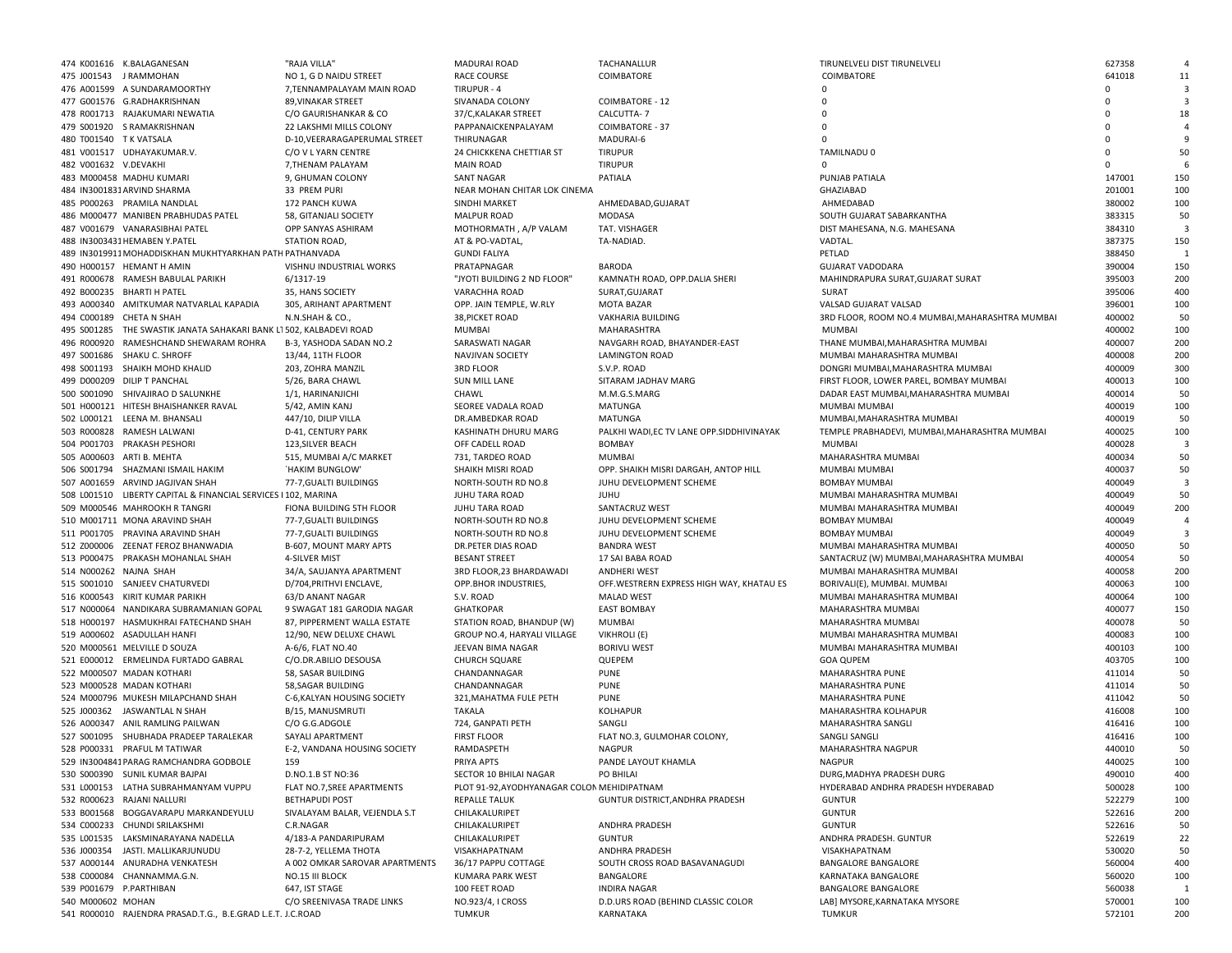|                         | 474 K001616 K.BALAGANESAN                                           | "RAJA VILLA'                   | <b>MADURAI ROAD</b>                         | TACHANALLUR                                | TIRUNELVELI DIST TIRUNELVELI                    | 627358      |                         |
|-------------------------|---------------------------------------------------------------------|--------------------------------|---------------------------------------------|--------------------------------------------|-------------------------------------------------|-------------|-------------------------|
|                         | 475 J001543 JRAMMOHAN                                               | NO 1, G D NAIDU STREET         | <b>RACE COURSE</b>                          | COIMBATORE                                 | COIMBATORE                                      | 641018      | 11                      |
|                         | 476 A001599 A SUNDARAMOORTHY                                        | 7, TENNAMPALAYAM MAIN ROAD     | TIRUPUR - 4                                 |                                            | $\Omega$                                        | $\Omega$    | $\overline{\mathbf{3}}$ |
|                         | 477 G001576 G.RADHAKRISHNAN                                         | 89, VINAKAR STREET             | SIVANADA COLONY                             | COIMBATORE - 12                            | $\Omega$                                        | $\Omega$    | $\overline{\mathbf{3}}$ |
|                         | 478 R001713 RAJAKUMARI NEWATIA                                      | C/O GAURISHANKAR & CO          | 37/C, KALAKAR STREET                        | CALCUTTA-7                                 | $\Omega$                                        | $\Omega$    | 18                      |
|                         | 479 S001920 S RAMAKRISHNAN                                          | 22 LAKSHMI MILLS COLONY        | PAPPANAICKENPALAYAM                         | <b>COIMBATORE - 37</b>                     | $\Omega$                                        | $\mathbf 0$ |                         |
| 480 T001540 T K VATSALA |                                                                     | D-10, VEERARAGAPERUMAL STREET  | THIRUNAGAR                                  | MADURAI-6                                  | $\Omega$                                        | $\Omega$    | 9                       |
|                         | 481 V001517 UDHAYAKUMAR.V.                                          |                                | 24 CHICKKENA CHETTIAR ST                    |                                            | TAMILNADU 0                                     | $\Omega$    | 50                      |
|                         |                                                                     | C/O V L YARN CENTRE            | <b>MAIN ROAD</b>                            | <b>TIRUPUR</b>                             |                                                 | $\Omega$    | -6                      |
| 482 V001632 V.DEVAKHI   |                                                                     | 7, THENAM PALAYAM              |                                             | <b>TIRUPUR</b>                             |                                                 |             |                         |
|                         | 483 M000458 MADHU KUMARI                                            | 9, GHUMAN COLONY               | <b>SANT NAGAR</b>                           | PATIALA                                    | PUNJAB PATIALA                                  | 147001      | 150                     |
|                         | 484 IN3001831 ARVIND SHARMA                                         | 33 PREM PURI                   | NEAR MOHAN CHITAR LOK CINEMA                |                                            | GHAZIABAD                                       | 201001      | 100                     |
|                         | 485 P000263 PRAMILA NANDLAL                                         | 172 PANCH KUWA                 | SINDHI MARKET                               | AHMEDABAD, GUJARAT                         | AHMEDABAD                                       | 380002      | 100                     |
|                         | 486 M000477 MANIBEN PRABHUDAS PATEL                                 | 58, GITANJALI SOCIETY          | <b>MALPUR ROAD</b>                          | <b>MODASA</b>                              | SOUTH GUJARAT SABARKANTHA                       | 383315      | 50                      |
|                         | 487 V001679 VANARASIBHAI PATEL                                      | OPP SANYAS ASHIRAM             | MOTHORMATH, A/P VALAM                       | TAT. VISHAGER                              | DIST MAHESANA, N.G. MAHESANA                    | 384310      | $\mathbf{3}$            |
|                         | 488 IN3003431 HEMABEN Y.PATEL                                       | STATION ROAD,                  | AT & PO-VADTAL,                             | TA-NADIAD.                                 | VADTAL.                                         | 387375      | 150                     |
|                         | 489 IN3019911 MOHADDISKHAN MUKHTYARKHAN PATH PATHANVADA             |                                | <b>GUNDI FALIYA</b>                         |                                            | PETLAD                                          | 388450      | $\overline{1}$          |
|                         | 490 H000157 HEMANT H AMIN                                           | VISHNU INDUSTRIAL WORKS        | PRATAPNAGAR                                 | BARODA                                     | <b>GUJARAT VADODARA</b>                         | 390004      | 150                     |
|                         | 491 R000678 RAMESH BABULAL PARIKH                                   | 6/1317-19                      | "JYOTI BUILDING 2 ND FLOOR"                 | KAMNATH ROAD, OPP.DALIA SHERI              | MAHINDRAPURA SURAT, GUJARAT SURAT               | 395003      | 200                     |
|                         | 492 B000235 BHARTI H PATEL                                          | 35, HANS SOCIETY               | VARACHHA ROAD                               | SURAT, GUJARAT                             | SURAT                                           | 395006      | 400                     |
|                         | 493 A000340 AMITKUMAR NATVARLAL KAPADIA                             | 305, ARIHANT APARTMENT         | OPP. JAIN TEMPLE, W.RLY                     | MOTA BAZAR                                 | VALSAD GUJARAT VALSAD                           | 396001      | 100                     |
|                         | 494 C000189 CHETA N SHAH                                            | N.N.SHAH & CO.                 | 38, PICKET ROAD                             | VAKHARIA BUILDING                          | 3RD FLOOR, ROOM NO.4 MUMBAI, MAHARASHTRA MUMBAI | 400002      | 50                      |
|                         | 495 S001285 THE SWASTIK JANATA SAHAKARI BANK L1 502, KALBADEVI ROAD |                                |                                             |                                            |                                                 | 400002      | 100                     |
|                         |                                                                     |                                | MUMBAI                                      | MAHARASHTRA                                | <b>MUMBAI</b>                                   |             |                         |
|                         | 496 R000920 RAMESHCHAND SHEWARAM ROHRA                              | B-3, YASHODA SADAN NO.2        | SARASWATI NAGAR                             | NAVGARH ROAD, BHAYANDER-EAST               | THANE MUMBAI, MAHARASHTRA MUMBAI                | 400007      | 200                     |
|                         | 497 S001686 SHAKU C. SHROFF                                         | 13/44, 11TH FLOOR              | NAVJIVAN SOCIETY                            | <b>LAMINGTON ROAD</b>                      | MUMBAI MAHARASHTRA MUMBAI                       | 400008      | 200                     |
|                         | 498 S001193 SHAIKH MOHD KHALID                                      | 203, ZOHRA MANZIL              | <b>3RD FLOOR</b>                            | S.V.P. ROAD                                | DONGRI MUMBAI, MAHARASHTRA MUMBAI               | 400009      | 300                     |
|                         | 499 D000209 DILIP T PANCHAL                                         | 5/26, BARA CHAWL               | <b>SUN MILL LANE</b>                        | SITARAM JADHAV MARG                        | FIRST FLOOR, LOWER PAREL, BOMBAY MUMBAI         | 400013      | 100                     |
|                         | 500 S001090 SHIVAJIRAO D SALUNKHE                                   | 1/1, HARINANJICHI              | CHAWL                                       | M.M.G.S.MARG                               | DADAR EAST MUMBAI, MAHARASHTRA MUMBAI           | 400014      | 50                      |
|                         | 501 H000121 HITESH BHAISHANKER RAVAL                                | 5/42, AMIN KANJ                | SEOREE VADALA ROAD                          | MATUNGA                                    | MUMBAI MUMBAI                                   | 400019      | 100                     |
|                         | 502 L000121 LEENA M. BHANSALI                                       | 447/10, DILIP VILLA            | DR.AMBEDKAR ROAD                            | MATUNGA                                    | MUMBAI, MAHARASHTRA MUMBAI                      | 400019      | 50                      |
|                         | 503 R000828 RAMESH LALWANI                                          | D-41, CENTURY PARK             | KASHINATH DHURU MARG                        | PALKHI WADI, EC TV LANE OPP. SIDDHIVINAYAK | TEMPLE PRABHADEVI, MUMBAI, MAHARASHTRA MUMBAI   | 400025      | 100                     |
|                         | 504 P001703 PRAKASH PESHORI                                         | 123, SILVER BEACH              | OFF CADELL ROAD                             | <b>BOMBAY</b>                              | MUMBAI                                          | 400028      | $\overline{3}$          |
|                         | 505 A000603 ARTI B. MEHTA                                           | 515, MUMBAI A/C MARKET         | 731, TARDEO ROAD                            | <b>MUMBAI</b>                              | MAHARASHTRA MUMBAI                              | 400034      | 50                      |
|                         | 506 S001794 SHAZMANI ISMAIL HAKIM                                   |                                |                                             |                                            |                                                 | 400037      |                         |
|                         |                                                                     | `HAKIM BUNGLOW'                | SHAIKH MISRI ROAD                           | OPP. SHAIKH MISRI DARGAH, ANTOP HILL       | MUMBAI MUMBAI                                   |             | 50                      |
|                         | 507 A001659 ARVIND JAGJIVAN SHAH                                    | 77-7, GUALTI BUILDINGS         | NORTH-SOUTH RD NO.8                         | JUHU DEVELOPMENT SCHEME                    | <b>BOMBAY MUMBAI</b>                            | 400049      | -3                      |
|                         | 508 L001510 LIBERTY CAPITAL & FINANCIAL SERVICES I 102, MARINA      |                                | JUHU TARA ROAD                              | <b>JUHU</b>                                | MUMBAI MAHARASHTRA MUMBAI                       | 400049      | 50                      |
|                         | 509 M000546 MAHROOKH R TANGRI                                       | FIONA BUILDING 5TH FLOOR       | <b>JUHU TARA ROAD</b>                       | SANTACRUZ WEST                             | MUMBAI MAHARASHTRA MUMBAI                       | 400049      | 200                     |
|                         | 510 M001711 MONA ARAVIND SHAH                                       | 77-7, GUALTI BUILDINGS         | NORTH-SOUTH RD NO.8                         | JUHU DEVELOPMENT SCHEME                    | <b>BOMBAY MUMBAI</b>                            | 400049      | $\overline{a}$          |
|                         | 511 P001705 PRAVINA ARAVIND SHAH                                    | 77-7, GUALTI BUILDINGS         | NORTH-SOUTH RD NO.8                         | JUHU DEVELOPMENT SCHEME                    | <b>BOMBAY MUMBAI</b>                            | 400049      | $\overline{\mathbf{3}}$ |
|                         | 512 Z000006 ZEENAT FEROZ BHANWADIA                                  | B-607, MOUNT MARY APTS         | DR.PETER DIAS ROAD                          | <b>BANDRA WEST</b>                         | MUMBAI MAHARASHTRA MUMBAI                       | 400050      | 50                      |
|                         | 513 P000475 PRAKASH MOHANLAL SHAH                                   | 4-SILVER MIST                  | <b>BESANT STREET</b>                        | 17 SAI BABA ROAD                           | SANTACRUZ (W) MUMBAI, MAHARASHTRA MUMBAI        | 400054      | 50                      |
| 514 N000262 NAJNA SHAH  |                                                                     | 34/A, SAUJANYA APARTMENT       | 3RD FLOOR, 23 BHARDAWADI                    | ANDHERI WEST                               | MUMBAI MAHARASHTRA MUMBAI                       | 400058      | 200                     |
|                         | 515 S001010 SANJEEV CHATURVEDI                                      | D/704, PRITHVI ENCLAVE,        | OPP.BHOR INDUSTRIES,                        | OFF. WESTRERN EXPRESS HIGH WAY, KHATAU ES  | BORIVALI(E), MUMBAI. MUMBAI                     | 400063      | 100                     |
|                         | 516 K000543 KIRIT KUMAR PARIKH                                      | 63/D ANANT NAGAR               | S.V. ROAD                                   | <b>MALAD WEST</b>                          | MUMBAI MAHARASHTRA MUMBAI                       | 400064      | 100                     |
|                         | 517 N000064 NANDIKARA SUBRAMANIAN GOPAL                             | 9 SWAGAT 181 GARODIA NAGAR     | <b>GHATKOPAR</b>                            | <b>EAST BOMBAY</b>                         | MAHARASHTRA MUMBAI                              | 400077      | 150                     |
|                         |                                                                     |                                |                                             |                                            |                                                 |             |                         |
|                         | 518 H000197 HASMUKHRAI FATECHAND SHAH                               | 87, PIPPERMENT WALLA ESTATE    | STATION ROAD, BHANDUP (W)                   | <b>MUMBAI</b>                              | MAHARASHTRA MUMBAI                              | 400078      | 50                      |
|                         | 519 A000602 ASADULLAH HANFI                                         | 12/90, NEW DELUXE CHAWL        | GROUP NO.4, HARYALI VILLAGE                 | VIKHROLI (E)                               | MUMBAI MAHARASHTRA MUMBAI                       | 400083      | 100                     |
|                         | 520 M000561 MELVILLE D SOUZA                                        | A-6/6, FLAT NO.40              | JEEVAN BIMA NAGAR                           | <b>BORIVLI WEST</b>                        | MUMBAI MAHARASHTRA MUMBAI                       | 400103      | 100                     |
|                         | 521 E000012 ERMELINDA FURTADO GABRAL                                | C/O.DR.ABILIO DESOUSA          | <b>CHURCH SQUARE</b>                        | QUEPEM                                     | <b>GOA QUPEM</b>                                | 403705      | 100                     |
|                         | 522 M000507 MADAN KOTHARI                                           | 58, SASAR BUILDING             | CHANDANNAGAR                                | <b>PUNE</b>                                | MAHARASHTRA PUNE                                | 411014      | 50                      |
|                         | 523 M000528 MADAN KOTHARI                                           | 58, SAGAR BUILDING             | CHANDANNAGAR                                | <b>PUNE</b>                                | MAHARASHTRA PUNE                                | 411014      | 50                      |
|                         | 524 M000796 MUKESH MILAPCHAND SHAH                                  | C-6, KALYAN HOUSING SOCIETY    | 321, MAHATMA FULE PETH                      | <b>PUNE</b>                                | MAHARASHTRA PUNE                                | 411042      | 50                      |
|                         | 525 J000362 JASWANTLAL N SHAH                                       | B/15, MANUSMRUTI               | <b>TAKALA</b>                               | <b>KOLHAPUR</b>                            | MAHARASHTRA KOLHAPUR                            | 416008      | 100                     |
|                         | 526 A000347 ANIL RAMLING PAILWAN                                    | C/O G.G.ADGOLE                 | 724, GANPATI PETH                           | SANGLI                                     | MAHARASHTRA SANGLI                              | 416416      | 100                     |
|                         | 527 S001095 SHUBHADA PRADEEP TARALEKAR                              | SAYALI APARTMENT               | <b>FIRST FLOOR</b>                          | FLAT NO.3, GULMOHAR COLONY,                | <b>SANGLI SANGLI</b>                            | 416416      | 100                     |
|                         | 528 P000331 PRAFUL M TATIWAR                                        | E-2, VANDANA HOUSING SOCIETY   | RAMDASPETH                                  | NAGPUR                                     | MAHARASHTRA NAGPUR                              | 440010      | 50                      |
|                         | 529 IN3004841 PARAG RAMCHANDRA GODBOLE                              | 159                            | PRIYA APTS                                  | PANDE LAYOUT KHAMLA                        | <b>NAGPUR</b>                                   | 440025      | 100                     |
|                         | 530 S000390 SUNIL KUMAR BAJPAI                                      | D.NO.1.B ST NO:36              | SECTOR 10 BHILAI NAGAR                      | PO BHILAI                                  | DURG.MADHYA PRADESH DURG                        | 490010      | 400                     |
|                         |                                                                     |                                |                                             |                                            |                                                 |             |                         |
|                         | 531 L000153 LATHA SUBRAHMANYAM VUPPU                                | FLAT NO.7, SREE APARTMENTS     | PLOT 91-92, AYODHYANAGAR COLON MEHIDIPATNAM |                                            | HYDERABAD ANDHRA PRADESH HYDERABAD              | 500028      | 100                     |
|                         | 532 R000623 RAJANI NALLURI                                          | <b>BETHAPUDI POST</b>          | <b>REPALLE TALUK</b>                        | GUNTUR DISTRICT, ANDHRA PRADESH            | <b>GUNTUR</b>                                   | 522279      | 100                     |
|                         | 533 B001568 BOGGAVARAPU MARKANDEYULU                                | SIVALAYAM BALAR, VEJENDLA S.T  | CHILAKALURIPET                              |                                            | <b>GUNTUR</b>                                   | 522616      | 200                     |
|                         | 534 C000233 CHUNDI SRILAKSHMI                                       | C.R.NAGAR                      | CHILAKALURIPET                              | ANDHRA PRADESH                             | <b>GUNTUR</b>                                   | 522616      | 50                      |
|                         | 535 L001535 LAKSMINARAYANA NADELLA                                  | 4/183-A PANDARIPURAM           | CHILAKALURIPET                              | GUNTUR                                     | ANDHRA PRADESH. GUNTUR                          | 522619      | 22                      |
|                         | 536 J000354 JASTI, MALLIKARJUNUDU                                   | 28-7-2. YELLEMA THOTA          | VISAKHAPATNAM                               | ANDHRA PRADESH                             | VISAKHAPATNAM                                   | 530020      | 50                      |
|                         | 537 A000144 ANURADHA VENKATESH                                      | A 002 OMKAR SAROVAR APARTMENTS | 36/17 PAPPU COTTAGE                         | SOUTH CROSS ROAD BASAVANAGUDI              | <b>BANGALORE BANGALORE</b>                      | 560004      | 400                     |
|                         | 538 C000084 CHANNAMMA.G.N.                                          | NO.15 III BLOCK                | KUMARA PARK WEST                            | BANGALORE                                  | KARNATAKA BANGALORE                             | 560020      | 100                     |
| 539 P001679 P.PARTHIBAN |                                                                     | 647, IST STAGE                 | 100 FEET ROAD                               | <b>INDIRA NAGAR</b>                        | BANGALORE BANGALORE                             | 560038      | -1                      |
| 540 M000602 MOHAN       |                                                                     | C/O SREENIVASA TRADE LINKS     | NO.923/4, I CROSS                           | D.D.URS ROAD (BEHIND CLASSIC COLOR         | LAB] MYSORE, KARNATAKA MYSORE                   | 570001      | 100                     |
|                         | 541 R000010 RAJENDRA PRASAD.T.G., B.E.GRAD L.E.T. J.C.ROAD          |                                | TUMKUR                                      | KARNATAKA                                  | <b>TUMKUR</b>                                   | 572101      | 200                     |
|                         |                                                                     |                                |                                             |                                            |                                                 |             |                         |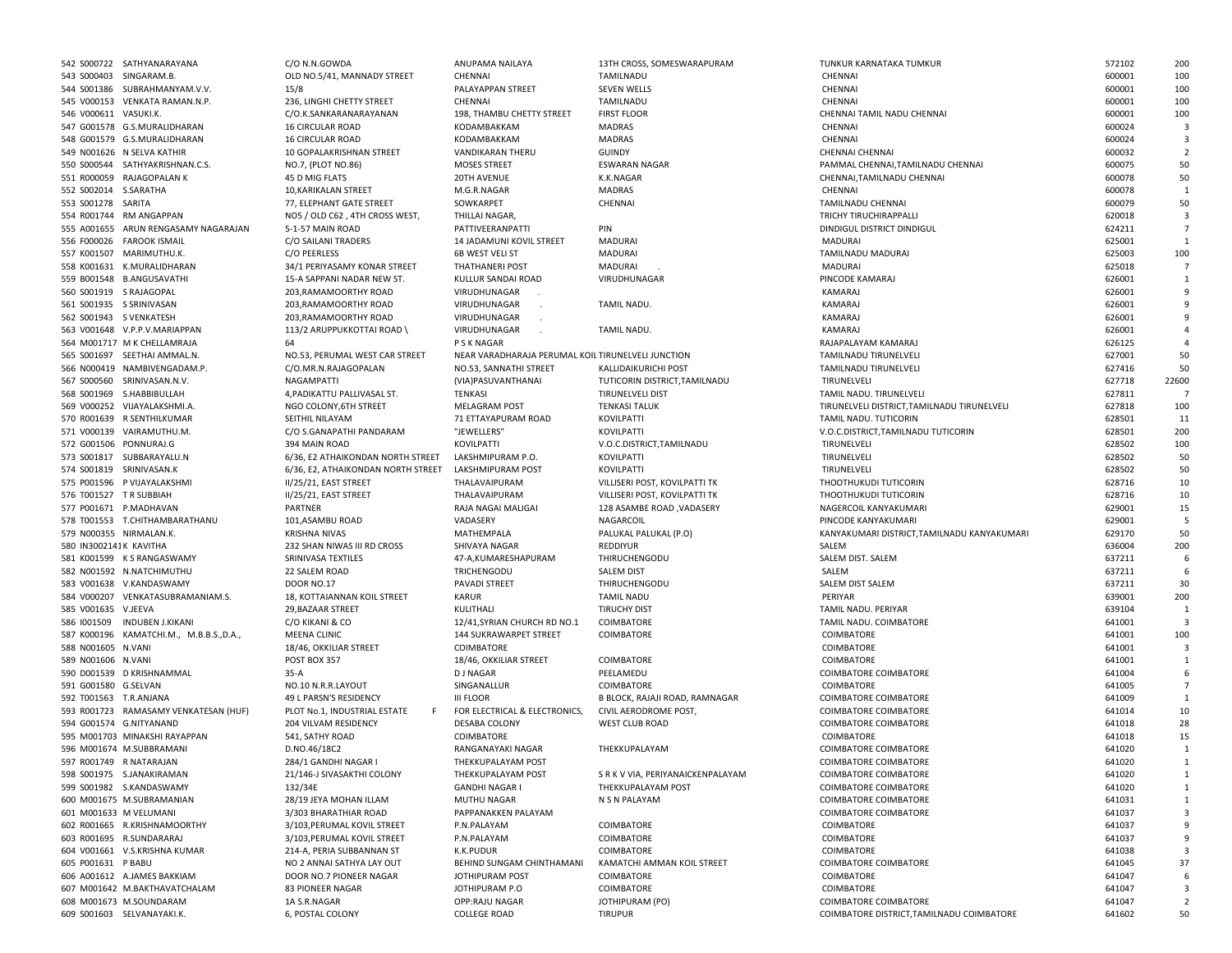|                         | 542 S000722 SATHYANARAYANA              | C/O N.N.GOWDA                      | ANUPAMA NAILAYA                                    | 13TH CROSS, SOMESWARAPURAM      | TUNKUR KARNATAKA TUMKUR                     | 572102 | 200                     |
|-------------------------|-----------------------------------------|------------------------------------|----------------------------------------------------|---------------------------------|---------------------------------------------|--------|-------------------------|
| 543 S000403 SINGARAM.B. |                                         | OLD NO.5/41, MANNADY STREET        | CHENNAI                                            | TAMILNADU                       | CHENNAI                                     | 600001 | 100                     |
|                         | 544 S001386 SUBRAHMANYAM.V.V.           | 15/8                               | PALAYAPPAN STREET                                  | SEVEN WELLS                     | CHENNAI                                     | 600001 | 100                     |
|                         | 545 V000153 VENKATA RAMAN.N.P.          | 236, LINGHI CHETTY STREET          | CHENNAI                                            | TAMILNADU                       | CHENNAI                                     | 600001 | 100                     |
|                         |                                         |                                    |                                                    |                                 |                                             |        |                         |
| 546 V000611 VASUKI.K.   |                                         | C/O.K.SANKARANARAYANAN             | 198, THAMBU CHETTY STREET                          | <b>FIRST FLOOR</b>              | CHENNAI TAMIL NADU CHENNAI                  | 600001 | 100                     |
|                         | 547 G001578 G.S.MURALIDHARAN            | <b>16 CIRCULAR ROAD</b>            | KODAMBAKKAM                                        | <b>MADRAS</b>                   | CHENNAI                                     | 600024 | -3                      |
|                         | 548 G001579 G.S.MURALIDHARAN            | 16 CIRCULAR ROAD                   | KODAMBAKKAM                                        | <b>MADRAS</b>                   | CHENNAI                                     | 600024 | $\overline{\mathbf{3}}$ |
|                         | 549 N001626 N SELVA KATHIR              | 10 GOPALAKRISHNAN STREET           | <b>VANDIKARAN THERU</b>                            | <b>GUINDY</b>                   | CHENNAI CHENNAI                             | 600032 | $\overline{2}$          |
|                         | 550 S000544 SATHYAKRISHNAN.C.S.         | NO.7, (PLOT NO.86)                 | <b>MOSES STREET</b>                                | <b>ESWARAN NAGAR</b>            | PAMMAL CHENNAI, TAMILNADU CHENNAI           | 600075 | 50                      |
|                         | 551 R000059 RAJAGOPALAN K               | 45 D MIG FLATS                     | 20TH AVENUE                                        | K.K.NAGAR                       | CHENNAI, TAMILNADU CHENNAI                  | 600078 | 50                      |
| 552 S002014 S.SARATHA   |                                         | 10, KARIKALAN STREET               | M.G.R.NAGAR                                        | <b>MADRAS</b>                   | CHENNAI                                     | 600078 | $\mathbf{1}$            |
|                         |                                         |                                    |                                                    |                                 |                                             |        |                         |
| 553 S001278 SARITA      |                                         | 77, ELEPHANT GATE STREET           | SOWKARPET                                          | CHENNAI                         | TAMILNADU CHENNAI                           | 600079 | 50                      |
|                         | 554 R001744 RM ANGAPPAN                 | NO5 / OLD C62, 4TH CROSS WEST,     | THILLAI NAGAR,                                     |                                 | <b>TRICHY TIRUCHIRAPPALLI</b>               | 620018 | $\overline{\mathbf{3}}$ |
|                         | 555 A001655 ARUN RENGASAMY NAGARAJAN    | 5-1-57 MAIN ROAD                   | PATTIVEERANPATTI                                   | PIN                             | DINDIGUL DISTRICT DINDIGUL                  | 624211 | $\overline{7}$          |
|                         | 556 F000026 FAROOK ISMAIL               | C/O SAILANI TRADERS                | 14 JADAMUNI KOVIL STREET                           | <b>MADURAI</b>                  | MADURAI                                     | 625001 | 1                       |
|                         | 557 K001507 MARIMUTHU.K.                | C/O PEERLESS                       | 6B WEST VELI ST                                    | MADURAI                         | TAMILNADU MADURAI                           | 625003 | 100                     |
|                         | 558 K001631 K.MURALIDHARAN              | 34/1 PERIYASAMY KONAR STREET       | THATHANERI POST                                    | MADURAI                         | MADURAI                                     | 625018 |                         |
|                         | 559 B001548 B.ANGUSAVATHI               | 15-A SAPPANI NADAR NEW ST.         |                                                    |                                 | PINCODE KAMARAJ                             |        | $\mathbf{1}$            |
|                         |                                         |                                    | KULLUR SANDAI ROAD                                 | VIRUDHUNAGAR                    |                                             | 626001 |                         |
| 560 S001919 S RAJAGOPAL |                                         | 203, RAMAMOORTHY ROAD              | VIRUDHUNAGAR                                       |                                 | KAMARAJ                                     | 626001 | 9                       |
|                         | 561 S001935 S SRINIVASAN                | 203, RAMAMOORTHY ROAD              | VIRUDHUNAGAR                                       | TAMIL NADU.                     | KAMARAJ                                     | 626001 | 9                       |
| 562 S001943 S VENKATESH |                                         | 203, RAMAMOORTHY ROAD              | VIRUDHUNAGAR                                       |                                 | KAMARAJ                                     | 626001 | 9                       |
|                         | 563 V001648 V.P.P.V.MARIAPPAN           | 113/2 ARUPPUKKOTTAI ROAD           | VIRUDHUNAGAR                                       | TAMIL NADU.                     | KAMARAJ                                     | 626001 | $\overline{a}$          |
|                         | 564 M001717 M K CHELLAMRAJA             | 64                                 | P S K NAGAR                                        |                                 | RAJAPALAYAM KAMARAJ                         | 626125 |                         |
|                         | 565 S001697 SEETHAI AMMAL.N.            | NO.53, PERUMAL WEST CAR STREET     | NEAR VARADHARAJA PERUMAL KOIL TIRUNELVELI JUNCTION |                                 | TAMILNADU TIRUNELVELI                       | 627001 | 50                      |
|                         |                                         |                                    |                                                    |                                 |                                             |        |                         |
|                         | 566 N000419 NAMBIVENGADAM.P.            | C/O.MR.N.RAJAGOPALAN               | NO.53, SANNATHI STREET                             | KALLIDAIKURICHI POST            | TAMILNADU TIRUNELVELI                       | 627416 | 50                      |
|                         | 567 S000560 SRINIVASAN.N.V.             | NAGAMPATTI                         | (VIA)PASUVANTHANAI                                 | TUTICORIN DISTRICT, TAMILNADU   | TIRUNELVELI                                 | 627718 | 22600                   |
|                         | 568 S001969 S.HABBIBULLAH               | 4, PADIKATTU PALLIVASAL ST.        | TENKASI                                            | <b>TIRUNELVELI DIST</b>         | TAMIL NADU. TIRUNELVELI                     | 627811 | $\overline{7}$          |
|                         | 569 V000252 VIJAYALAKSHMI.A.            | NGO COLONY, 6TH STREET             | <b>MELAGRAM POST</b>                               | <b>TENKASI TALUK</b>            | TIRUNELVELI DISTRICT, TAMILNADU TIRUNELVELI | 627818 | 100                     |
|                         | 570 R001639 R SENTHILKUMAR              | SEITHIL NILAYAM                    | 71 ETTAYAPURAM ROAD                                | KOVILPATTI                      | TAMIL NADU. TUTICORIN                       | 628501 | 11                      |
|                         | 571 V000139 VAIRAMUTHU.M.               | C/O S.GANAPATHI PANDARAM           | "JEWELLERS"                                        | KOVILPATTI                      | V.O.C.DISTRICT, TAMILNADU TUTICORIN         | 628501 | 200                     |
|                         |                                         | 394 MAIN ROAD                      |                                                    |                                 |                                             |        | 100                     |
| 572 G001506 PONNURAJ.G  |                                         |                                    | KOVILPATTI                                         | V.O.C.DISTRICT, TAMILNADU       | TIRUNELVELI                                 | 628502 |                         |
|                         | 573 S001817 SUBBARAYALU.N               | 6/36, E2 ATHAIKONDAN NORTH STREET  | LAKSHMIPURAM P.O.                                  | KOVILPATTI                      | TIRUNELVELI                                 | 628502 | 50                      |
|                         | 574 S001819 SRINIVASAN.K                | 6/36, E2, ATHAIKONDAN NORTH STREET | LAKSHMIPURAM POST                                  | KOVILPATTI                      | TIRUNELVELI                                 | 628502 | 50                      |
|                         | 575 P001596 P VIJAYALAKSHMI             | II/25/21, EAST STREET              | THALAVAIPURAM                                      | VILLISERI POST, KOVILPATTI TK   | THOOTHUKUDI TUTICORIN                       | 628716 | 10                      |
| 576 T001527 TR SUBBIAH  |                                         | II/25/21, EAST STREET              | THALAVAIPURAM                                      | VILLISERI POST, KOVILPATTI TK   | THOOTHUKUDI TUTICORIN                       | 628716 | 10                      |
|                         | 577 P001671 P.MADHAVAN                  | PARTNER                            | RAJA NAGAI MALIGAI                                 | 128 ASAMBE ROAD, VADASERY       | NAGERCOIL KANYAKUMARI                       | 629001 | 15                      |
|                         | 578 T001553 T.CHITHAMBARATHANU          |                                    | VADASERY                                           |                                 | PINCODE KANYAKUMARI                         | 629001 | 5                       |
|                         |                                         | 101, ASAMBU ROAD                   |                                                    | NAGARCOIL                       |                                             |        |                         |
| 579 N000355 NIRMALAN.K. |                                         | <b>KRISHNA NIVAS</b>               | MATHEMPALA                                         | PALUKAL PALUKAL (P.O)           | KANYAKUMARI DISTRICT, TAMILNADU KANYAKUMARI | 629170 | 50                      |
| 580 IN3002141K KAVITHA  |                                         | 232 SHAN NIWAS III RD CROSS        | SHIVAYA NAGAR                                      | REDDIYUR                        | SALEM                                       | 636004 | 200                     |
|                         | 581 K001599 K S RANGASWAMY              | SRINIVASA TEXTILES                 | 47-A,KUMARESHAPURAM                                | THIRUCHENGODU                   | SALEM DIST. SALEM                           | 637211 | 6                       |
|                         | 582 N001592 N.NATCHIMUTHU               | 22 SALEM ROAD                      | TRICHENGODU                                        | <b>SALEM DIST</b>               | SALEM                                       | 637211 | 6                       |
|                         | 583 V001638 V.KANDASWAMY                | <b>DOOR NO.17</b>                  | PAVADI STREET                                      | THIRUCHENGODU                   | SALEM DIST SALEM                            | 637211 | 30                      |
|                         | 584 V000207 VENKATASUBRAMANIAM.S.       | 18, KOTTAIANNAN KOIL STREET        | <b>KARUR</b>                                       | <b>TAMIL NADU</b>               | PERIYAR                                     | 639001 | 200                     |
|                         |                                         |                                    | KULITHALI                                          |                                 |                                             |        |                         |
| 585 V001635 V.JEEVA     |                                         | 29, BAZAAR STREET                  |                                                    | <b>TIRUCHY DIST</b>             | TAMIL NADU. PERIYAR                         | 639104 | 1                       |
|                         | 586 1001509 INDUBEN J.KIKANI            | C/O KIKANI & CO                    | 12/41, SYRIAN CHURCH RD NO.1                       | COIMBATORE                      | TAMIL NADU. COIMBATORE                      | 641001 | 3                       |
|                         | 587 K000196 KAMATCHI.M., M.B.B.S.,D.A., | MEENA CLINIC                       | 144 SUKRAWARPET STREET                             | COIMBATORE                      | COIMBATORE                                  | 641001 | 100                     |
| 588 N001605 N.VANI      |                                         | 18/46, OKKILIAR STREET             | COIMBATORE                                         |                                 | COIMBATORE                                  | 641001 |                         |
| 589 N001606 N.VANI      |                                         | POST BOX 357                       | 18/46, OKKILIAR STREET                             | COIMBATORE                      | COIMBATORE                                  | 641001 | 1                       |
|                         | 590 D001539 D KRISHNAMMAL               | $35-A$                             | <b>DJ NAGAR</b>                                    | PEELAMEDU                       | COIMBATORE COIMBATORE                       | 641004 | 6                       |
| 591 G001580 G.SELVAN    |                                         | NO.10 N.R.R.LAYOUT                 | SINGANALLUR                                        | COIMBATORE                      | COIMBATORE                                  | 641005 | $\overline{7}$          |
|                         |                                         |                                    |                                                    |                                 |                                             |        |                         |
| 592 T001563 T.R.ANJANA  |                                         | 49 L PARSN'S RESIDENCY             | <b>III FLOOR</b>                                   | B BLOCK, RAJAJI ROAD, RAMNAGAR  | COIMBATORE COIMBATORE                       | 641009 | 1                       |
|                         | 593 R001723 RAMASAMY VENKATESAN (HUF)   | PLOT No.1, INDUSTRIAL ESTATE<br>F. | FOR ELECTRICAL & ELECTRONICS,                      | CIVIL AERODROME POST,           | COIMBATORE COIMBATORE                       | 641014 | 10                      |
|                         | 594 G001574 G.NITYANAND                 | 204 VILVAM RESIDENCY               | DESABA COLONY                                      | WEST CLUB ROAD                  | COIMBATORE COIMBATORE                       | 641018 | 28                      |
|                         | 595 M001703 MINAKSHI RAYAPPAN           | 541, SATHY ROAD                    | COIMBATORE                                         |                                 | COIMBATORE                                  | 641018 | 15                      |
|                         | 596 M001674 M.SUBBRAMANI                | D.NO.46/18C2                       | RANGANAYAKI NAGAR                                  | THEKKUPALAYAM                   | COIMBATORE COIMBATORE                       | 641020 | -1                      |
|                         | 597 R001749 R NATARAJAN                 | 284/1 GANDHI NAGAR I               | THEKKUPALAYAM POST                                 |                                 | COIMBATORE COIMBATORE                       | 641020 |                         |
|                         |                                         |                                    |                                                    |                                 |                                             |        |                         |
|                         | 598 S001975 S.JANAKIRAMAN               | 21/146-J SIVASAKTHI COLONY         | THEKKUPALAYAM POST                                 | SRK V VIA, PERIYANAICKENPALAYAM | COIMBATORE COIMBATORE                       | 641020 | $\mathbf{1}$            |
|                         | 599 S001982 S.KANDASWAMY                | 132/34E                            | <b>GANDHI NAGAR I</b>                              | THEKKUPALAYAM POST              | <b>COIMBATORE COIMBATORE</b>                | 641020 |                         |
|                         | 600 M001675 M.SUBRAMANIAN               | 28/19 JEYA MOHAN ILLAM             | MUTHU NAGAR                                        | N S N PALAYAM                   | COIMBATORE COIMBATORE                       | 641031 | -1                      |
|                         | 601 M001633 M VELUMANI                  | 3/303 BHARATHIAR ROAD              | PAPPANAKKEN PALAYAM                                |                                 | COIMBATORE COIMBATORE                       | 641037 | 3                       |
|                         | 602 R001665 R.KRISHNAMOORTHY            | 3/103, PERUMAL KOVIL STREET        | P.N.PALAYAM                                        | COIMBATORE                      | COIMBATORE                                  | 641037 | 9                       |
|                         | 603 R001695 R.SUNDARARAJ                | 3/103, PERUMAL KOVIL STREET        | P.N.PALAYAM                                        | COIMBATORE                      | COIMBATORE                                  | 641037 | -9                      |
|                         |                                         |                                    |                                                    |                                 |                                             |        |                         |
|                         | 604 V001661 V.S.KRISHNA KUMAR           | 214-A, PERIA SUBBANNAN ST          | K.K.PUDUR                                          | COIMBATORE                      | COIMBATORE                                  | 641038 | 3                       |
| 605 P001631 P BABU      |                                         | NO 2 ANNAI SATHYA LAY OUT          | BEHIND SUNGAM CHINTHAMANI                          | KAMATCHI AMMAN KOIL STREET      | COIMBATORE COIMBATORE                       | 641045 | 37                      |
|                         | 606 A001612 A.JAMES BAKKIAM             | DOOR NO.7 PIONEER NAGAR            | JOTHIPURAM POST                                    | COIMBATORE                      | COIMBATORE                                  | 641047 | 6                       |
|                         | 607 M001642 M.BAKTHAVATCHALAM           | 83 PIONEER NAGAR                   | JOTHIPURAM P.O                                     | COIMBATORE                      | COIMBATORE                                  | 641047 | 3                       |
|                         | 608 M001673 M.SOUNDARAM                 | 1A S.R.NAGAR                       | OPP:RAJU NAGAR                                     | JOTHIPURAM (PO)                 | COIMBATORE COIMBATORE                       | 641047 | 2                       |
|                         | 609 S001603 SELVANAYAKI.K.              | 6, POSTAL COLONY                   | <b>COLLEGE ROAD</b>                                | <b>TIRUPUR</b>                  | COIMBATORE DISTRICT, TAMILNADU COIMBATORE   | 641602 | 50                      |
|                         |                                         |                                    |                                                    |                                 |                                             |        |                         |